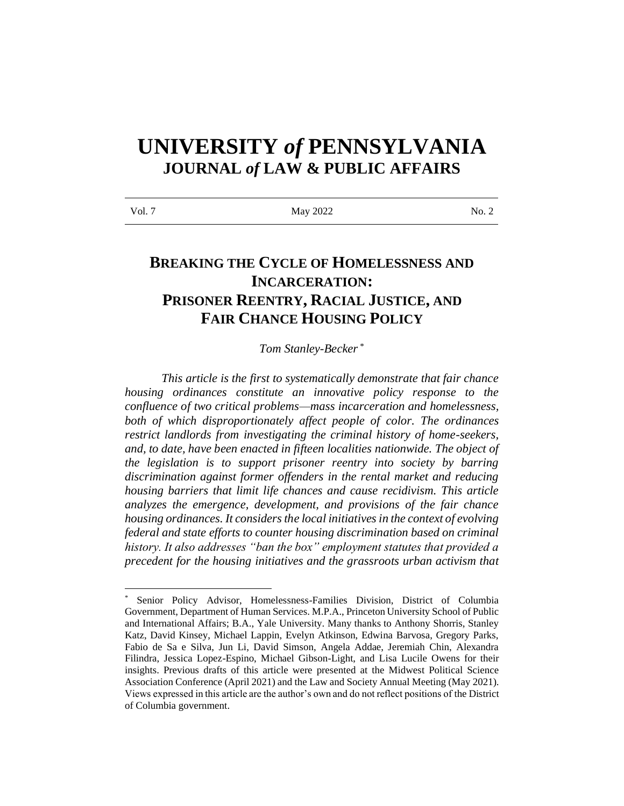# **UNIVERSITY** *of* **PENNSYLVANIA JOURNAL** *of* **LAW & PUBLIC AFFAIRS**

| Vol. 7 | May 2022 | No. 2 |
|--------|----------|-------|

## **BREAKING THE CYCLE OF HOMELESSNESS AND INCARCERATION: PRISONER REENTRY, RACIAL JUSTICE, AND FAIR CHANCE HOUSING POLICY**

### *Tom Stanley-Becker* \*

*This article is the first to systematically demonstrate that fair chance housing ordinances constitute an innovative policy response to the confluence of two critical problems—mass incarceration and homelessness, both of which disproportionately affect people of color. The ordinances restrict landlords from investigating the criminal history of home-seekers, and, to date, have been enacted in fifteen localities nationwide. The object of the legislation is to support prisoner reentry into society by barring discrimination against former offenders in the rental market and reducing housing barriers that limit life chances and cause recidivism. This article analyzes the emergence, development, and provisions of the fair chance housing ordinances. It considers the local initiatives in the context of evolving federal and state efforts to counter housing discrimination based on criminal history. It also addresses "ban the box" employment statutes that provided a precedent for the housing initiatives and the grassroots urban activism that* 

Senior Policy Advisor, Homelessness-Families Division, District of Columbia Government, Department of Human Services. M.P.A., Princeton University School of Public and International Affairs; B.A., Yale University. Many thanks to Anthony Shorris, Stanley Katz, David Kinsey, Michael Lappin, Evelyn Atkinson, Edwina Barvosa, Gregory Parks, Fabio de Sa e Silva, Jun Li, David Simson, Angela Addae, Jeremiah Chin, Alexandra Filindra, Jessica Lopez-Espino, Michael Gibson-Light, and Lisa Lucile Owens for their insights. Previous drafts of this article were presented at the Midwest Political Science Association Conference (April 2021) and the Law and Society Annual Meeting (May 2021). Views expressed in this article are the author's own and do not reflect positions of the District of Columbia government.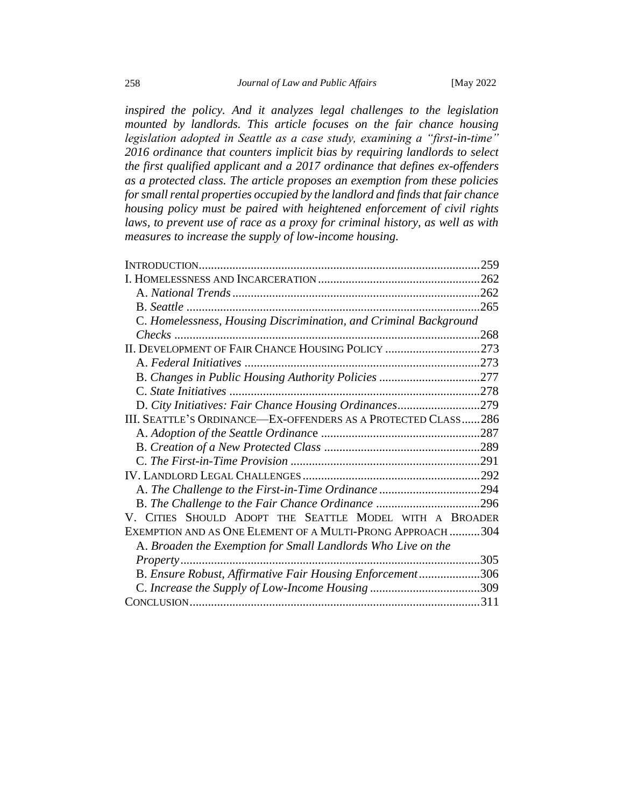*inspired the policy. And it analyzes legal challenges to the legislation mounted by landlords. This article focuses on the fair chance housing legislation adopted in Seattle as a case study, examining a "first-in-time" 2016 ordinance that counters implicit bias by requiring landlords to select the first qualified applicant and a 2017 ordinance that defines ex-offenders as a protected class. The article proposes an exemption from these policies for small rental properties occupied by the landlord and finds that fair chance housing policy must be paired with heightened enforcement of civil rights*  laws, to prevent use of race as a proxy for criminal history, as well as with *measures to increase the supply of low-income housing.*

<span id="page-1-0"></span>

|                                                                  | 259 |
|------------------------------------------------------------------|-----|
|                                                                  |     |
|                                                                  |     |
|                                                                  |     |
| C. Homelessness, Housing Discrimination, and Criminal Background |     |
|                                                                  |     |
| II. DEVELOPMENT OF FAIR CHANCE HOUSING POLICY 273                |     |
|                                                                  |     |
|                                                                  |     |
|                                                                  |     |
| D. City Initiatives: Fair Chance Housing Ordinances279           |     |
| III. SEATTLE'S ORDINANCE—EX-OFFENDERS AS A PROTECTED CLASS286    |     |
|                                                                  |     |
|                                                                  |     |
|                                                                  |     |
|                                                                  |     |
|                                                                  |     |
| B. The Challenge to the Fair Chance Ordinance 296                |     |
| V. CITIES SHOULD ADOPT THE SEATTLE MODEL WITH A BROADER          |     |
| EXEMPTION AND AS ONE ELEMENT OF A MULTI-PRONG APPROACH 304       |     |
| A. Broaden the Exemption for Small Landlords Who Live on the     |     |
| Property 305                                                     |     |
| B. Ensure Robust, Affirmative Fair Housing Enforcement306        |     |
|                                                                  |     |
|                                                                  |     |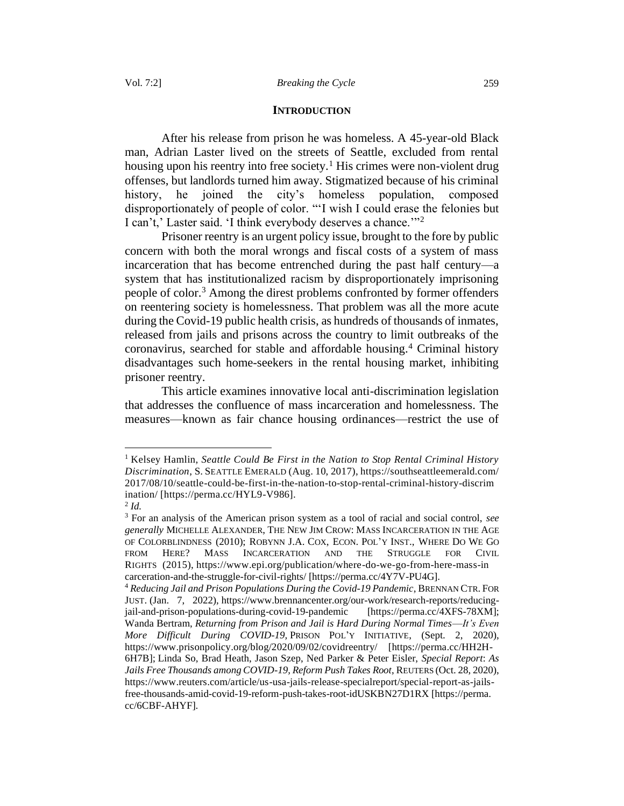### **INTRODUCTION**

After his release from prison he was homeless. A 45-year-old Black man, Adrian Laster lived on the streets of Seattle, excluded from rental housing upon his reentry into free society.<sup>1</sup> His crimes were non-violent drug offenses, but landlords turned him away. Stigmatized because of his criminal history, he joined the city's homeless population, composed disproportionately of people of color. "'I wish I could erase the felonies but I can't,' Laster said. 'I think everybody deserves a chance.'"<sup>2</sup>

Prisoner reentry is an urgent policy issue, brought to the fore by public concern with both the moral wrongs and fiscal costs of a system of mass incarceration that has become entrenched during the past half century—a system that has institutionalized racism by disproportionately imprisoning people of color.<sup>3</sup> Among the direst problems confronted by former offenders on reentering society is homelessness. That problem was all the more acute during the Covid-19 public health crisis, as hundreds of thousands of inmates, released from jails and prisons across the country to limit outbreaks of the coronavirus, searched for stable and affordable housing.<sup>4</sup> Criminal history disadvantages such home-seekers in the rental housing market, inhibiting prisoner reentry.

This article examines innovative local anti-discrimination legislation that addresses the confluence of mass incarceration and homelessness. The measures—known as fair chance housing ordinances—restrict the use of

<sup>&</sup>lt;sup>1</sup> Kelsey Hamlin, *Seattle Could Be First in the Nation to Stop Rental Criminal History Discrimination*, S.SEATTLE EMERALD (Aug. 10, 2017), https://southseattleemerald.com/ 2017/08/10/seattle-could-be-first-in-the-nation-to-stop-rental-criminal-history-discrim ination/ [https://perma.cc/HYL9-V986].

<sup>2</sup> *Id.*

<sup>3</sup> For an analysis of the American prison system as a tool of racial and social control, *see generally* MICHELLE ALEXANDER, THE NEW JIM CROW: MASS INCARCERATION IN THE AGE OF COLORBLINDNESS (2010); ROBYNN J.A. COX, ECON. POL'Y INST., WHERE DO WE GO FROM HERE? MASS INCARCERATION AND THE STRUGGLE FOR CIVIL RIGHTS (2015), https://www.epi.org/publication/where-do-we-go-from-here-mass-in carceration-and-the-struggle-for-civil-rights/ [https://perma.cc/4Y7V-PU4G].

<sup>4</sup> *Reducing Jail and Prison Populations During the Covid-19 Pandemic*, BRENNAN CTR.FOR JUST. (Jan. 7, 2022), https://www.brennancenter.org/our-work/research-reports/reducingjail-and-prison-populations-during-covid-19-pandemic [https://perma.cc/4XFS-78XM]; Wanda Bertram, *Returning from Prison and Jail is Hard During Normal Times*—*It's Even More Difficult During COVID-19,* PRISON POL'Y INITIATIVE, (Sept. 2, 2020), https://www.prisonpolicy.org/blog/2020/09/02/covidreentry/ [https://perma.cc/HH2H-6H7B]; Linda So, Brad Heath, Jason Szep, Ned Parker & Peter Eisler, *Special Report*: *As Jails Free Thousands among COVID-19, Reform Push Takes Root*, REUTERS (Oct. 28, 2020), https://www.reuters.com/article/us-usa-jails-release-specialreport/special-report-as-jailsfree-thousands-amid-covid-19-reform-push-takes-root-idUSKBN27D1RX [https://perma. cc/6CBF-AHYF].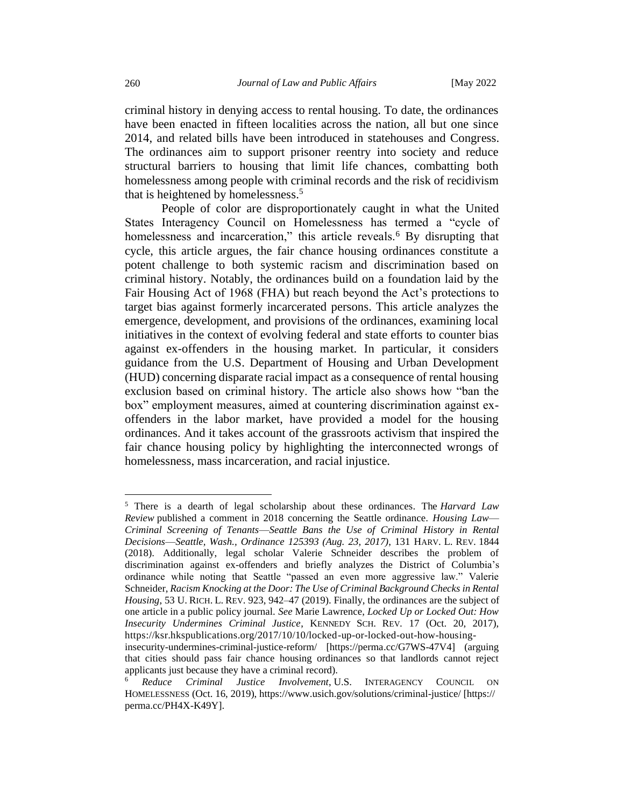criminal history in denying access to rental housing. To date, the ordinances have been enacted in fifteen localities across the nation, all but one since 2014, and related bills have been introduced in statehouses and Congress. The ordinances aim to support prisoner reentry into society and reduce structural barriers to housing that limit life chances, combatting both homelessness among people with criminal records and the risk of recidivism that is heightened by homelessness.<sup>5</sup>

People of color are disproportionately caught in what the United States Interagency Council on Homelessness has termed a "cycle of homelessness and incarceration," this article reveals.<sup>6</sup> By disrupting that cycle, this article argues, the fair chance housing ordinances constitute a potent challenge to both systemic racism and discrimination based on criminal history. Notably, the ordinances build on a foundation laid by the Fair Housing Act of 1968 (FHA) but reach beyond the Act's protections to target bias against formerly incarcerated persons. This article analyzes the emergence, development, and provisions of the ordinances, examining local initiatives in the context of evolving federal and state efforts to counter bias against ex-offenders in the housing market. In particular, it considers guidance from the U.S. Department of Housing and Urban Development (HUD) concerning disparate racial impact as a consequence of rental housing exclusion based on criminal history. The article also shows how "ban the box" employment measures, aimed at countering discrimination against exoffenders in the labor market, have provided a model for the housing ordinances. And it takes account of the grassroots activism that inspired the fair chance housing policy by highlighting the interconnected wrongs of homelessness, mass incarceration, and racial injustice.

<sup>5</sup> There is a dearth of legal scholarship about these ordinances. The *Harvard Law Review* published a comment in 2018 concerning the Seattle ordinance. *Housing Law*— *Criminal Screening of Tenants*—*Seattle Bans the Use of Criminal History in Rental Decisions*—*Seattle, Wash., Ordinance 125393 (Aug. 23, 2017)*, 131 HARV. L. REV*.* 1844 (2018). Additionally, legal scholar Valerie Schneider describes the problem of discrimination against ex-offenders and briefly analyzes the District of Columbia's ordinance while noting that Seattle "passed an even more aggressive law." Valerie Schneider, *Racism Knocking at the Door: The Use of Criminal Background Checks in Rental Housing*, 53 U. RICH. L. REV. 923, 942–47 (2019). Finally, the ordinances are the subject of one article in a public policy journal. *See* Marie Lawrence, *Locked Up or Locked Out: How Insecurity Undermines Criminal Justice*, KENNEDY SCH. REV*.* 17 (Oct. 20, 2017), https://ksr.hkspublications.org/2017/10/10/locked-up-or-locked-out-how-housing-

insecurity-undermines-criminal-justice-reform/ [https://perma.cc/G7WS-47V4] (arguing that cities should pass fair chance housing ordinances so that landlords cannot reject applicants just because they have a criminal record).

<sup>6</sup> *Reduce Criminal Justice Involvement*, U.S. INTERAGENCY COUNCIL ON HOMELESSNESS (Oct. 16, 2019), https://www.usich.gov/solutions/criminal-justice/ [https:// perma.cc/PH4X-K49Y].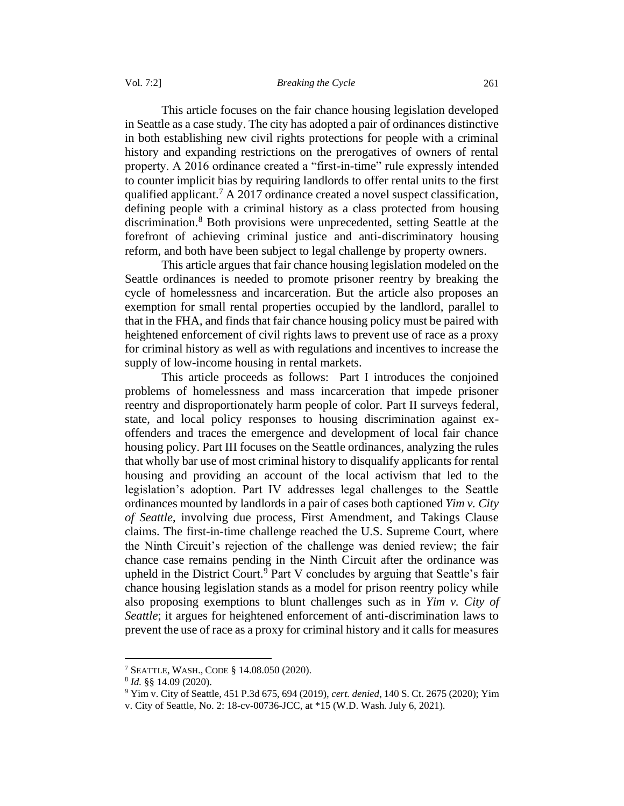This article focuses on the fair chance housing legislation developed in Seattle as a case study. The city has adopted a pair of ordinances distinctive in both establishing new civil rights protections for people with a criminal history and expanding restrictions on the prerogatives of owners of rental property. A 2016 ordinance created a "first-in-time" rule expressly intended to counter implicit bias by requiring landlords to offer rental units to the first qualified applicant.<sup>7</sup> A 2017 ordinance created a novel suspect classification, defining people with a criminal history as a class protected from housing discrimination.<sup>8</sup> Both provisions were unprecedented, setting Seattle at the forefront of achieving criminal justice and anti-discriminatory housing reform, and both have been subject to legal challenge by property owners.

This article argues that fair chance housing legislation modeled on the Seattle ordinances is needed to promote prisoner reentry by breaking the cycle of homelessness and incarceration. But the article also proposes an exemption for small rental properties occupied by the landlord, parallel to that in the FHA, and finds that fair chance housing policy must be paired with heightened enforcement of civil rights laws to prevent use of race as a proxy for criminal history as well as with regulations and incentives to increase the supply of low-income housing in rental markets.

This article proceeds as follows: Part I introduces the conjoined problems of homelessness and mass incarceration that impede prisoner reentry and disproportionately harm people of color. Part II surveys federal, state, and local policy responses to housing discrimination against exoffenders and traces the emergence and development of local fair chance housing policy. Part III focuses on the Seattle ordinances, analyzing the rules that wholly bar use of most criminal history to disqualify applicants for rental housing and providing an account of the local activism that led to the legislation's adoption. Part IV addresses legal challenges to the Seattle ordinances mounted by landlords in a pair of cases both captioned *Yim v. City of Seattle*, involving due process, First Amendment, and Takings Clause claims. The first-in-time challenge reached the U.S. Supreme Court, where the Ninth Circuit's rejection of the challenge was denied review; the fair chance case remains pending in the Ninth Circuit after the ordinance was upheld in the District Court.<sup>9</sup> Part V concludes by arguing that Seattle's fair chance housing legislation stands as a model for prison reentry policy while also proposing exemptions to blunt challenges such as in *Yim v. City of Seattle*; it argues for heightened enforcement of anti-discrimination laws to prevent the use of race as a proxy for criminal history and it calls for measures

<sup>7</sup> SEATTLE, WASH., CODE § 14.08.050 (2020).

<sup>8</sup> *Id.* §§ 14.09 (2020).

<sup>9</sup> Yim v. City of Seattle, 451 P.3d 675, 694 (2019), *cert. denied*, 140 S. Ct. 2675 (2020); Yim

v. City of Seattle, No. 2: 18-cv-00736-JCC, at \*15 (W.D. Wash. July 6, 2021).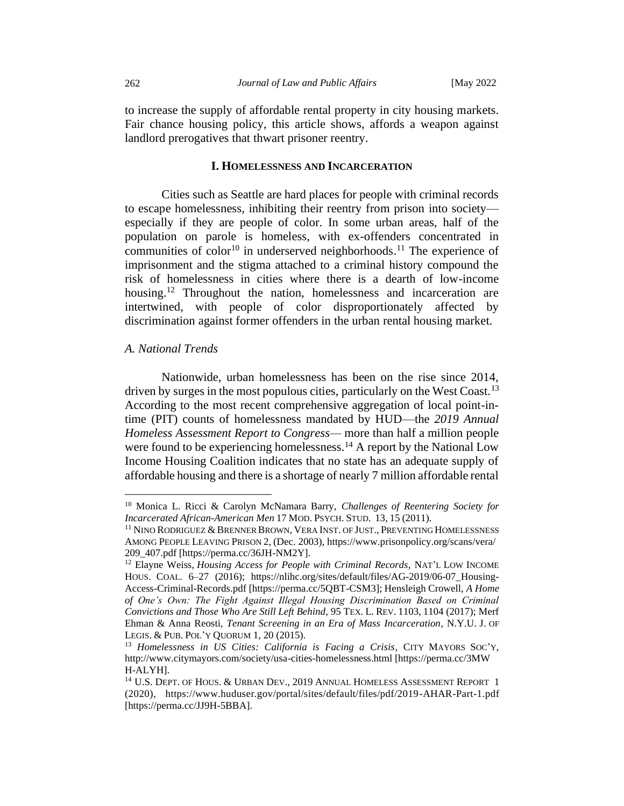to increase the supply of affordable rental property in city housing markets. Fair chance housing policy, this article shows, affords a weapon against landlord prerogatives that thwart prisoner reentry.

### **I. HOMELESSNESS AND INCARCERATION**

<span id="page-5-0"></span>Cities such as Seattle are hard places for people with criminal records to escape homelessness, inhibiting their reentry from prison into society especially if they are people of color. In some urban areas, half of the population on parole is homeless, with ex-offenders concentrated in communities of color<sup>10</sup> in underserved neighborhoods.<sup>11</sup> The experience of imprisonment and the stigma attached to a criminal history compound the risk of homelessness in cities where there is a dearth of low-income housing.<sup>12</sup> Throughout the nation, homelessness and incarceration are intertwined, with people of color disproportionately affected by discrimination against former offenders in the urban rental housing market.

### <span id="page-5-1"></span>*A. National Trends*

Nationwide, urban homelessness has been on the rise since 2014, driven by surges in the most populous cities, particularly on the West Coast.<sup>13</sup> According to the most recent comprehensive aggregation of local point-intime (PIT) counts of homelessness mandated by HUD—the *2019 Annual Homeless Assessment Report to Congress—* more than half a million people were found to be experiencing homelessness.<sup>14</sup> A report by the National Low Income Housing Coalition indicates that no state has an adequate supply of affordable housing and there is a shortage of nearly 7 million affordable rental

<sup>10</sup> Monica L. Ricci & Carolyn McNamara Barry, *Challenges of Reentering Society for Incarcerated African-American Men* 17 MOD.PSYCH.STUD. 13, 15 (2011).

<sup>&</sup>lt;sup>11</sup> NINO RODRIGUEZ & BRENNER BROWN, VERA INST. OF JUST., PREVENTING HOMELESSNESS AMONG PEOPLE LEAVING PRISON 2, (Dec. 2003), https://www.prisonpolicy.org/scans/vera/ 209\_407.pdf [https://perma.cc/36JH-NM2Y].

<sup>12</sup> Elayne Weiss, *Housing Access for People with Criminal Records,* NAT'L LOW INCOME HOUS. COAL. 6–27 (2016); https://nlihc.org/sites/default/files/AG-2019/06-07\_Housing-Access-Criminal-Records.pdf [https://perma.cc/5QBT-CSM3]; Hensleigh Crowell, *A Home of One's Own: The Fight Against Illegal Housing Discrimination Based on Criminal Convictions and Those Who Are Still Left Behind*, 95 TEX. L. REV. 1103, 1104 (2017); Merf Ehman & Anna Reosti, *Tenant Screening in an Era of Mass Incarceration*, N.Y.U. J. OF LEGIS. & PUB.POL'Y QUORUM 1, 20 (2015).

<sup>13</sup> *Homelessness in US Cities: California is Facing a Crisis*, CITY MAYORS SOC'Y, http://www.citymayors.com/society/usa-cities-homelessness.html [https://perma.cc/3MW H-ALYH].

<sup>&</sup>lt;sup>14</sup> U.S. DEPT. OF HOUS. & URBAN DEV., 2019 ANNUAL HOMELESS ASSESSMENT REPORT 1 (2020), https://www.huduser.gov/portal/sites/default/files/pdf/2019-AHAR-Part-1.pdf [https://perma.cc/JJ9H-5BBA].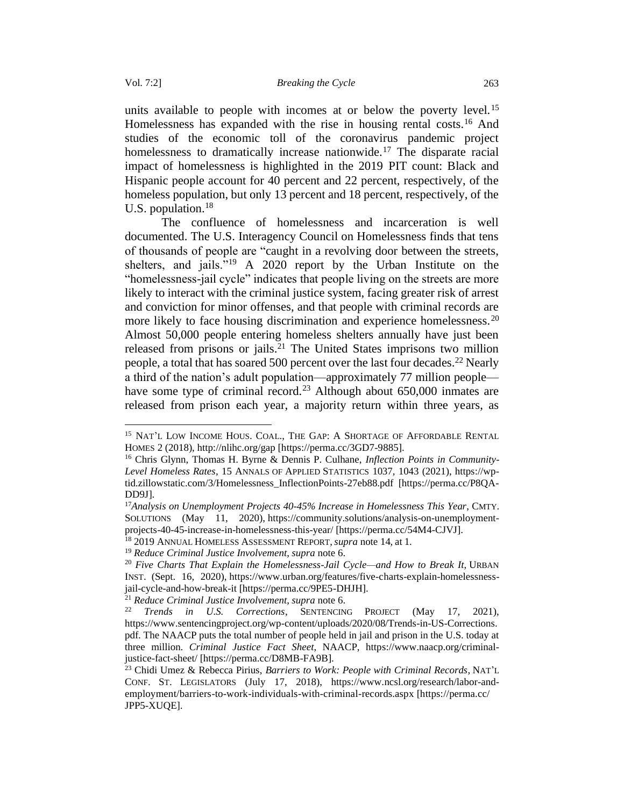units available to people with incomes at or below the poverty level.<sup>15</sup> Homelessness has expanded with the rise in housing rental costs.<sup>16</sup> And studies of the economic toll of the coronavirus pandemic project homelessness to dramatically increase nationwide.<sup>17</sup> The disparate racial impact of homelessness is highlighted in the 2019 PIT count: Black and Hispanic people account for 40 percent and 22 percent, respectively, of the homeless population, but only 13 percent and 18 percent, respectively, of the U.S. population.<sup>18</sup>

The confluence of homelessness and incarceration is well documented. The U.S. Interagency Council on Homelessness finds that tens of thousands of people are "caught in a revolving door between the streets, shelters, and jails."<sup>19</sup> A 2020 report by the Urban Institute on the "homelessness-jail cycle" indicates that people living on the streets are more likely to interact with the criminal justice system, facing greater risk of arrest and conviction for minor offenses, and that people with criminal records are more likely to face housing discrimination and experience homelessness.<sup>20</sup> Almost 50,000 people entering homeless shelters annually have just been released from prisons or jails.<sup>21</sup> The United States imprisons two million people, a total that has soared 500 percent over the last four decades.<sup>22</sup> Nearly a third of the nation's adult population—approximately 77 million people have some type of criminal record.<sup>23</sup> Although about  $650,000$  inmates are released from prison each year, a majority return within three years, as

<sup>&</sup>lt;sup>15</sup> NAT'L LOW INCOME HOUS. COAL., THE GAP: A SHORTAGE OF AFFORDABLE RENTAL HOMES 2 (2018), http://nlihc.org/gap [https://perma.cc/3GD7-9885].

<sup>16</sup> Chris Glynn, Thomas H. Byrne & Dennis P. Culhane, *Inflection Points in Community-Level Homeless Rates*, 15 ANNALS OF APPLIED STATISTICS 1037, 1043 (2021), https://wptid.zillowstatic.com/3/Homelessness\_InflectionPoints-27eb88.pdf [https://perma.cc/P8QA-DD9J].

<sup>17</sup>*Analysis on Unemployment Projects 40-45% Increase in Homelessness This Year*, CMTY. SOLUTIONS (May 11, 2020), https://community.solutions/analysis-on-unemploymentprojects-40-45-increase-in-homelessness-this-year/ [https://perma.cc/54M4-CJVJ].

<sup>18</sup> 2019 ANNUAL HOMELESS ASSESSMENT REPORT,*supra* note 14, at 1.

<sup>19</sup> *Reduce Criminal Justice Involvement*, *supra* note 6.

<sup>20</sup> *Five Charts That Explain the Homelessness-Jail Cycle—and How to Break It*, URBAN INST. (Sept. 16, 2020), https://www.urban.org/features/five-charts-explain-homelessnessjail-cycle-and-how-break-it [https://perma.cc/9PE5-DHJH].

<sup>21</sup> *Reduce Criminal Justice Involvement*, *supra* note 6.

<sup>22</sup> *Trends in U.S. Corrections*, SENTENCING PROJECT (May 17, 2021), https://www.sentencingproject.org/wp-content/uploads/2020/08/Trends-in-US-Corrections. pdf. The NAACP puts the total number of people held in jail and prison in the U.S. today at three million. *Criminal Justice Fact Sheet*, NAACP, https://www.naacp.org/criminaljustice-fact-sheet/ [https://perma.cc/D8MB-FA9B].

<sup>23</sup> Chidi Umez & Rebecca Pirius, *Barriers to Work: People with Criminal Records*, NAT'L CONF. ST. LEGISLATORS (July 17, 2018), https://www.ncsl.org/research/labor-andemployment/barriers-to-work-individuals-with-criminal-records.aspx [https://perma.cc/ JPP5-XUQE].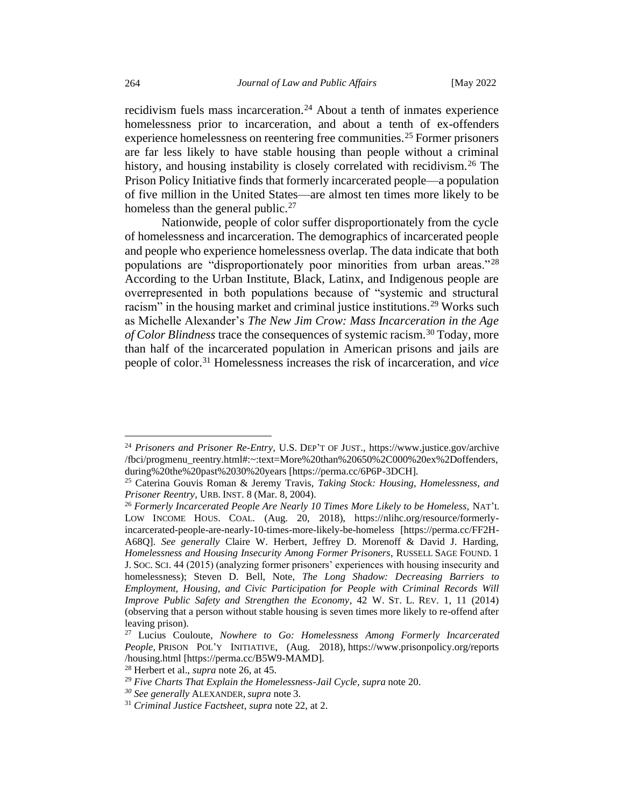recidivism fuels mass incarceration.<sup>24</sup> About a tenth of inmates experience homelessness prior to incarceration, and about a tenth of ex-offenders experience homelessness on reentering free communities.<sup>25</sup> Former prisoners are far less likely to have stable housing than people without a criminal history, and housing instability is closely correlated with recidivism.<sup>26</sup> The Prison Policy Initiative finds that formerly incarcerated people—a population of five million in the United States—are almost ten times more likely to be homeless than the general public.<sup>27</sup>

Nationwide, people of color suffer disproportionately from the cycle of homelessness and incarceration. The demographics of incarcerated people and people who experience homelessness overlap. The data indicate that both populations are "disproportionately poor minorities from urban areas."<sup>28</sup> According to the Urban Institute, Black, Latinx, and Indigenous people are overrepresented in both populations because of "systemic and structural racism" in the housing market and criminal justice institutions.<sup>29</sup> Works such as Michelle Alexander's *The New Jim Crow: Mass Incarceration in the Age of Color Blindness* trace the consequences of systemic racism.<sup>30</sup> Today, more than half of the incarcerated population in American prisons and jails are people of color.<sup>31</sup> Homelessness increases the risk of incarceration, and *vice* 

<sup>24</sup> *Prisoners and Prisoner Re-Entry,* U.S. DEP'T OF JUST., https://www.justice.gov/archive /fbci/progmenu\_reentry.html#:~:text=More%20than%20650%2C000%20ex%2Doffenders, during%20the%20past%2030%20years [https://perma.cc/6P6P-3DCH].

<sup>25</sup> Caterina Gouvis Roman & Jeremy Travis, *Taking Stock: Housing, Homelessness, and Prisoner Reentry*, URB. INST. 8 (Mar. 8, 2004).

<sup>26</sup> *Formerly Incarcerated People Are Nearly 10 Times More Likely to be Homeless,* NAT'L LOW INCOME HOUS. COAL. (Aug. 20, 2018), https://nlihc.org/resource/formerlyincarcerated-people-are-nearly-10-times-more-likely-be-homeless [https://perma.cc/FF2H-A68Q]. *See generally* Claire W. Herbert, Jeffrey D. Morenoff & David J. Harding, *Homelessness and Housing Insecurity Among Former Prisoners*, RUSSELL SAGE FOUND. 1 J.SOC.SCI. 44 (2015) (analyzing former prisoners' experiences with housing insecurity and homelessness); Steven D. Bell, Note, *The Long Shadow: Decreasing Barriers to Employment, Housing, and Civic Participation for People with Criminal Records Will Improve Public Safety and Strengthen the Economy*, 42 W. ST. L. REV. 1, 11 (2014) (observing that a person without stable housing is seven times more likely to re-offend after leaving prison).

<sup>27</sup> Lucius Couloute, *Nowhere to Go: Homelessness Among Formerly Incarcerated People*, PRISON POL'Y INITIATIVE, (Aug. 2018), https://www.prisonpolicy.org/reports /housing.html [https://perma.cc/B5W9-MAMD].

<sup>28</sup> Herbert et al., *supra* note 26, at 45.

<sup>29</sup> *Five Charts That Explain the Homelessness-Jail Cycle*, *supra* note 20.

*<sup>30</sup> See generally* ALEXANDER*, supra* note 3.

<sup>31</sup> *Criminal Justice Factsheet*, *supra* note 22, at 2.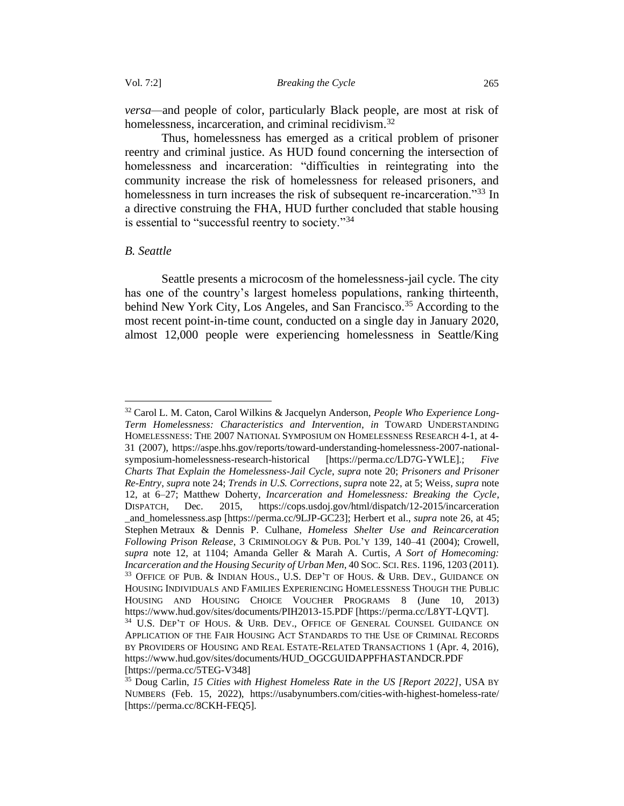*versa—*and people of color, particularly Black people, are most at risk of homelessness, incarceration, and criminal recidivism.<sup>32</sup>

Thus, homelessness has emerged as a critical problem of prisoner reentry and criminal justice. As HUD found concerning the intersection of homelessness and incarceration: "difficulties in reintegrating into the community increase the risk of homelessness for released prisoners, and homelessness in turn increases the risk of subsequent re-incarceration.<sup>33</sup> In a directive construing the FHA, HUD further concluded that stable housing is essential to "successful reentry to society."<sup>34</sup>

### <span id="page-8-0"></span>*B. Seattle*

Seattle presents a microcosm of the homelessness-jail cycle. The city has one of the country's largest homeless populations, ranking thirteenth, behind New York City, Los Angeles, and San Francisco.<sup>35</sup> According to the most recent point-in-time count, conducted on a single day in January 2020, almost 12,000 people were experiencing homelessness in Seattle/King

<sup>32</sup> Carol L. M. Caton, Carol Wilkins & Jacquelyn Anderson, *People Who Experience Long-Term Homelessness: Characteristics and Intervention*, *in* TOWARD UNDERSTANDING HOMELESSNESS: THE 2007 NATIONAL SYMPOSIUM ON HOMELESSNESS RESEARCH 4-1, at 4- 31 (2007), https://aspe.hhs.gov/reports/toward-understanding-homelessness-2007-nationalsymposium-homelessness-research-historical [https://perma.cc/LD7G-YWLE].; *Five Charts That Explain the Homelessness-Jail Cycle*, *supra* note 20; *Prisoners and Prisoner Re-Entry*, *supra* note 24; *Trends in U.S. Corrections*, *supra* note 22, at 5; Weiss, *supra* note 12, at 6–27; Matthew Doherty, *Incarceration and Homelessness: Breaking the Cycle*, DISPATCH, Dec. 2015, https://cops.usdoj.gov/html/dispatch/12-2015/incarceration \_and\_homelessness.asp [https://perma.cc/9LJP-GC23]; Herbert et al., *supra* note 26, at 45; Stephen Metraux & Dennis P. Culhane, *Homeless Shelter Use and Reincarceration Following Prison Release*, 3 CRIMINOLOGY & PUB. POL'Y 139, 140–41 (2004); Crowell, *supra* note 12, at 1104; Amanda Geller & Marah A. Curtis, *A Sort of Homecoming: Incarceration and the Housing Security of Urban Men*, 40 SOC.SCI. RES. 1196, 1203 (2011). <sup>33</sup> OFFICE OF PUB. & INDIAN HOUS., U.S. DEP'T OF HOUS. & URB. DEV., GUIDANCE ON HOUSING INDIVIDUALS AND FAMILIES EXPERIENCING HOMELESSNESS THOUGH THE PUBLIC HOUSING AND HOUSING CHOICE VOUCHER PROGRAMS 8 (June 10, 2013) https://www.hud.gov/sites/documents/PIH2013-15.PDF [https://perma.cc/L8YT-LQVT]. <sup>34</sup> U.S. DEP'T OF HOUS. & URB. DEV., OFFICE OF GENERAL COUNSEL GUIDANCE ON APPLICATION OF THE FAIR HOUSING ACT STANDARDS TO THE USE OF CRIMINAL RECORDS BY PROVIDERS OF HOUSING AND REAL ESTATE-RELATED TRANSACTIONS 1 (Apr. 4, 2016), https://www.hud.gov/sites/documents/HUD\_OGCGUIDAPPFHASTANDCR.PDF [https://perma.cc/5TEG-V348]

<sup>35</sup> Doug Carlin, *15 Cities with Highest Homeless Rate in the US [Report 2022]*, USA BY NUMBERS (Feb. 15, 2022), https://usabynumbers.com/cities-with-highest-homeless-rate/ [https://perma.cc/8CKH-FEQ5].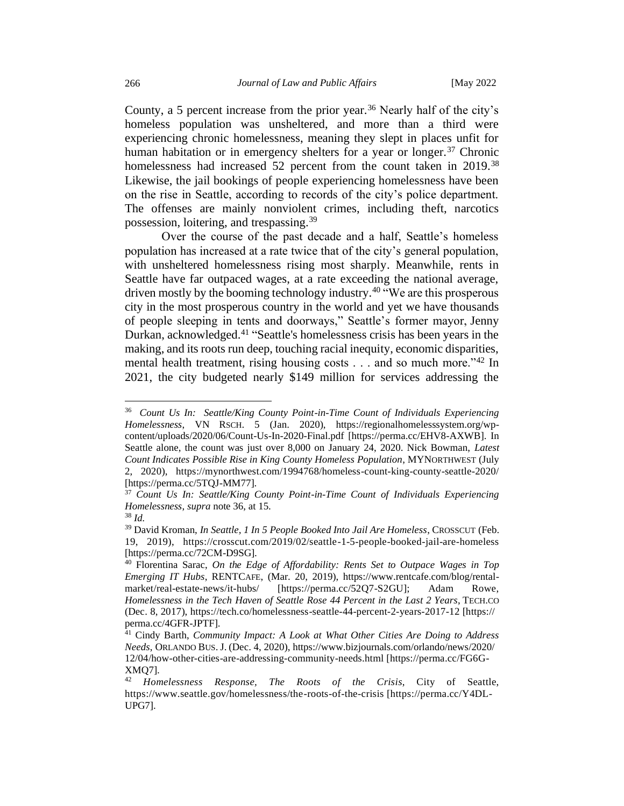County, a 5 percent increase from the prior year.<sup>36</sup> Nearly half of the city's homeless population was unsheltered, and more than a third were experiencing chronic homelessness, meaning they slept in places unfit for human habitation or in emergency shelters for a year or longer.<sup>37</sup> Chronic homelessness had increased 52 percent from the count taken in 2019.<sup>38</sup> Likewise, the jail bookings of people experiencing homelessness have been on the rise in Seattle, according to records of the city's police department. The offenses are mainly nonviolent crimes, including theft, narcotics possession, loitering, and trespassing.<sup>39</sup>

Over the course of the past decade and a half, Seattle's homeless population has increased at a rate twice that of the city's general population, with unsheltered homelessness rising most sharply. Meanwhile, rents in Seattle have far outpaced wages, at a rate exceeding the national average, driven mostly by the booming technology industry.<sup>40</sup> "We are this prosperous city in the most prosperous country in the world and yet we have thousands of people sleeping in tents and doorways," Seattle's former mayor, Jenny Durkan, acknowledged.<sup>41</sup> "Seattle's homelessness crisis has been years in the making, and its roots run deep, touching racial inequity, economic disparities, mental health treatment, rising housing costs . . . and so much more."<sup>42</sup> In 2021, the city budgeted nearly \$149 million for services addressing the

<sup>36</sup> *Count Us In: Seattle/King County Point-in-Time Count of Individuals Experiencing Homelessness*, VN RSCH. 5 (Jan. 2020), https://regionalhomelesssystem.org/wpcontent/uploads/2020/06/Count-Us-In-2020-Final.pdf [https://perma.cc/EHV8-AXWB]. In Seattle alone, the count was just over 8,000 on January 24, 2020. Nick Bowman, *Latest Count Indicates Possible Rise in King County Homeless Population*, MYNORTHWEST (July 2, 2020), https://mynorthwest.com/1994768/homeless-count-king-county-seattle-2020/ [https://perma.cc/5TQJ-MM77].

<sup>37</sup> *Count Us In: Seattle/King County Point-in-Time Count of Individuals Experiencing Homelessness*, *supra* note 36, at 15.

<sup>38</sup> *Id.*

<sup>39</sup> David Kroman, *In Seattle, 1 In 5 People Booked Into Jail Are Homeless*, CROSSCUT (Feb. 19, 2019), https://crosscut.com/2019/02/seattle-1-5-people-booked-jail-are-homeless [https://perma.cc/72CM-D9SG].

<sup>40</sup> Florentina Sarac, *On the Edge of Affordability: Rents Set to Outpace Wages in Top Emerging IT Hubs*, RENTCAFE, (Mar. 20, 2019), https://www.rentcafe.com/blog/rentalmarket/real-estate-news/it-hubs/ [https://perma.cc/52Q7-S2GU]; Adam Rowe, *Homelessness in the Tech Haven of Seattle Rose 44 Percent in the Last 2 Years*, TECH.CO (Dec. 8, 2017), https://tech.co/homelessness-seattle-44-percent-2-years-2017-12 [https:// perma.cc/4GFR-JPTF].

<sup>41</sup> Cindy Barth, *Community Impact: A Look at What Other Cities Are Doing to Address Needs*, ORLANDO BUS. J. (Dec. 4, 2020), https://www.bizjournals.com/orlando/news/2020/ 12/04/how-other-cities-are-addressing-community-needs.html [https://perma.cc/FG6G-XMQ7].

<sup>42</sup> *Homelessness Response, The Roots of the Crisis*, City of Seattle, https://www.seattle.gov/homelessness/the-roots-of-the-crisis [https://perma.cc/Y4DL-UPG7].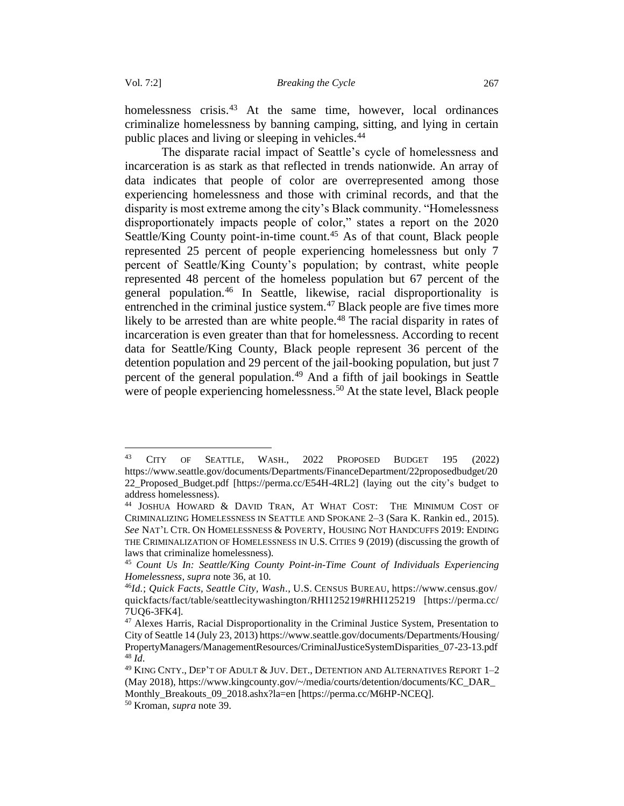homelessness crisis.<sup>43</sup> At the same time, however, local ordinances criminalize homelessness by banning camping, sitting, and lying in certain public places and living or sleeping in vehicles.<sup>44</sup>

The disparate racial impact of Seattle's cycle of homelessness and incarceration is as stark as that reflected in trends nationwide. An array of data indicates that people of color are overrepresented among those experiencing homelessness and those with criminal records, and that the disparity is most extreme among the city's Black community. "Homelessness disproportionately impacts people of color," states a report on the 2020 Seattle/King County point-in-time count.<sup>45</sup> As of that count, Black people represented 25 percent of people experiencing homelessness but only 7 percent of Seattle/King County's population; by contrast, white people represented 48 percent of the homeless population but 67 percent of the general population.<sup>46</sup> In Seattle, likewise, racial disproportionality is entrenched in the criminal justice system.<sup>47</sup> Black people are five times more likely to be arrested than are white people.<sup>48</sup> The racial disparity in rates of incarceration is even greater than that for homelessness. According to recent data for Seattle/King County, Black people represent 36 percent of the detention population and 29 percent of the jail-booking population, but just 7 percent of the general population.<sup>49</sup> And a fifth of jail bookings in Seattle were of people experiencing homelessness.<sup>50</sup> At the state level, Black people

<sup>43</sup> CITY OF SEATTLE, WASH., 2022 PROPOSED BUDGET 195 (2022) https://www.seattle.gov/documents/Departments/FinanceDepartment/22proposedbudget/20 22\_Proposed\_Budget.pdf [https://perma.cc/E54H-4RL2] (laying out the city's budget to address homelessness).

<sup>44</sup> JOSHUA HOWARD & DAVID TRAN, AT WHAT COST: THE MINIMUM COST OF CRIMINALIZING HOMELESSNESS IN SEATTLE AND SPOKANE 2–3 (Sara K. Rankin ed., 2015). *See* NAT'L CTR. ON HOMELESSNESS & POVERTY, HOUSING NOT HANDCUFFS 2019: ENDING THE CRIMINALIZATION OF HOMELESSNESS IN U.S. CITIES 9 (2019) (discussing the growth of laws that criminalize homelessness)*.*

<sup>45</sup> *Count Us In: Seattle/King County Point-in-Time Count of Individuals Experiencing Homelessness*, *supra* note 36, at 10.

<sup>46</sup>*Id.*; *Quick Facts, Seattle City, Wash*., U.S. CENSUS BUREAU, https://www.census.gov/ quickfacts/fact/table/seattlecitywashington/RHI125219#RHI125219 [https://perma.cc/ 7UQ6-3FK4].

<sup>&</sup>lt;sup>47</sup> Alexes Harris, Racial Disproportionality in the Criminal Justice System, Presentation to City of Seattle 14 (July 23, 2013) https://www.seattle.gov/documents/Departments/Housing/ PropertyManagers/ManagementResources/CriminalJusticeSystemDisparities\_07-23-13.pdf <sup>48</sup> *Id*.

 $^{49}$  KING CNTY., DEP'T OF ADULT  $\&$  JUV. DET., DETENTION AND ALTERNATIVES REPORT 1-2 (May 2018), https://www.kingcounty.gov/~/media/courts/detention/documents/KC\_DAR\_ Monthly Breakouts 09 2018.ashx?la=en [https://perma.cc/M6HP-NCEO].

<sup>50</sup> Kroman, *supra* note 39.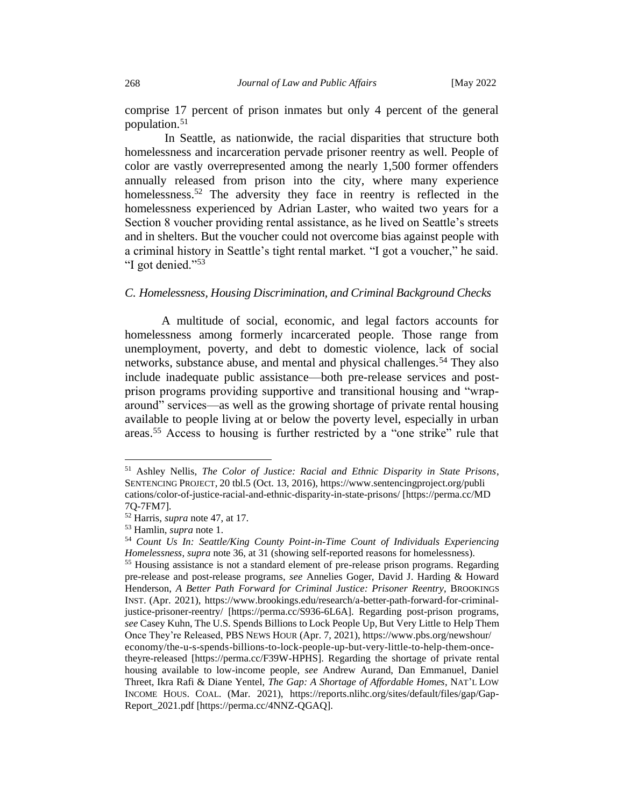comprise 17 percent of prison inmates but only 4 percent of the general population.<sup>51</sup>

In Seattle, as nationwide, the racial disparities that structure both homelessness and incarceration pervade prisoner reentry as well. People of color are vastly overrepresented among the nearly 1,500 former offenders annually released from prison into the city, where many experience homelessness.<sup>52</sup> The adversity they face in reentry is reflected in the homelessness experienced by Adrian Laster, who waited two years for a Section 8 voucher providing rental assistance, as he lived on Seattle's streets and in shelters. But the voucher could not overcome bias against people with a criminal history in Seattle's tight rental market. "I got a voucher," he said. "I got denied."<sup>53</sup>

### <span id="page-11-0"></span>*C. Homelessness, Housing Discrimination, and Criminal Background Checks*

A multitude of social, economic, and legal factors accounts for homelessness among formerly incarcerated people. Those range from unemployment, poverty, and debt to domestic violence, lack of social networks, substance abuse, and mental and physical challenges.<sup>54</sup> They also include inadequate public assistance—both pre-release services and postprison programs providing supportive and transitional housing and "wraparound" services—as well as the growing shortage of private rental housing available to people living at or below the poverty level, especially in urban areas. <sup>55</sup> Access to housing is further restricted by a "one strike" rule that

<sup>51</sup> Ashley Nellis, *The Color of Justice: Racial and Ethnic Disparity in State Prisons*, SENTENCING PROJECT, 20 tbl.5 (Oct. 13, 2016), https://www.sentencingproject.org/publi cations/color-of-justice-racial-and-ethnic-disparity-in-state-prisons/ [https://perma.cc/MD 7Q-7FM7].

<sup>52</sup> Harris, *supra* note 47, at 17.

<sup>53</sup> Hamlin, *supra* note 1.

<sup>54</sup> *Count Us In: Seattle/King County Point-in-Time Count of Individuals Experiencing Homelessness*, *supra* note 36, at 31 (showing self-reported reasons for homelessness).

<sup>55</sup> Housing assistance is not a standard element of pre-release prison programs. Regarding pre-release and post-release programs, *see* Annelies Goger, David J. Harding & Howard Henderson, *A Better Path Forward for Criminal Justice: Prisoner Reentry*, BROOKINGS INST. (Apr. 2021), https://www.brookings.edu/research/a-better-path-forward-for-criminaljustice-prisoner-reentry/ [https://perma.cc/S936-6L6A]. Regarding post-prison programs, *see* Casey Kuhn, The U.S. Spends Billions to Lock People Up, But Very Little to Help Them Once They're Released, PBS NEWS HOUR (Apr. 7, 2021), https://www.pbs.org/newshour/ economy/the-u-s-spends-billions-to-lock-people-up-but-very-little-to-help-them-oncetheyre-released [https://perma.cc/F39W-HPHS]. Regarding the shortage of private rental housing available to low-income people, *see* Andrew Aurand, Dan Emmanuel, Daniel Threet, Ikra Rafi & Diane Yentel, *The Gap: A Shortage of Affordable Homes*, NAT'L LOW INCOME HOUS. COAL. (Mar. 2021), https://reports.nlihc.org/sites/default/files/gap/Gap-Report\_2021.pdf [https://perma.cc/4NNZ-QGAQ].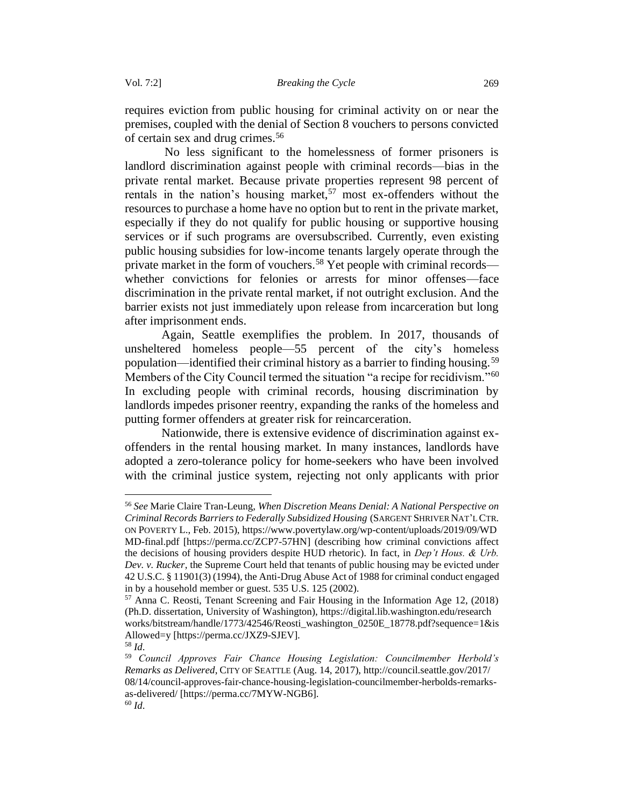requires eviction from public housing for criminal activity on or near the premises, coupled with the denial of Section 8 vouchers to persons convicted of certain sex and drug crimes.<sup>56</sup>

No less significant to the homelessness of former prisoners is landlord discrimination against people with criminal records—bias in the private rental market. Because private properties represent 98 percent of rentals in the nation's housing market,<sup>57</sup> most ex-offenders without the resources to purchase a home have no option but to rent in the private market, especially if they do not qualify for public housing or supportive housing services or if such programs are oversubscribed. Currently, even existing public housing subsidies for low-income tenants largely operate through the private market in the form of vouchers.<sup>58</sup> Yet people with criminal records whether convictions for felonies or arrests for minor offenses—face discrimination in the private rental market, if not outright exclusion. And the barrier exists not just immediately upon release from incarceration but long after imprisonment ends.

Again, Seattle exemplifies the problem. In 2017, thousands of unsheltered homeless people—55 percent of the city's homeless population—identified their criminal history as a barrier to finding housing.<sup>59</sup> Members of the City Council termed the situation "a recipe for recidivism."<sup>60</sup> In excluding people with criminal records, housing discrimination by landlords impedes prisoner reentry, expanding the ranks of the homeless and putting former offenders at greater risk for reincarceration.

Nationwide, there is extensive evidence of discrimination against exoffenders in the rental housing market. In many instances, landlords have adopted a zero-tolerance policy for home-seekers who have been involved with the criminal justice system, rejecting not only applicants with prior

<sup>56</sup> *See* Marie Claire Tran-Leung, *When Discretion Means Denial: A National Perspective on Criminal Records Barriers to Federally Subsidized Housing* (SARGENT SHRIVER NAT'L CTR. ON POVERTY L., Feb. 2015), https://www.povertylaw.org/wp-content/uploads/2019/09/WD MD-final.pdf [https://perma.cc/ZCP7-57HN] (describing how criminal convictions affect the decisions of housing providers despite HUD rhetoric). In fact, in *Dep't Hous. & Urb. Dev. v. Rucker*, the Supreme Court held that tenants of public housing may be evicted under 42 U.S.C. § 11901(3) (1994), the Anti-Drug Abuse Act of 1988 for criminal conduct engaged in by a household member or guest. 535 U.S. 125 (2002).

<sup>57</sup> Anna C. Reosti, Tenant Screening and Fair Housing in the Information Age 12, (2018) (Ph.D. dissertation, University of Washington), https://digital.lib.washington.edu/research works/bitstream/handle/1773/42546/Reosti\_washington\_0250E\_18778.pdf?sequence=1&is Allowed=y [https://perma.cc/JXZ9-SJEV].

<sup>58</sup> *Id*.

<sup>59</sup> *Council Approves Fair Chance Housing Legislation: Councilmember Herbold's Remarks as Delivered*, CITY OF SEATTLE (Aug. 14, 2017), http://council.seattle.gov/2017/ 08/14/council-approves-fair-chance-housing-legislation-councilmember-herbolds-remarksas-delivered/ [https://perma.cc/7MYW-NGB6].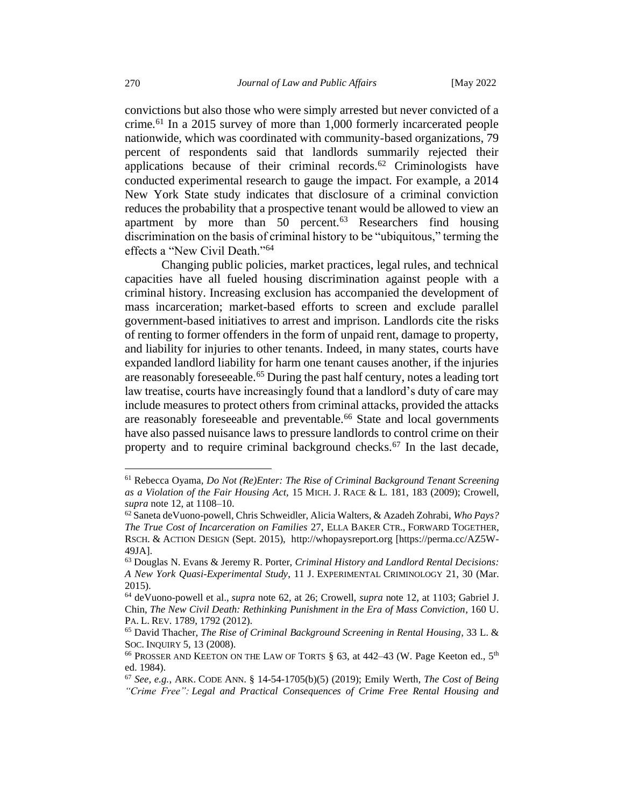convictions but also those who were simply arrested but never convicted of a crime.<sup>61</sup> In a 2015 survey of more than 1,000 formerly incarcerated people nationwide, which was coordinated with community-based organizations, 79 percent of respondents said that landlords summarily rejected their applications because of their criminal records. $62$  Criminologists have conducted experimental research to gauge the impact. For example, a 2014 New York State study indicates that disclosure of a criminal conviction reduces the probability that a prospective tenant would be allowed to view an apartment by more than  $50$  percent.<sup>63</sup> Researchers find housing discrimination on the basis of criminal history to be "ubiquitous," terming the effects a "New Civil Death."<sup>64</sup>

Changing public policies, market practices, legal rules, and technical capacities have all fueled housing discrimination against people with a criminal history. Increasing exclusion has accompanied the development of mass incarceration; market-based efforts to screen and exclude parallel government-based initiatives to arrest and imprison. Landlords cite the risks of renting to former offenders in the form of unpaid rent, damage to property, and liability for injuries to other tenants. Indeed, in many states, courts have expanded landlord liability for harm one tenant causes another, if the injuries are reasonably foreseeable.<sup>65</sup> During the past half century, notes a leading tort law treatise, courts have increasingly found that a landlord's duty of care may include measures to protect others from criminal attacks, provided the attacks are reasonably foreseeable and preventable.<sup>66</sup> State and local governments have also passed nuisance laws to pressure landlords to control crime on their property and to require criminal background checks.<sup>67</sup> In the last decade,

<sup>61</sup> Rebecca Oyama, *Do Not (Re)Enter: The Rise of Criminal Background Tenant Screening as a Violation of the Fair Housing Act,* 15 MICH. J. RACE & L. 181, 183 (2009); Crowell, *supra* note 12, at 1108–10.

<sup>62</sup>Saneta deVuono-powell, Chris Schweidler, Alicia Walters, & Azadeh Zohrabi, *Who Pays? The True Cost of Incarceration on Families* 27, ELLA BAKER CTR., FORWARD TOGETHER, RSCH. & ACTION DESIGN (Sept. 2015), [http://whopaysreport.org](http://whopaysreport.org/) [https://perma.cc/AZ5W-49JA].

<sup>63</sup> Douglas N. Evans & Jeremy R. Porter, *Criminal History and Landlord Rental Decisions: A New York Quasi-Experimental Study*, 11 J. EXPERIMENTAL CRIMINOLOGY 21, 30 (Mar. 2015).

<sup>64</sup> deVuono-powell et al., *supra* note 62, at 26; Crowell, *supra* note 12, at 1103; Gabriel J. Chin, *The New Civil Death: Rethinking Punishment in the Era of Mass Conviction*, 160 U. PA. L. REV*.* 1789, 1792 (2012).

<sup>65</sup> David Thacher, *The Rise of Criminal Background Screening in Rental Housing*, 33 L. & SOC. INQUIRY 5, 13 (2008).

<sup>&</sup>lt;sup>66</sup> PROSSER AND KEETON ON THE LAW OF TORTS  $\S$  63, at 442–43 (W. Page Keeton ed., 5<sup>th</sup> ed. 1984).

<sup>67</sup> *See, e.g.*, ARK. CODE ANN. § 14-54-1705(b)(5) (2019); Emily Werth, *The Cost of Being "Crime Free": Legal and Practical Consequences of Crime Free Rental Housing and*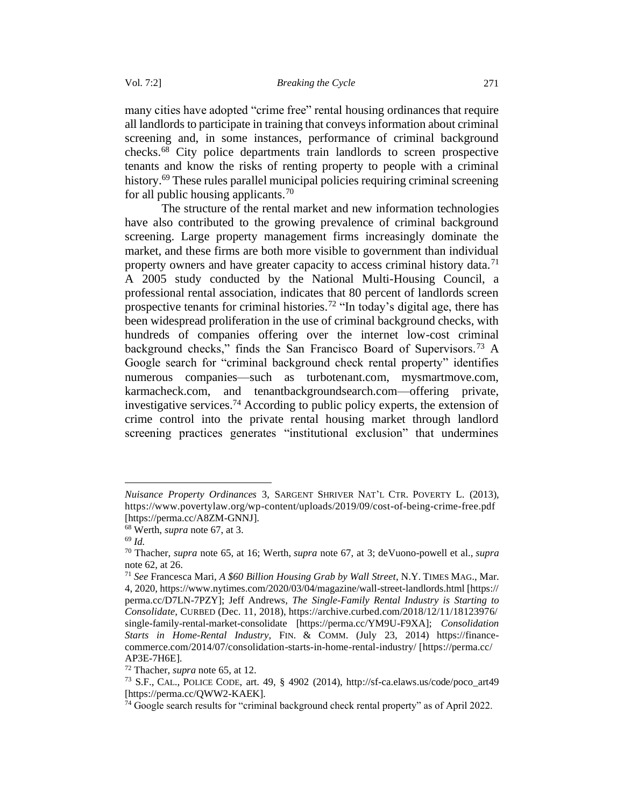many cities have adopted "crime free" rental housing ordinances that require all landlords to participate in training that conveys information about criminal screening and, in some instances, performance of criminal background checks.<sup>68</sup> City police departments train landlords to screen prospective tenants and know the risks of renting property to people with a criminal history.<sup>69</sup> These rules parallel municipal policies requiring criminal screening for all public housing applicants.<sup>70</sup>

The structure of the rental market and new information technologies have also contributed to the growing prevalence of criminal background screening. Large property management firms increasingly dominate the market, and these firms are both more visible to government than individual property owners and have greater capacity to access criminal history data.<sup>71</sup> A 2005 study conducted by the National Multi-Housing Council, a professional rental association, indicates that 80 percent of landlords screen prospective tenants for criminal histories.<sup>72</sup> "In today's digital age, there has been widespread proliferation in the use of criminal background checks, with hundreds of companies offering over the internet low-cost criminal background checks," finds the San Francisco Board of Supervisors.<sup>73</sup> A Google search for "criminal background check rental property" identifies numerous companies—such as turbotenant.com, mysmartmove.com, karmacheck.com, and tenantbackgroundsearch.com—offering private, investigative services.<sup>74</sup> According to public policy experts, the extension of crime control into the private rental housing market through landlord screening practices generates "institutional exclusion" that undermines

*Nuisance Property Ordinances* 3, SARGENT SHRIVER NAT'L CTR. POVERTY L. (2013), https://www.povertylaw.org/wp-content/uploads/2019/09/cost-of-being-crime-free.pdf [https://perma.cc/A8ZM-GNNJ].

<sup>68</sup> Werth, *supra* note 67, at 3.

<sup>69</sup> *Id.*

<sup>70</sup> Thacher, *supra* note 65, at 16; Werth, *supra* note 67, at 3; deVuono-powell et al., *supra* note 62, at 26.

<sup>71</sup> *See* Francesca Mari, *A \$60 Billion Housing Grab by Wall Street*, N.Y. TIMES MAG., Mar. 4, 2020, https://www.nytimes.com/2020/03/04/magazine/wall-street-landlords.html [https:// perma.cc/D7LN-7PZY]; Jeff Andrews, *The Single-Family Rental Industry is Starting to Consolidate*, CURBED (Dec. 11, 2018), https://archive.curbed.com/2018/12/11/18123976/ single-family-rental-market-consolidate [https://perma.cc/YM9U-F9XA]; *Consolidation Starts in Home-Rental Industry*, FIN. & COMM. (July 23, 2014) https://financecommerce.com/2014/07/consolidation-starts-in-home-rental-industry/ [https://perma.cc/ AP3E-7H6E].

<sup>72</sup> Thacher, *supra* note 65, at 12.

<sup>73</sup> S.F., CAL., POLICE CODE, art. 49, § 4902 (2014), http://sf-ca.elaws.us/code/poco\_art49 [https://perma.cc/QWW2-KAEK].

<sup>&</sup>lt;sup>74</sup> Google search results for "criminal background check rental property" as of April 2022.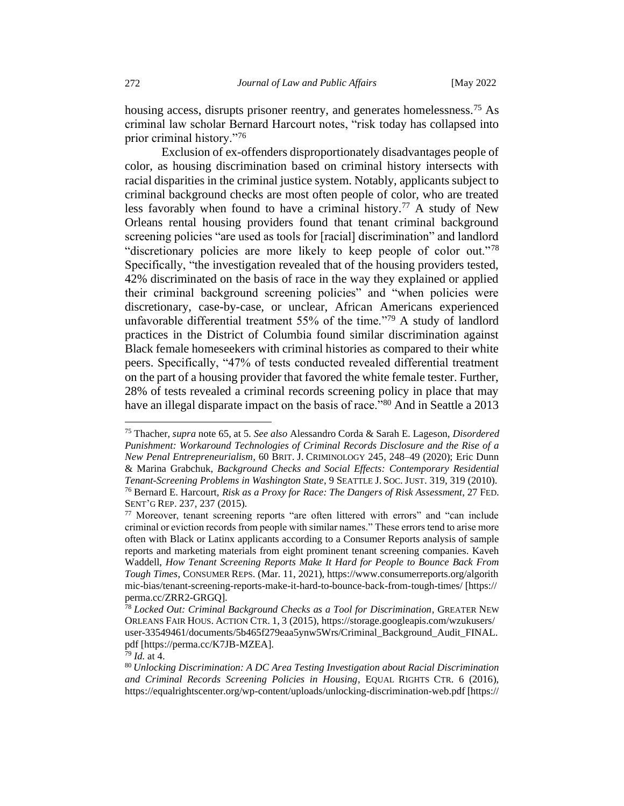housing access, disrupts prisoner reentry, and generates homelessness.<sup>75</sup> As criminal law scholar Bernard Harcourt notes, "risk today has collapsed into prior criminal history."<sup>76</sup>

Exclusion of ex-offenders disproportionately disadvantages people of color, as housing discrimination based on criminal history intersects with racial disparities in the criminal justice system. Notably, applicants subject to criminal background checks are most often people of color, who are treated less favorably when found to have a criminal history.<sup>77</sup> A study of New Orleans rental housing providers found that tenant criminal background screening policies "are used as tools for [racial] discrimination" and landlord "discretionary policies are more likely to keep people of color out."<sup>78</sup> Specifically, "the investigation revealed that of the housing providers tested, 42% discriminated on the basis of race in the way they explained or applied their criminal background screening policies" and "when policies were discretionary, case-by-case, or unclear, African Americans experienced unfavorable differential treatment 55% of the time."<sup>79</sup> A study of landlord practices in the District of Columbia found similar discrimination against Black female homeseekers with criminal histories as compared to their white peers. Specifically, "47% of tests conducted revealed differential treatment on the part of a housing provider that favored the white female tester. Further, 28% of tests revealed a criminal records screening policy in place that may have an illegal disparate impact on the basis of race."<sup>80</sup> And in Seattle a 2013

<sup>75</sup> Thacher, *supra* note 65, at 5. *See also* Alessandro Corda & Sarah E. Lageson, *Disordered Punishment: Workaround Technologies of Criminal Records Disclosure and the Rise of a New Penal Entrepreneurialism*, 60 BRIT. J. CRIMINOLOGY 245, 248–49 (2020); Eric Dunn & Marina Grabchuk, *Background Checks and Social Effects: Contemporary Residential Tenant-Screening Problems in Washington State*, 9 SEATTLE J.SOC. JUST. 319, 319 (2010). <sup>76</sup> Bernard E. Harcourt, *Risk as a Proxy for Race: The Dangers of Risk Assessment*, 27 FED. SENT'G REP. 237, 237 (2015).

 $77$  Moreover, tenant screening reports "are often littered with errors" and "can include criminal or eviction records from people with similar names." These errors tend to arise more often with Black or Latinx applicants according to a Consumer Reports analysis of sample reports and marketing materials from eight prominent tenant screening companies. Kaveh Waddell, *How Tenant Screening Reports Make It Hard for People to Bounce Back From Tough Times*, CONSUMER REPS. (Mar. 11, 2021), https://www.consumerreports.org/algorith mic-bias/tenant-screening-reports-make-it-hard-to-bounce-back-from-tough-times/ [https:// perma.cc/ZRR2-GRGQ].

<sup>78</sup> *Locked Out: Criminal Background Checks as a Tool for Discrimination*, GREATER NEW ORLEANS FAIR HOUS. ACTION CTR. 1, 3 (2015), https://storage.googleapis.com/wzukusers/ user-33549461/documents/5b465f279eaa5ynw5Wrs/Criminal\_Background\_Audit\_FINAL. pdf [https://perma.cc/K7JB-MZEA].

<sup>79</sup> *Id.* at 4.

<sup>80</sup> *Unlocking Discrimination: A DC Area Testing Investigation about Racial Discrimination and Criminal Records Screening Policies in Housing*, EQUAL RIGHTS CTR. 6 (2016), https://equalrightscenter.org/wp-content/uploads/unlocking-discrimination-web.pdf [https://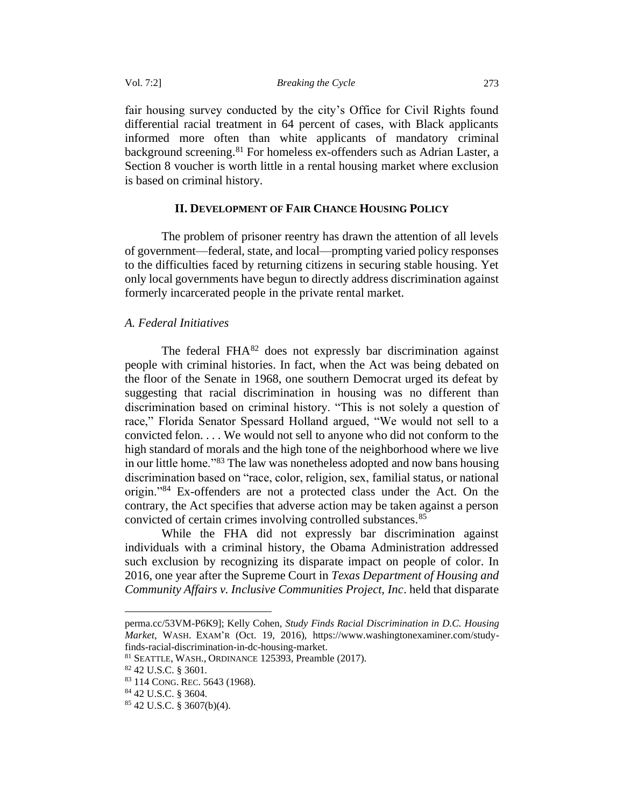fair housing survey conducted by the city's Office for Civil Rights found differential racial treatment in 64 percent of cases, with Black applicants informed more often than white applicants of mandatory criminal background screening.<sup>81</sup> For homeless ex-offenders such as Adrian Laster, a Section 8 voucher is worth little in a rental housing market where exclusion is based on criminal history.

### **II. DEVELOPMENT OF FAIR CHANCE HOUSING POLICY**

<span id="page-16-0"></span>The problem of prisoner reentry has drawn the attention of all levels of government—federal, state, and local—prompting varied policy responses to the difficulties faced by returning citizens in securing stable housing. Yet only local governments have begun to directly address discrimination against formerly incarcerated people in the private rental market.

### <span id="page-16-1"></span>*A. Federal Initiatives*

The federal  $FHA^{82}$  does not expressly bar discrimination against people with criminal histories. In fact, when the Act was being debated on the floor of the Senate in 1968, one southern Democrat urged its defeat by suggesting that racial discrimination in housing was no different than discrimination based on criminal history. "This is not solely a question of race," Florida Senator Spessard Holland argued, "We would not sell to a convicted felon. . . . We would not sell to anyone who did not conform to the high standard of morals and the high tone of the neighborhood where we live in our little home."<sup>83</sup> The law was nonetheless adopted and now bans housing discrimination based on "race, color, religion, sex, familial status, or national origin."<sup>84</sup> Ex-offenders are not a protected class under the Act. On the contrary, the Act specifies that adverse action may be taken against a person convicted of certain crimes involving controlled substances.<sup>85</sup>

While the FHA did not expressly bar discrimination against individuals with a criminal history, the Obama Administration addressed such exclusion by recognizing its disparate impact on people of color. In 2016, one year after the Supreme Court in *Texas Department of Housing and Community Affairs v. Inclusive Communities Project, Inc*. held that disparate

perma.cc/53VM-P6K9]; Kelly Cohen, *Study Finds Racial Discrimination in D.C. Housing Market*, WASH. EXAM'R (Oct. 19, 2016), https://www.washingtonexaminer.com/studyfinds-racial-discrimination-in-dc-housing-market.

<sup>81</sup> SEATTLE, WASH., ORDINANCE 125393, Preamble (2017).

<sup>82</sup> 42 U.S.C. § 3601*.*

<sup>83</sup> 114 CONG. REC. 5643 (1968).

<sup>84</sup> 42 U.S.C. § 3604.

<sup>85</sup> 42 U.S.C. § 3607(b)(4).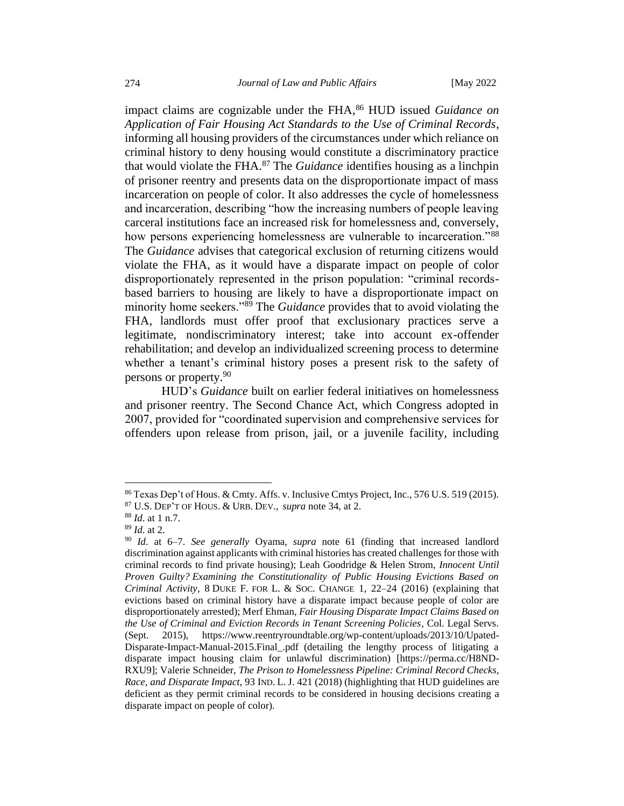impact claims are cognizable under the FHA,<sup>86</sup> HUD issued *Guidance on Application of Fair Housing Act Standards to the Use of Criminal Records*, informing all housing providers of the circumstances under which reliance on criminal history to deny housing would constitute a discriminatory practice that would violate the FHA.<sup>87</sup> The *Guidance* identifies housing as a linchpin of prisoner reentry and presents data on the disproportionate impact of mass incarceration on people of color. It also addresses the cycle of homelessness and incarceration, describing "how the increasing numbers of people leaving carceral institutions face an increased risk for homelessness and, conversely, how persons experiencing homelessness are vulnerable to incarceration."<sup>88</sup> The *Guidance* advises that categorical exclusion of returning citizens would violate the FHA, as it would have a disparate impact on people of color disproportionately represented in the prison population: "criminal recordsbased barriers to housing are likely to have a disproportionate impact on minority home seekers."<sup>89</sup> The *Guidance* provides that to avoid violating the FHA, landlords must offer proof that exclusionary practices serve a legitimate, nondiscriminatory interest; take into account ex-offender rehabilitation; and develop an individualized screening process to determine whether a tenant's criminal history poses a present risk to the safety of persons or property.<sup>90</sup>

HUD's *Guidance* built on earlier federal initiatives on homelessness and prisoner reentry. The Second Chance Act, which Congress adopted in 2007, provided for "coordinated supervision and comprehensive services for offenders upon release from prison, jail, or a juvenile facility, including

<sup>86</sup> Texas Dep't of Hous. & Cmty. Affs. v. Inclusive Cmtys Project, Inc., 576 U.S. 519 (2015).

<sup>87</sup> U.S. DEP'T OF HOUS. & URB. DEV., *supra* note 34, at 2.

<sup>88</sup> *Id*. at 1 n.7.

<sup>89</sup> *Id*. at 2.

<sup>90</sup> *Id*. at 6–7. *See generally* Oyama, *supra* note 61 (finding that increased landlord discrimination against applicants with criminal histories has created challenges for those with criminal records to find private housing); Leah Goodridge & Helen Strom, *Innocent Until Proven Guilty? Examining the Constitutionality of Public Housing Evictions Based on Criminal Activity*, 8 DUKE F. FOR L. & SOC. CHANGE 1, 22–24 (2016) (explaining that evictions based on criminal history have a disparate impact because people of color are disproportionately arrested); Merf Ehman, *Fair Housing Disparate Impact Claims Based on the Use of Criminal and Eviction Records in Tenant Screening Policies*, Col. Legal Servs. (Sept. 2015), https://www.reentryroundtable.org/wp-content/uploads/2013/10/Upated-Disparate-Impact-Manual-2015.Final\_.pdf (detailing the lengthy process of litigating a disparate impact housing claim for unlawful discrimination) [https://perma.cc/H8ND-RXU9]; Valerie Schneider, *The Prison to Homelessness Pipeline: Criminal Record Checks, Race, and Disparate Impact*, 93 IND. L. J. 421 (2018) (highlighting that HUD guidelines are deficient as they permit criminal records to be considered in housing decisions creating a disparate impact on people of color).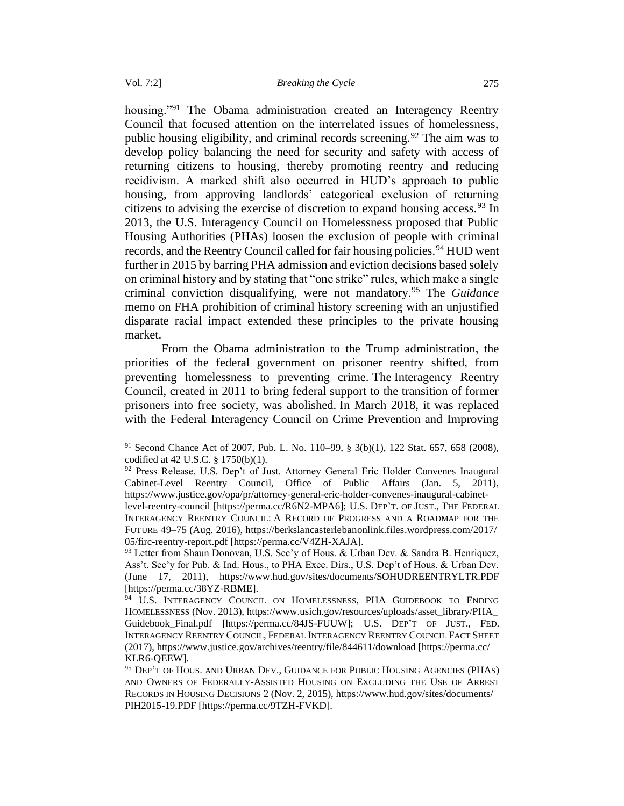housing."<sup>91</sup> The Obama administration created an Interagency Reentry Council that focused attention on the interrelated issues of homelessness, public housing eligibility, and criminal records screening.<sup>92</sup> The aim was to develop policy balancing the need for security and safety with access of returning citizens to housing, thereby promoting reentry and reducing recidivism. A marked shift also occurred in HUD's approach to public housing, from approving landlords' categorical exclusion of returning citizens to advising the exercise of discretion to expand housing access.<sup>93</sup> In 2013, the U.S. Interagency Council on Homelessness proposed that Public Housing Authorities (PHAs) loosen the exclusion of people with criminal records, and the Reentry Council called for fair housing policies.<sup>94</sup> HUD went further in 2015 by barring PHA admission and eviction decisions based solely on criminal history and by stating that "one strike" rules, which make a single criminal conviction disqualifying, were not mandatory.<sup>95</sup> The *Guidance*  memo on FHA prohibition of criminal history screening with an unjustified disparate racial impact extended these principles to the private housing market.

From the Obama administration to the Trump administration, the priorities of the federal government on prisoner reentry shifted, from preventing homelessness to preventing crime. The Interagency Reentry Council, created in 2011 to bring federal support to the transition of former prisoners into free society, was abolished. In March 2018, it was replaced with the Federal Interagency Council on Crime Prevention and Improving

<sup>91</sup> Second Chance Act of 2007, Pub. L. No. 110–99, § 3(b)(1), 122 Stat. 657, 658 (2008), codified at 42 U.S.C. § 1750(b)(1).

 $92$  Press Release, U.S. Dep't of Just. Attorney General Eric Holder Convenes Inaugural Cabinet-Level Reentry Council, Office of Public Affairs (Jan. 5, 2011), [https://www.justice.gov/opa/pr/attorney-general-eric-holder-convenes-inaugural-cabinet-](https://www.justice.gov/opa/pr/attorney-general-eric-holder-convenes-inaugural-cabinet-level-reentry-council)

[level-reentry-council](https://www.justice.gov/opa/pr/attorney-general-eric-holder-convenes-inaugural-cabinet-level-reentry-council) [https://perma.cc/R6N2-MPA6]; U.S. DEP'T. OF JUST., THE FEDERAL INTERAGENCY REENTRY COUNCIL: A RECORD OF PROGRESS AND A ROADMAP FOR THE FUTURE 49–75 (Aug. 2016), https://berkslancasterlebanonlink.files.wordpress.com/2017/ 05/firc-reentry-report.pdf [https://perma.cc/V4ZH-XAJA].

<sup>&</sup>lt;sup>93</sup> Letter from Shaun Donovan, U.S. Sec'y of Hous. & Urban Dev. & Sandra B. Henriquez, Ass't. Sec'y for Pub. & Ind. Hous., to PHA Exec. Dirs., U.S. Dep't of Hous. & Urban Dev. (June 17, 2011), https://www.hud.gov/sites/documents/SOHUDREENTRYLTR.PDF [https://perma.cc/38YZ-RBME].

<sup>&</sup>lt;sup>94</sup> U.S. INTERAGENCY COUNCIL ON HOMELESSNESS, PHA GUIDEBOOK TO ENDING HOMELESSNESS (Nov. 2013), https://www.usich.gov/resources/uploads/asset\_library/PHA\_ Guidebook\_Final.pdf [https://perma.cc/84JS-FUUW]; U.S. DEP'T OF JUST., FED. INTERAGENCY REENTRY COUNCIL,FEDERAL INTERAGENCY REENTRY COUNCIL FACT SHEET (2017), https://www.justice.gov/archives/reentry/file/844611/download [https://perma.cc/ KLR6-QEEW].

<sup>&</sup>lt;sup>95</sup> DEP'T OF HOUS. AND URBAN DEV., GUIDANCE FOR PUBLIC HOUSING AGENCIES (PHAS) AND OWNERS OF FEDERALLY-ASSISTED HOUSING ON EXCLUDING THE USE OF ARREST RECORDS IN HOUSING DECISIONS 2 (Nov. 2, 2015), https://www.hud.gov/sites/documents/ PIH2015-19.PDF [https://perma.cc/9TZH-FVKD].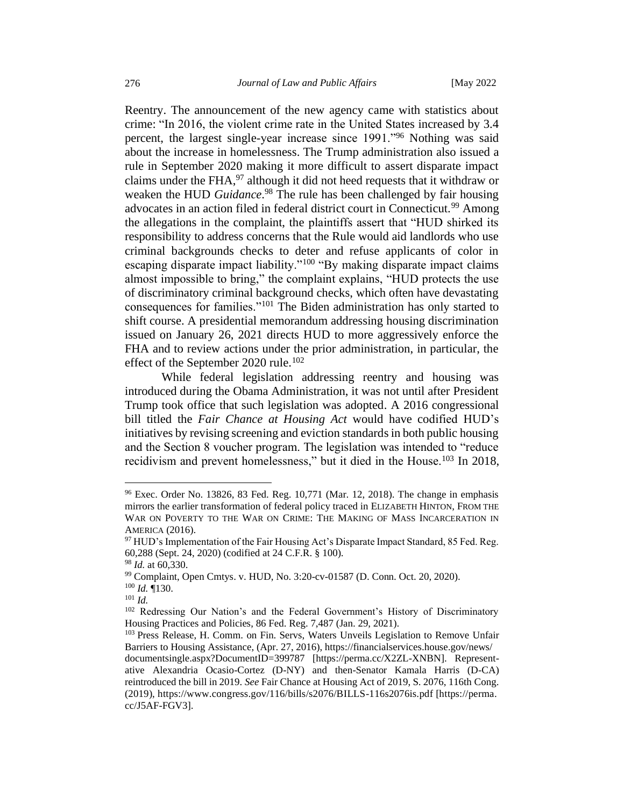Reentry. The announcement of the new agency came with statistics about crime: "In 2016, the violent crime rate in the United States increased by 3.4 percent, the largest single-year increase since 1991."<sup>96</sup> Nothing was said about the increase in homelessness. The Trump administration also issued a rule in September 2020 making it more difficult to assert disparate impact claims under the FHA, $97$  although it did not heed requests that it withdraw or weaken the HUD *Guidance*. <sup>98</sup> The rule has been challenged by fair housing advocates in an action filed in federal district court in Connecticut.<sup>99</sup> Among the allegations in the complaint, the plaintiffs assert that "HUD shirked its responsibility to address concerns that the Rule would aid landlords who use criminal backgrounds checks to deter and refuse applicants of color in escaping disparate impact liability."<sup>100</sup> "By making disparate impact claims almost impossible to bring," the complaint explains, "HUD protects the use of discriminatory criminal background checks, which often have devastating consequences for families."<sup>101</sup> The Biden administration has only started to shift course. A presidential memorandum addressing housing discrimination issued on January 26, 2021 directs HUD to more aggressively enforce the FHA and to review actions under the prior administration, in particular, the effect of the September 2020 rule.<sup>102</sup>

While federal legislation addressing reentry and housing was introduced during the Obama Administration, it was not until after President Trump took office that such legislation was adopted. A 2016 congressional bill titled the *Fair Chance at Housing Act* would have codified HUD's initiatives by revising screening and eviction standards in both public housing and the Section 8 voucher program. The legislation was intended to "reduce recidivism and prevent homelessness," but it died in the House.<sup>103</sup> In 2018,

<sup>96</sup> Exec. Order No. 13826, 83 Fed. Reg. 10,771 (Mar. 12, 2018). The change in emphasis mirrors the earlier transformation of federal policy traced in ELIZABETH HINTON, FROM THE WAR ON POVERTY TO THE WAR ON CRIME: THE MAKING OF MASS INCARCERATION IN AMERICA (2016).

<sup>&</sup>lt;sup>97</sup> HUD's Implementation of the Fair Housing Act's Disparate Impact Standard, 85 Fed. Reg. 60,288 (Sept. 24, 2020) (codified at 24 C.F.R. § 100).

<sup>98</sup> *Id.* at 60,330.

<sup>99</sup> Complaint, Open Cmtys. v. HUD, No. 3:20-cv-01587 (D. Conn. Oct. 20, 2020).

<sup>100</sup> *Id.* ¶130.

<sup>101</sup> *Id.*

<sup>102</sup> Redressing Our Nation's and the Federal Government's History of Discriminatory Housing Practices and Policies, 86 Fed. Reg. 7,487 (Jan. 29, 2021).

<sup>&</sup>lt;sup>103</sup> Press Release, H. Comm. on Fin. Servs, Waters Unveils Legislation to Remove Unfair Barriers to Housing Assistance, (Apr. 27, 2016), https://financialservices.house.gov/news/ documentsingle.aspx?DocumentID=399787 [https://perma.cc/X2ZL-XNBN]. Representative Alexandria Ocasio-Cortez (D-NY) and then-Senator Kamala Harris (D-CA) reintroduced the bill in 2019. *See* Fair Chance at Housing Act of 2019, S. 2076, 116th Cong. (2019), https://www.congress.gov/116/bills/s2076/BILLS-116s2076is.pdf [https://perma. cc/J5AF-FGV3].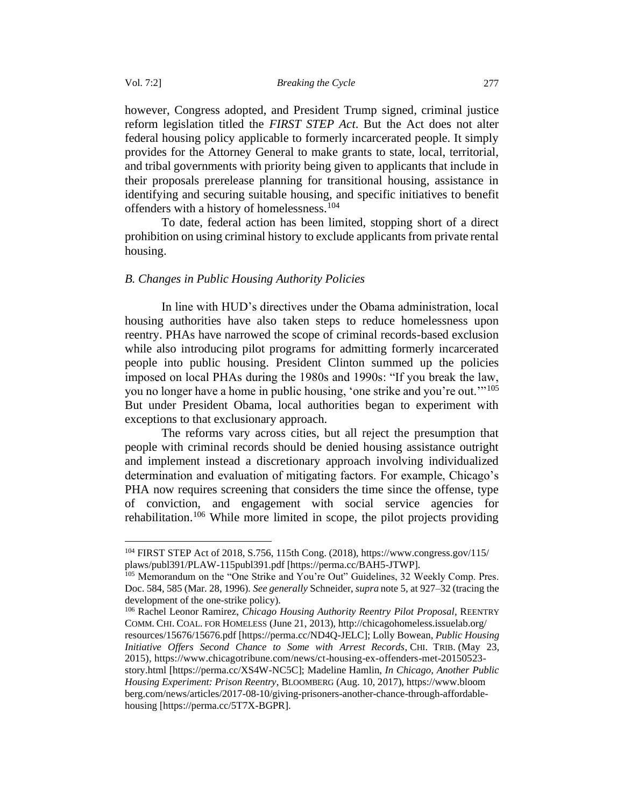however, Congress adopted, and President Trump signed, criminal justice reform legislation titled the *FIRST STEP Act*. But the Act does not alter federal housing policy applicable to formerly incarcerated people. It simply provides for the Attorney General to make grants to state, local, territorial, and tribal governments with priority being given to applicants that include in their proposals prerelease planning for transitional housing, assistance in identifying and securing suitable housing, and specific initiatives to benefit offenders with a history of homelessness.<sup>104</sup>

To date, federal action has been limited, stopping short of a direct prohibition on using criminal history to exclude applicants from private rental housing.

### <span id="page-20-0"></span>*B. Changes in Public Housing Authority Policies*

In line with HUD's directives under the Obama administration, local housing authorities have also taken steps to reduce homelessness upon reentry. PHAs have narrowed the scope of criminal records-based exclusion while also introducing pilot programs for admitting formerly incarcerated people into public housing. President Clinton summed up the policies imposed on local PHAs during the 1980s and 1990s: "If you break the law, you no longer have a home in public housing, 'one strike and you're out.'"<sup>105</sup> But under President Obama, local authorities began to experiment with exceptions to that exclusionary approach.

The reforms vary across cities, but all reject the presumption that people with criminal records should be denied housing assistance outright and implement instead a discretionary approach involving individualized determination and evaluation of mitigating factors. For example, Chicago's PHA now requires screening that considers the time since the offense, type of conviction, and engagement with social service agencies for rehabilitation.<sup>106</sup> While more limited in scope, the pilot projects providing

<sup>106</sup> Rachel Leonor Ramirez, *Chicago Housing Authority Reentry Pilot Proposal*, REENTRY COMM. CHI. COAL. FOR HOMELESS (June 21, 2013), http://chicagohomeless.issuelab.org/ resources/15676/15676.pdf [https://perma.cc/ND4Q-JELC]; Lolly Bowean, *Public Housing Initiative Offers Second Chance to Some with Arrest Records*, CHI. TRIB. (May 23, 2015), https://www.chicagotribune.com/news/ct-housing-ex-offenders-met-20150523-

<sup>104</sup> FIRST STEP Act of 2018, S.756, 115th Cong. (2018), https://www.congress.gov/115/ plaws/publ391/PLAW-115publ391.pdf [https://perma.cc/BAH5-JTWP].

<sup>&</sup>lt;sup>105</sup> Memorandum on the "One Strike and You're Out" Guidelines, 32 Weekly Comp. Pres. Doc. 584, 585 (Mar. 28, 1996). *See generally* Schneider, *supra* note 5, at 927–32 (tracing the development of the one-strike policy).

story.html [https://perma.cc/XS4W-NC5C]; Madeline Hamlin, *In Chicago, Another Public Housing Experiment: Prison Reentry*, BLOOMBERG (Aug. 10, 2017), https://www.bloom berg.com/news/articles/2017-08-10/giving-prisoners-another-chance-through-affordablehousing [https://perma.cc/5T7X-BGPR].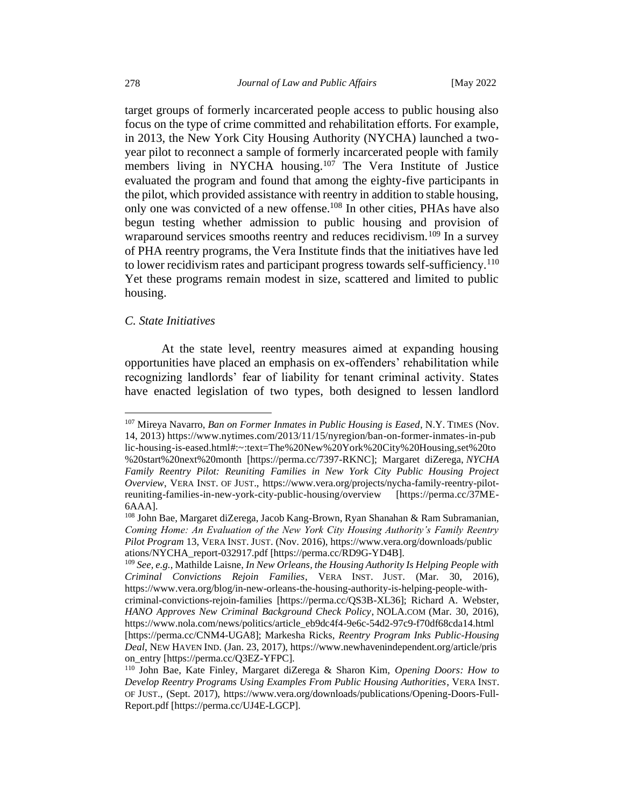target groups of formerly incarcerated people access to public housing also focus on the type of crime committed and rehabilitation efforts. For example, in 2013, the New York City Housing Authority (NYCHA) launched a twoyear pilot to reconnect a sample of formerly incarcerated people with family members living in NYCHA housing.<sup>107</sup> The Vera Institute of Justice evaluated the program and found that among the eighty-five participants in the pilot, which provided assistance with reentry in addition to stable housing, only one was convicted of a new offense.<sup>108</sup> In other cities, PHAs have also begun testing whether admission to public housing and provision of wraparound services smooths reentry and reduces recidivism.<sup>109</sup> In a survey of PHA reentry programs, the Vera Institute finds that the initiatives have led to lower recidivism rates and participant progress towards self-sufficiency.<sup>110</sup> Yet these programs remain modest in size, scattered and limited to public housing.

### <span id="page-21-0"></span>*C. State Initiatives*

At the state level, reentry measures aimed at expanding housing opportunities have placed an emphasis on ex-offenders' rehabilitation while recognizing landlords' fear of liability for tenant criminal activity. States have enacted legislation of two types, both designed to lessen landlord

<sup>107</sup> Mireya Navarro, *Ban on Former Inmates in Public Housing is Eased*, N.Y. TIMES (Nov. 14, 2013) https://www.nytimes.com/2013/11/15/nyregion/ban-on-former-inmates-in-pub lic-housing-is-eased.html#:~:text=The%20New%20York%20City%20Housing,set%20to %20start%20next%20month [https://perma.cc/7397-RKNC]; Margaret diZerega, *NYCHA Family Reentry Pilot: Reuniting Families in New York City Public Housing Project Overview*, VERA INST. OF JUST., https://www.vera.org/projects/nycha-family-reentry-pilotreuniting-families-in-new-york-city-public-housing/overview [https://perma.cc/37ME-6AAA].

<sup>108</sup> John Bae, Margaret diZerega, Jacob Kang-Brown, Ryan Shanahan & Ram Subramanian, *Coming Home: An Evaluation of the New York City Housing Authority's Family Reentry Pilot Program* 13, VERA INST. JUST. (Nov. 2016), https://www.vera.org/downloads/public ations/NYCHA\_report-032917.pdf [https://perma.cc/RD9G-YD4B].

<sup>109</sup> *See, e.g.*, Mathilde Laisne, *In New Orleans, the Housing Authority Is Helping People with Criminal Convictions Rejoin Families*, VERA INST. JUST. (Mar. 30, 2016), https://www.vera.org/blog/in-new-orleans-the-housing-authority-is-helping-people-withcriminal-convictions-rejoin-families [https://perma.cc/QS3B-XL36]; Richard A. Webster, *HANO Approves New Criminal Background Check Policy*, NOLA.COM (Mar. 30, 2016), https://www.nola.com/news/politics/article\_eb9dc4f4-9e6c-54d2-97c9-f70df68cda14.html [https://perma.cc/CNM4-UGA8]; Markesha Ricks, *Reentry Program Inks Public-Housing Deal*, NEW HAVEN IND. (Jan. 23, 2017), https://www.newhavenindependent.org/article/pris on\_entry [https://perma.cc/O3EZ-YFPC].

<sup>110</sup> John Bae, Kate Finley, Margaret diZerega & Sharon Kim, *Opening Doors: How to Develop Reentry Programs Using Examples From Public Housing Authorities*, VERA INST. OF JUST., (Sept. 2017), https://www.vera.org/downloads/publications/Opening-Doors-Full-Report.pdf [https://perma.cc/UJ4E-LGCP].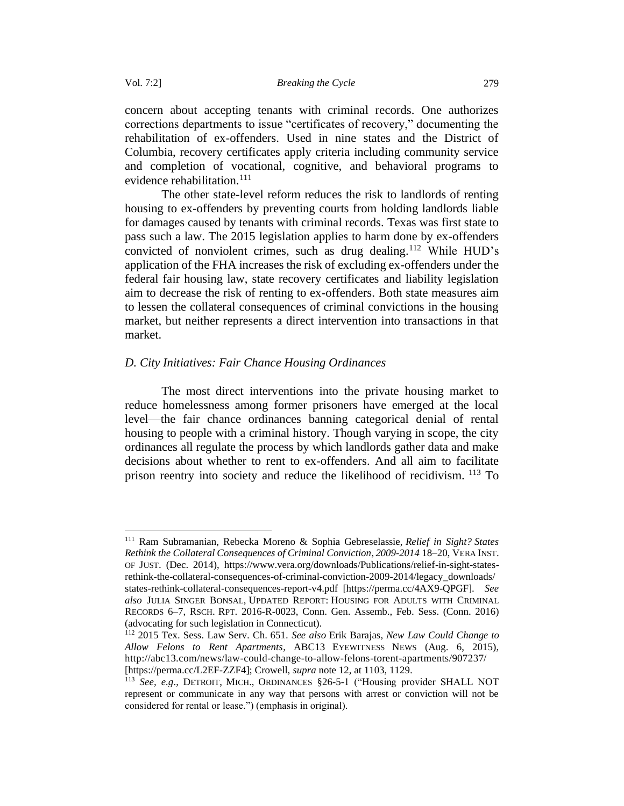concern about accepting tenants with criminal records. One authorizes corrections departments to issue "certificates of recovery," documenting the rehabilitation of ex-offenders. Used in nine states and the District of Columbia, recovery certificates apply criteria including community service and completion of vocational, cognitive, and behavioral programs to evidence rehabilitation.<sup>111</sup>

The other state-level reform reduces the risk to landlords of renting housing to ex-offenders by preventing courts from holding landlords liable for damages caused by tenants with criminal records. Texas was first state to pass such a law. The 2015 legislation applies to harm done by ex-offenders convicted of nonviolent crimes, such as drug dealing.<sup>112</sup> While HUD's application of the FHA increases the risk of excluding ex-offenders under the federal fair housing law, state recovery certificates and liability legislation aim to decrease the risk of renting to ex-offenders. Both state measures aim to lessen the collateral consequences of criminal convictions in the housing market, but neither represents a direct intervention into transactions in that market.

### <span id="page-22-0"></span>*D. City Initiatives: Fair Chance Housing Ordinances*

The most direct interventions into the private housing market to reduce homelessness among former prisoners have emerged at the local level—the fair chance ordinances banning categorical denial of rental housing to people with a criminal history. Though varying in scope, the city ordinances all regulate the process by which landlords gather data and make decisions about whether to rent to ex-offenders. And all aim to facilitate prison reentry into society and reduce the likelihood of recidivism. <sup>113</sup> To

<sup>111</sup> Ram Subramanian, Rebecka Moreno & Sophia Gebreselassie, *Relief in Sight? States Rethink the Collateral Consequences of Criminal Conviction, 2009-2014* 18–20, VERA INST. OF JUST. (Dec. 2014), https://www.vera.org/downloads/Publications/relief-in-sight-statesrethink-the-collateral-consequences-of-criminal-conviction-2009-2014/legacy\_downloads/ states-rethink-collateral-consequences-report-v4.pdf [https://perma.cc/4AX9-QPGF]. *See also* JULIA SINGER BONSAL, UPDATED REPORT: HOUSING FOR ADULTS WITH CRIMINAL RECORDS 6–7, RSCH. RPT. 2016-R-0023, Conn. Gen. Assemb., Feb. Sess. (Conn. 2016) (advocating for such legislation in Connecticut).

<sup>112</sup> 2015 Tex. Sess. Law Serv. Ch. 651. *See also* Erik Barajas, *New Law Could Change to Allow Felons to Rent Apartments*, ABC13 EYEWITNESS NEWS (Aug. 6, 2015), http://abc13.com/news/law-could-change-to-allow-felons-torent-apartments/907237/ [https://perma.cc/L2EF-ZZF4]; Crowell, *supra* note 12, at 1103, 1129.

<sup>113</sup> *See, e.g*., DETROIT, MICH., ORDINANCES §26-5-1 ("Housing provider SHALL NOT represent or communicate in any way that persons with arrest or conviction will not be considered for rental or lease.") (emphasis in original).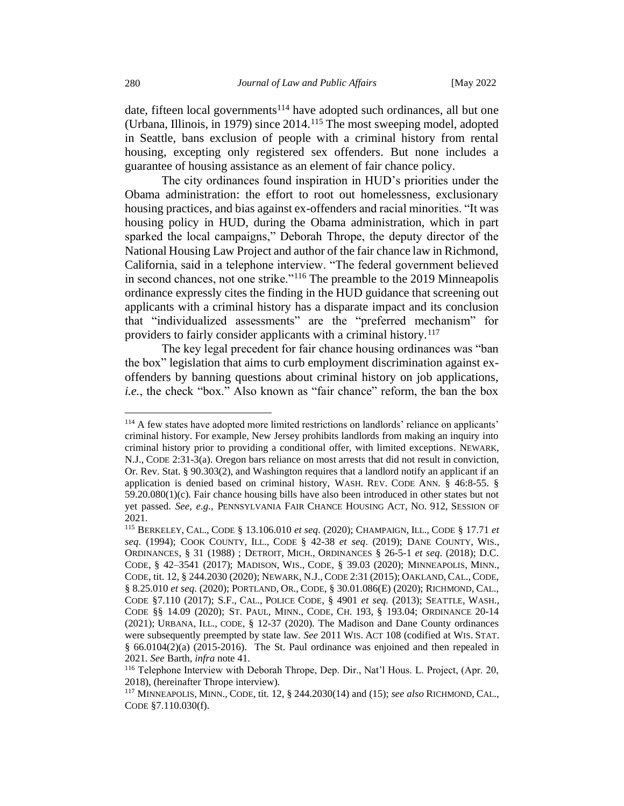date, fifteen local governments<sup>114</sup> have adopted such ordinances, all but one (Urbana, Illinois, in 1979) since 2014.<sup>115</sup> The most sweeping model, adopted in Seattle, bans exclusion of people with a criminal history from rental housing, excepting only registered sex offenders. But none includes a guarantee of housing assistance as an element of fair chance policy.

The city ordinances found inspiration in HUD's priorities under the Obama administration: the effort to root out homelessness, exclusionary housing practices, and bias against ex-offenders and racial minorities. "It was housing policy in HUD, during the Obama administration, which in part sparked the local campaigns," Deborah Thrope, the deputy director of the National Housing Law Project and author of the fair chance law in Richmond, California, said in a telephone interview. "The federal government believed in second chances, not one strike."<sup>116</sup> The preamble to the 2019 Minneapolis ordinance expressly cites the finding in the HUD guidance that screening out applicants with a criminal history has a disparate impact and its conclusion that "individualized assessments" are the "preferred mechanism" for providers to fairly consider applicants with a criminal history.<sup>117</sup>

The key legal precedent for fair chance housing ordinances was "ban the box" legislation that aims to curb employment discrimination against exoffenders by banning questions about criminal history on job applications, *i.e.*, the check "box." Also known as "fair chance" reform, the ban the box

<sup>114</sup> A few states have adopted more limited restrictions on landlords' reliance on applicants' criminal history. For example, New Jersey prohibits landlords from making an inquiry into criminal history prior to providing a conditional offer, with limited exceptions. NEWARK, N.J., CODE 2:31-3(a). Oregon bars reliance on most arrests that did not result in conviction, Or. Rev. Stat. § 90.303(2), and Washington requires that a landlord notify an applicant if an application is denied based on criminal history, WASH. REV. CODE ANN. § 46:8-55. § 59.20.080(1)(c). Fair chance housing bills have also been introduced in other states but not yet passed. *See, e.g.,* PENNSYLVANIA FAIR CHANCE HOUSING ACT, NO. 912, SESSION OF 2021.

<sup>115</sup> BERKELEY, CAL., CODE § 13.106.010 *et seq*. (2020); CHAMPAIGN, ILL., CODE § 17.71 *et seq*. (1994); COOK COUNTY, ILL., CODE § 42-38 *et seq*. (2019); DANE COUNTY, WIS., ORDINANCES, § 31 (1988) ; DETROIT, MICH., ORDINANCES § 26-5-1 *et seq*. (2018); D.C. CODE, § 42–3541 (2017); MADISON, WIS., CODE, § 39.03 (2020); MINNEAPOLIS, MINN., CODE, tit. 12, § 244.2030 (2020); NEWARK, N.J., CODE 2:31 (2015); OAKLAND, CAL., CODE, § 8.25.010 *et seq*. (2020); PORTLAND, OR., CODE, § 30.01.086(E) (2020); RICHMOND, CAL., CODE §7.110 (2017); S.F., CAL., POLICE CODE, § 4901 *et seq.* (2013); SEATTLE, WASH., CODE §§ 14.09 (2020); ST. PAUL, MINN., CODE, CH. 193, § 193.04; ORDINANCE 20-14 (2021); URBANA, ILL., CODE, § 12-37 (2020). The Madison and Dane County ordinances were subsequently preempted by state law. *See* 2011 WIS. ACT 108 (codified at WIS.STAT. § 66.0104(2)(a) (2015-2016). The St. Paul ordinance was enjoined and then repealed in 2021. *See* Barth, *infra* note 41.

<sup>116</sup> Telephone Interview with Deborah Thrope, Dep. Dir., Nat'l Hous. L. Project, (Apr. 20, 2018), (hereinafter Thrope interview).

<sup>117</sup> MINNEAPOLIS, MINN., CODE, tit. 12, § 244.2030(14) and (15); *see also* RICHMOND, CAL., CODE §7.110.030(f).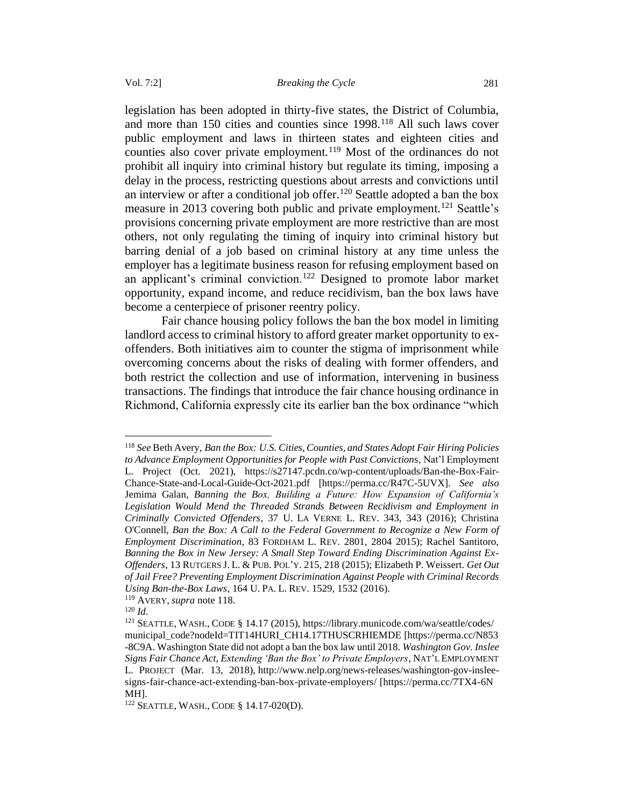legislation has been adopted in thirty-five states, the District of Columbia, and more than 150 cities and counties since 1998.<sup>118</sup> All such laws cover public employment and laws in thirteen states and eighteen cities and counties also cover private employment.<sup>119</sup> Most of the ordinances do not prohibit all inquiry into criminal history but regulate its timing, imposing a delay in the process, restricting questions about arrests and convictions until an interview or after a conditional job offer.<sup>120</sup> Seattle adopted a ban the box measure in 2013 covering both public and private employment.<sup>121</sup> Seattle's provisions concerning private employment are more restrictive than are most others, not only regulating the timing of inquiry into criminal history but barring denial of a job based on criminal history at any time unless the employer has a legitimate business reason for refusing employment based on an applicant's criminal conviction.<sup>122</sup> Designed to promote labor market opportunity, expand income, and reduce recidivism, ban the box laws have become a centerpiece of prisoner reentry policy.

Fair chance housing policy follows the ban the box model in limiting landlord access to criminal history to afford greater market opportunity to exoffenders. Both initiatives aim to counter the stigma of imprisonment while overcoming concerns about the risks of dealing with former offenders, and both restrict the collection and use of information, intervening in business transactions. The findings that introduce the fair chance housing ordinance in Richmond, California expressly cite its earlier ban the box ordinance "which

<sup>119</sup> AVERY, *supra* note 118.

<sup>118</sup> *See* Beth Avery, *Ban the Box: U.S. Cities, Counties, and States Adopt Fair Hiring Policies to Advance Employment Opportunities for People with Past Conviction*s, Nat'l Employment L. Project (Oct. 2021), https://s27147.pcdn.co/wp-content/uploads/Ban-the-Box-Fair-Chance-State-and-Local-Guide-Oct-2021.pdf [https://perma.cc/R47C-5UVX]. *See also* Jemima Galan, *Banning the Box, Building a Future: How Expansion of California's*  Legislation Would Mend the Threaded Strands Between Recidivism and Employment in *Criminally Convicted Offenders*, 37 U. LA VERNE L. REV. 343, 343 (2016); Christina O'Connell, *Ban the Box: A Call to the Federal Government to Recognize a New Form of Employment Discrimination*, 83 FORDHAM L. REV. 2801, 2804 2015); Rachel Santitoro, *Banning the Box in New Jersey: A Small Step Toward Ending Discrimination Against Ex-Offenders*, 13 RUTGERS J. L. & PUB.POL'Y. 215, 218 (2015); Elizabeth P. Weissert. *Get Out of Jail Free? Preventing Employment Discrimination Against People with Criminal Records Using Ban-the-Box Laws*, 164 U.PA. L. REV. 1529, 1532 (2016).

<sup>120</sup> *Id*.

<sup>121</sup> SEATTLE, WASH., CODE § 14.17 (2015), https://library.municode.com/wa/seattle/codes/ municipal\_code?nodeId=TIT14HURI\_CH14.17THUSCRHIEMDE [https://perma.cc/N853 -8C9A. Washington State did not adopt a ban the box law until 2018. *Washington Gov. Inslee Signs Fair Chance Act, Extending 'Ban the Box' to Private Employers*, NAT'L EMPLOYMENT L. PROJECT (Mar. 13, 2018), http://www.nelp.org/news-releases/washington-gov-insleesigns-fair-chance-act-extending-ban-box-private-employers/ [https://perma.cc/7TX4-6N MH].

<sup>122</sup> SEATTLE, WASH., CODE § 14.17-020(D).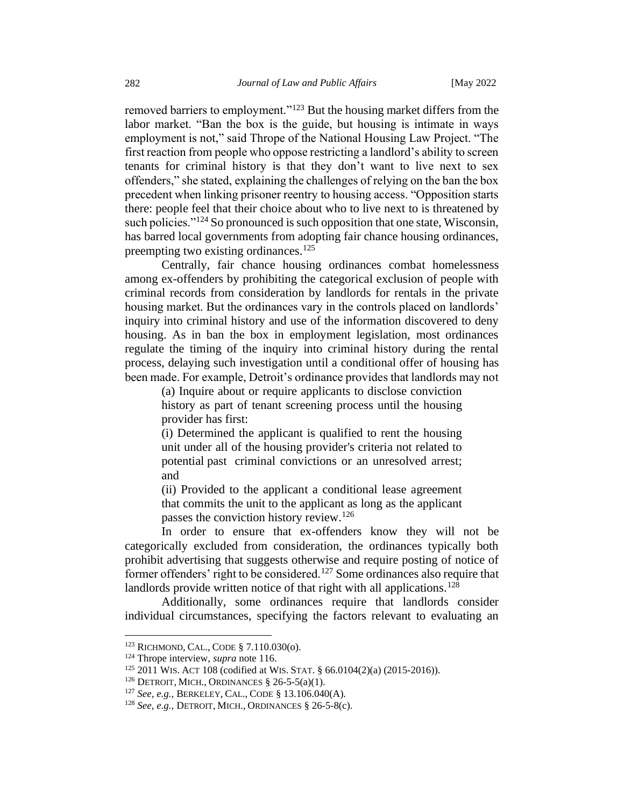removed barriers to employment."<sup>123</sup> But the housing market differs from the labor market. "Ban the box is the guide, but housing is intimate in ways employment is not," said Thrope of the National Housing Law Project. "The first reaction from people who oppose restricting a landlord's ability to screen tenants for criminal history is that they don't want to live next to sex offenders," she stated, explaining the challenges of relying on the ban the box precedent when linking prisoner reentry to housing access. "Opposition starts there: people feel that their choice about who to live next to is threatened by such policies."<sup>124</sup> So pronounced is such opposition that one state, Wisconsin, has barred local governments from adopting fair chance housing ordinances, preempting two existing ordinances.<sup>125</sup>

Centrally, fair chance housing ordinances combat homelessness among ex-offenders by prohibiting the categorical exclusion of people with criminal records from consideration by landlords for rentals in the private housing market. But the ordinances vary in the controls placed on landlords' inquiry into criminal history and use of the information discovered to deny housing. As in ban the box in employment legislation, most ordinances regulate the timing of the inquiry into criminal history during the rental process, delaying such investigation until a conditional offer of housing has been made. For example, Detroit's ordinance provides that landlords may not

(a) Inquire about or require applicants to disclose conviction history as part of tenant screening process until the housing provider has first:

(i) Determined the applicant is qualified to rent the housing unit under all of the housing provider's criteria not related to potential past criminal convictions or an unresolved arrest; and

(ii) Provided to the applicant a conditional lease agreement that commits the unit to the applicant as long as the applicant passes the conviction history review.<sup>126</sup>

In order to ensure that ex-offenders know they will not be categorically excluded from consideration, the ordinances typically both prohibit advertising that suggests otherwise and require posting of notice of former offenders' right to be considered.<sup>127</sup> Some ordinances also require that landlords provide written notice of that right with all applications.<sup>128</sup>

Additionally, some ordinances require that landlords consider individual circumstances, specifying the factors relevant to evaluating an

<sup>123</sup> RICHMOND, CAL., CODE § 7.110.030(o).

<sup>124</sup> Thrope interview, *supra* note 116.

<sup>125</sup> 2011 WIS. ACT 108 (codified at WIS.STAT. § 66.0104(2)(a) (2015-2016)).

<sup>&</sup>lt;sup>126</sup> DETROIT, MICH., ORDINANCES  $\S$  26-5-5(a)(1).

<sup>127</sup> *See, e.g.,* BERKELEY, CAL., CODE § 13.106.040(A).

<sup>128</sup> *See, e.g.,* DETROIT, MICH., ORDINANCES § 26-5-8(c).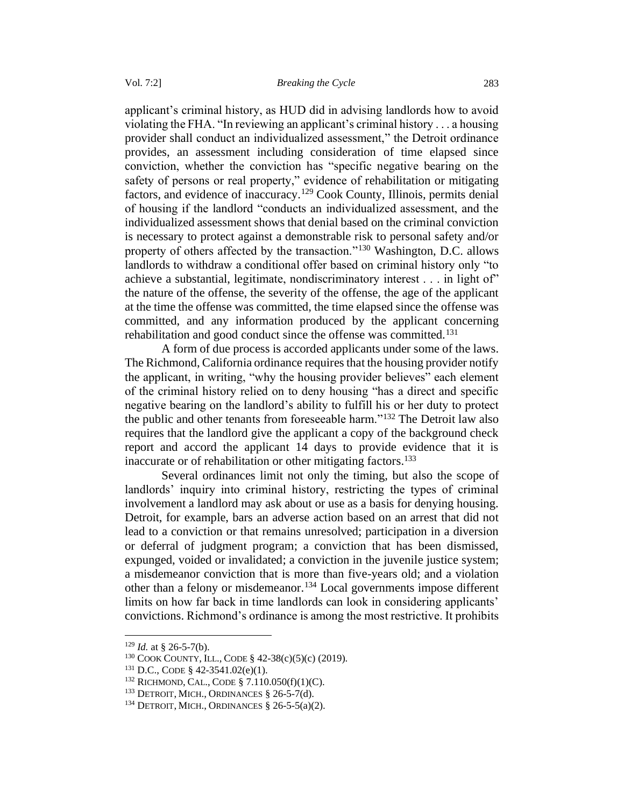applicant's criminal history, as HUD did in advising landlords how to avoid violating the FHA. "In reviewing an applicant's criminal history . . . a housing provider shall conduct an individualized assessment," the Detroit ordinance provides, an assessment including consideration of time elapsed since conviction, whether the conviction has "specific negative bearing on the safety of persons or real property," evidence of rehabilitation or mitigating factors, and evidence of inaccuracy.<sup>129</sup> Cook County, Illinois, permits denial of housing if the landlord "conducts an individualized assessment, and the individualized assessment shows that denial based on the criminal conviction is necessary to protect against a demonstrable risk to personal safety and/or property of others affected by the transaction."<sup>130</sup> Washington, D.C. allows landlords to withdraw a conditional offer based on criminal history only "to achieve a substantial, legitimate, nondiscriminatory interest . . . in light of" the nature of the offense, the severity of the offense, the age of the applicant at the time the offense was committed, the time elapsed since the offense was committed, and any information produced by the applicant concerning rehabilitation and good conduct since the offense was committed.<sup>131</sup>

A form of due process is accorded applicants under some of the laws. The Richmond, California ordinance requires that the housing provider notify the applicant, in writing, "why the housing provider believes" each element of the criminal history relied on to deny housing "has a direct and specific negative bearing on the landlord's ability to fulfill his or her duty to protect the public and other tenants from foreseeable harm."<sup>132</sup> The Detroit law also requires that the landlord give the applicant a copy of the background check report and accord the applicant 14 days to provide evidence that it is inaccurate or of rehabilitation or other mitigating factors.<sup>133</sup>

Several ordinances limit not only the timing, but also the scope of landlords' inquiry into criminal history, restricting the types of criminal involvement a landlord may ask about or use as a basis for denying housing. Detroit, for example, bars an adverse action based on an arrest that did not lead to a conviction or that remains unresolved; participation in a diversion or deferral of judgment program; a conviction that has been dismissed, expunged, voided or invalidated; a conviction in the juvenile justice system; a misdemeanor conviction that is more than five-years old; and a violation other than a felony or misdemeanor.<sup>134</sup> Local governments impose different limits on how far back in time landlords can look in considering applicants' convictions. Richmond's ordinance is among the most restrictive. It prohibits

 $129$  *Id.* at § 26-5-7(b).

<sup>130</sup> COOK COUNTY, ILL., CODE § 42-38(c)(5)(c) (2019).

<sup>131</sup> D.C., CODE § 42-3541.02(e)(1).

<sup>132</sup> RICHMOND, CAL., CODE § 7.110.050(f)(1)(C).

 $133$  DETROIT, MICH., ORDINANCES § 26-5-7(d).

<sup>&</sup>lt;sup>134</sup> DETROIT, MICH., ORDINANCES  $\S$  26-5-5(a)(2).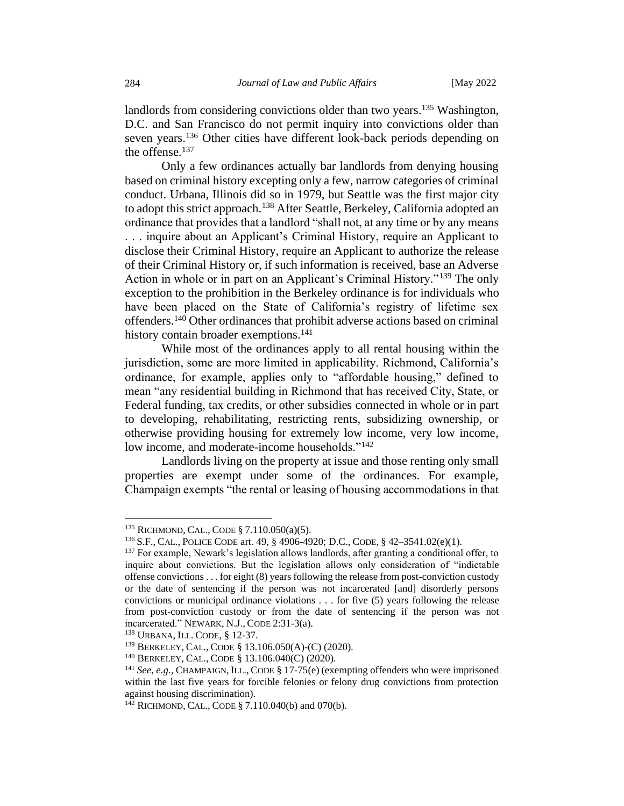landlords from considering convictions older than two years.<sup>135</sup> Washington, D.C. and San Francisco do not permit inquiry into convictions older than seven years.<sup>136</sup> Other cities have different look-back periods depending on the offense.<sup>137</sup>

Only a few ordinances actually bar landlords from denying housing based on criminal history excepting only a few, narrow categories of criminal conduct. Urbana, Illinois did so in 1979, but Seattle was the first major city to adopt this strict approach.<sup>138</sup> After Seattle, Berkeley, California adopted an ordinance that provides that a landlord "shall not, at any time or by any means . . . inquire about an Applicant's Criminal History, require an Applicant to disclose their Criminal History, require an Applicant to authorize the release of their Criminal History or, if such information is received, base an Adverse Action in whole or in part on an Applicant's Criminal History."<sup>139</sup> The only exception to the prohibition in the Berkeley ordinance is for individuals who have been placed on the State of California's registry of lifetime sex offenders.<sup>140</sup> Other ordinances that prohibit adverse actions based on criminal history contain broader exemptions.<sup>141</sup>

While most of the ordinances apply to all rental housing within the jurisdiction, some are more limited in applicability. Richmond, California's ordinance, for example, applies only to "affordable housing," defined to mean "any residential building in Richmond that has received City, State, or Federal funding, tax credits, or other subsidies connected in whole or in part to developing, rehabilitating, restricting rents, subsidizing ownership, or otherwise providing housing for extremely low income, very low income, low income, and moderate-income households."<sup>142</sup>

Landlords living on the property at issue and those renting only small properties are exempt under some of the ordinances. For example, Champaign exempts "the rental or leasing of housing accommodations in that

<sup>135</sup> RICHMOND, CAL., CODE § 7.110.050(a)(5).

<sup>136</sup>S.F., CAL.,POLICE CODE art. 49, § 4906-4920; D.C., CODE, § 42–3541.02(e)(1).

<sup>&</sup>lt;sup>137</sup> For example, Newark's legislation allows landlords, after granting a conditional offer, to inquire about convictions. But the legislation allows only consideration of "indictable offense convictions . . . for eight (8) years following the release from post-conviction custody or the date of sentencing if the person was not incarcerated [and] disorderly persons convictions or municipal ordinance violations . . . for five (5) years following the release from post-conviction custody or from the date of sentencing if the person was not incarcerated." NEWARK, N.J., CODE 2:31-3(a).

<sup>138</sup> URBANA, ILL. CODE, § 12-37.

<sup>139</sup> BERKELEY, CAL., CODE § 13.106.050(A)-(C) (2020).

<sup>140</sup> BERKELEY, CAL., CODE § 13.106.040(C) (2020).

<sup>141</sup> *See, e.g.*, CHAMPAIGN, ILL., CODE § 17-75(e) (exempting offenders who were imprisoned within the last five years for forcible felonies or felony drug convictions from protection against housing discrimination).

 $142$  RICHMOND, CAL., CODE § 7.110.040(b) and 070(b).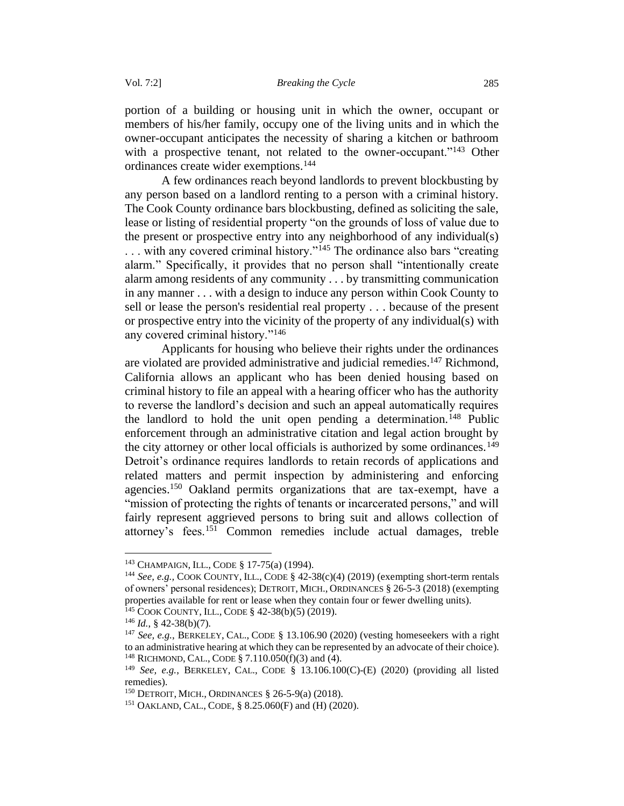portion of a building or housing unit in which the owner, occupant or members of his/her family, occupy one of the living units and in which the owner-occupant anticipates the necessity of sharing a kitchen or bathroom with a prospective tenant, not related to the owner-occupant."<sup>143</sup> Other ordinances create wider exemptions.<sup>144</sup>

A few ordinances reach beyond landlords to prevent blockbusting by any person based on a landlord renting to a person with a criminal history. The Cook County ordinance bars blockbusting, defined as soliciting the sale, lease or listing of residential property "on the grounds of loss of value due to the present or prospective entry into any neighborhood of any individual(s) ... with any covered criminal history."<sup>145</sup> The ordinance also bars "creating". alarm." Specifically, it provides that no person shall "intentionally create alarm among residents of any community . . . by transmitting communication in any manner . . . with a design to induce any person within Cook County to sell or lease the person's residential real property . . . because of the present or prospective entry into the vicinity of the property of any individual(s) with any covered criminal history."<sup>146</sup>

Applicants for housing who believe their rights under the ordinances are violated are provided administrative and judicial remedies.<sup>147</sup> Richmond, California allows an applicant who has been denied housing based on criminal history to file an appeal with a hearing officer who has the authority to reverse the landlord's decision and such an appeal automatically requires the landlord to hold the unit open pending a determination.<sup>148</sup> Public enforcement through an administrative citation and legal action brought by the city attorney or other local officials is authorized by some ordinances.<sup>149</sup> Detroit's ordinance requires landlords to retain records of applications and related matters and permit inspection by administering and enforcing agencies.<sup>150</sup> Oakland permits organizations that are tax-exempt, have a "mission of protecting the rights of tenants or incarcerated persons," and will fairly represent aggrieved persons to bring suit and allows collection of attorney's fees.<sup>151</sup> Common remedies include actual damages, treble

<sup>143</sup> CHAMPAIGN, ILL., CODE § 17-75(a) (1994).

<sup>144</sup> *See, e.g.,* COOK COUNTY, ILL., CODE § 42-38(c)(4) (2019) (exempting short-term rentals of owners' personal residences); DETROIT, MICH., ORDINANCES § 26-5-3 (2018) (exempting properties available for rent or lease when they contain four or fewer dwelling units).  $145$  COOK COUNTY, ILL., CODE § 42-38(b)(5) (2019).

<sup>146</sup> *Id.*, § 42-38(b)(7).

<sup>147</sup> *See, e.g.*, BERKELEY, CAL., CODE § 13.106.90 (2020) (vesting homeseekers with a right to an administrative hearing at which they can be represented by an advocate of their choice). <sup>148</sup> RICHMOND, CAL., CODE § 7.110.050(f)(3) and (4).

<sup>149</sup> *See, e.g.*, BERKELEY, CAL., CODE § 13.106.100(C)-(E) (2020) (providing all listed remedies).

<sup>150</sup> DETROIT, MICH., ORDINANCES § 26-5-9(a) (2018).

<sup>151</sup> OAKLAND, CAL., CODE, § 8.25.060(F) and (H) (2020).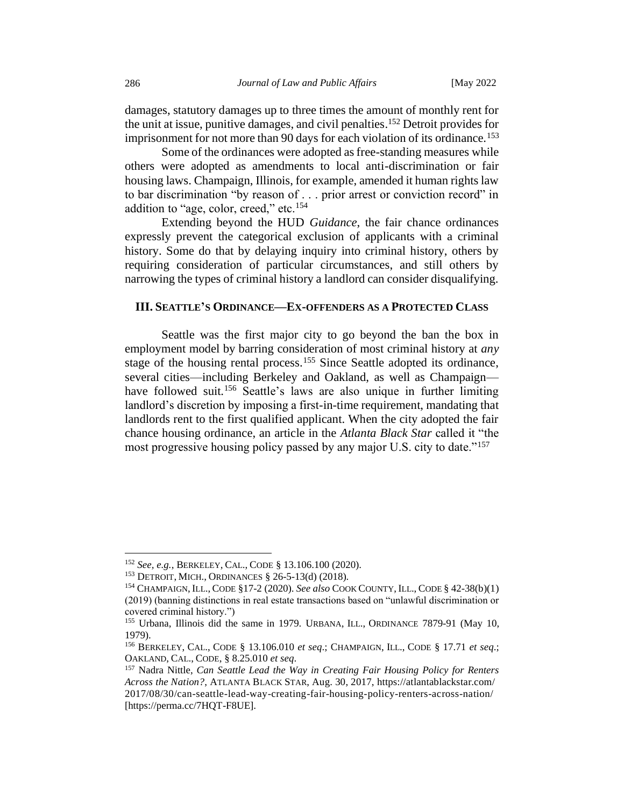damages, statutory damages up to three times the amount of monthly rent for the unit at issue, punitive damages, and civil penalties.<sup>152</sup> Detroit provides for imprisonment for not more than 90 days for each violation of its ordinance.<sup>153</sup>

Some of the ordinances were adopted as free-standing measures while others were adopted as amendments to local anti-discrimination or fair housing laws. Champaign, Illinois, for example, amended it human rights law to bar discrimination "by reason of . . . prior arrest or conviction record" in addition to "age, color, creed," etc.<sup>154</sup>

Extending beyond the HUD *Guidance*, the fair chance ordinances expressly prevent the categorical exclusion of applicants with a criminal history. Some do that by delaying inquiry into criminal history, others by requiring consideration of particular circumstances, and still others by narrowing the types of criminal history a landlord can consider disqualifying.

### <span id="page-29-0"></span>**III. SEATTLE'S ORDINANCE—EX-OFFENDERS AS A PROTECTED CLASS**

Seattle was the first major city to go beyond the ban the box in employment model by barring consideration of most criminal history at *any* stage of the housing rental process.<sup>155</sup> Since Seattle adopted its ordinance, several cities—including Berkeley and Oakland, as well as Champaign have followed suit.<sup>156</sup> Seattle's laws are also unique in further limiting landlord's discretion by imposing a first-in-time requirement, mandating that landlords rent to the first qualified applicant. When the city adopted the fair chance housing ordinance, an article in the *Atlanta Black Star* called it "the most progressive housing policy passed by any major U.S. city to date."<sup>157</sup>

<sup>152</sup> *See, e.g.*, BERKELEY, CAL., CODE § 13.106.100 (2020).

<sup>153</sup> DETROIT, MICH., ORDINANCES § 26-5-13(d) (2018).

<sup>154</sup> CHAMPAIGN, ILL., CODE §17-2 (2020). *See also* COOK COUNTY, ILL., CODE § 42-38(b)(1) (2019) (banning distinctions in real estate transactions based on "unlawful discrimination or covered criminal history.")

<sup>&</sup>lt;sup>155</sup> Urbana, Illinois did the same in 1979. URBANA, ILL., ORDINANCE 7879-91 (May 10, 1979).

<sup>156</sup> BERKELEY, CAL., CODE § 13.106.010 *et seq*.; CHAMPAIGN, ILL., CODE § 17.71 *et seq*.; OAKLAND, CAL., CODE, § 8.25.010 *et seq*.

<sup>157</sup> Nadra Nittle, *Can Seattle Lead the Way in Creating Fair Housing Policy for Renters Across the Nation?*, ATLANTA BLACK STAR, Aug. 30, 2017, https://atlantablackstar.com/ 2017/08/30/can-seattle-lead-way-creating-fair-housing-policy-renters-across-nation/ [https://perma.cc/7HQT-F8UE].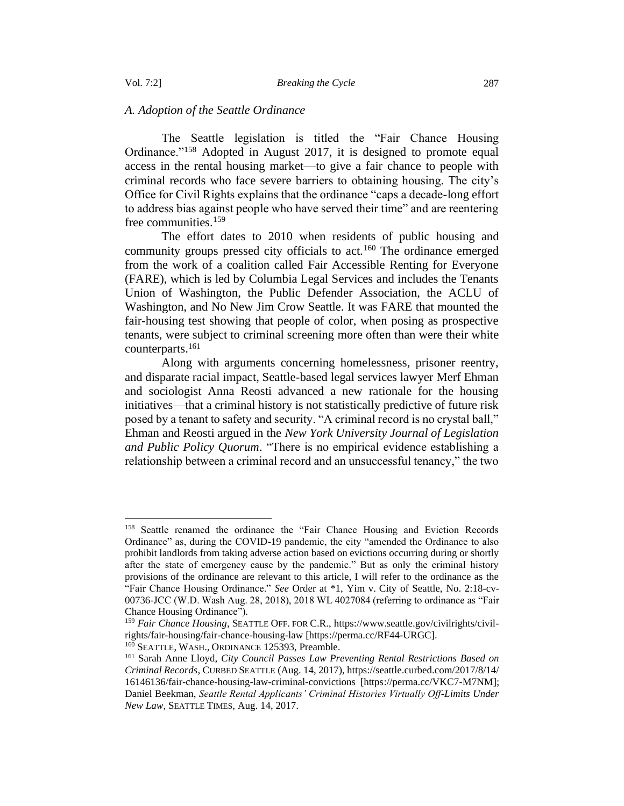### <span id="page-30-0"></span>*A. Adoption of the Seattle Ordinance*

The Seattle legislation is titled the "Fair Chance Housing Ordinance."<sup>158</sup> Adopted in August 2017, it is designed to promote equal access in the rental housing market—to give a fair chance to people with criminal records who face severe barriers to obtaining housing. The city's Office for Civil Rights explains that the ordinance "caps a decade-long effort to address bias against people who have served their time" and are reentering free communities.<sup>159</sup>

The effort dates to 2010 when residents of public housing and community groups pressed city officials to act.<sup>160</sup> The ordinance emerged from the work of a coalition called Fair Accessible Renting for Everyone (FARE), which is led by Columbia Legal Services and includes the Tenants Union of Washington, the Public Defender Association, the ACLU of Washington, and No New Jim Crow Seattle. It was FARE that mounted the fair-housing test showing that people of color, when posing as prospective tenants, were subject to criminal screening more often than were their white counterparts.<sup>161</sup>

Along with arguments concerning homelessness, prisoner reentry, and disparate racial impact, Seattle-based legal services lawyer Merf Ehman and sociologist Anna Reosti advanced a new rationale for the housing initiatives—that a criminal history is not statistically predictive of future risk posed by a tenant to safety and security. "A criminal record is no crystal ball," Ehman and Reosti argued in the *New York University Journal of Legislation and Public Policy Quorum*. "There is no empirical evidence establishing a relationship between a criminal record and an unsuccessful tenancy," the two

<sup>&</sup>lt;sup>158</sup> Seattle renamed the ordinance the "Fair Chance Housing and Eviction Records Ordinance" as, during the COVID-19 pandemic, the city "amended the Ordinance to also prohibit landlords from taking adverse action based on evictions occurring during or shortly after the state of emergency cause by the pandemic." But as only the criminal history provisions of the ordinance are relevant to this article, I will refer to the ordinance as the "Fair Chance Housing Ordinance." *See* Order at \*1, Yim v. City of Seattle, No. 2:18-cv-00736-JCC (W.D. Wash Aug. 28, 2018), 2018 WL 4027084 (referring to ordinance as "Fair Chance Housing Ordinance").

<sup>159</sup> *Fair Chance Housing*, SEATTLE OFF. FOR C.R.[, https://www.seattle.gov/civilrights/civil](https://www.seattle.gov/civilrights/civil-rights/fair-housing/fair-chance-housing-law)[rights/fair-housing/fair-chance-housing-law](https://www.seattle.gov/civilrights/civil-rights/fair-housing/fair-chance-housing-law) [https://perma.cc/RF44-URGC].

<sup>&</sup>lt;sup>160</sup> SEATTLE, WASH., ORDINANCE 125393, Preamble.

<sup>161</sup> Sarah Anne Lloyd, *City Council Passes Law Preventing Rental Restrictions Based on Criminal Records*, CURBED SEATTLE (Aug. 14, 2017), https://seattle.curbed.com/2017/8/14/ 16146136/fair-chance-housing-law-criminal-convictions [https://perma.cc/VKC7-M7NM]; Daniel Beekman, *Seattle Rental Applicants' Criminal Histories Virtually Off-Limits Under New Law*, SEATTLE TIMES, Aug. 14, 2017.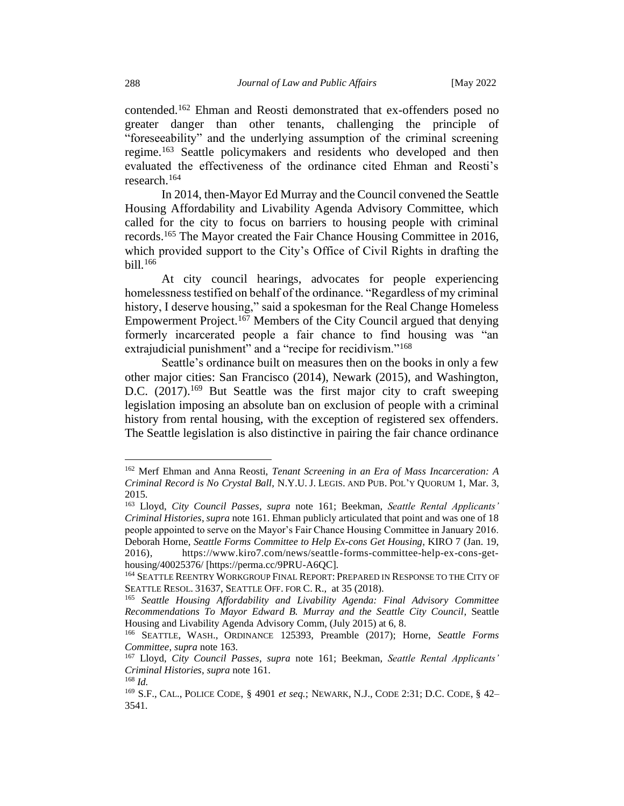contended.<sup>162</sup> Ehman and Reosti demonstrated that ex-offenders posed no greater danger than other tenants, challenging the principle of "foreseeability" and the underlying assumption of the criminal screening regime.<sup>163</sup> Seattle policymakers and residents who developed and then evaluated the effectiveness of the ordinance cited Ehman and Reosti's research.<sup>164</sup>

In 2014, then-Mayor Ed Murray and the Council convened the Seattle Housing Affordability and Livability Agenda Advisory Committee, which called for the city to focus on barriers to housing people with criminal records.<sup>165</sup> The Mayor created the Fair Chance Housing Committee in 2016, which provided support to the City's Office of Civil Rights in drafting the bill.<sup>166</sup>

At city council hearings, advocates for people experiencing homelessness testified on behalf of the ordinance. "Regardless of my criminal history, I deserve housing," said a spokesman for the Real Change Homeless Empowerment Project.<sup>167</sup> Members of the City Council argued that denying formerly incarcerated people a fair chance to find housing was "an extrajudicial punishment" and a "recipe for recidivism."<sup>168</sup>

Seattle's ordinance built on measures then on the books in only a few other major cities: San Francisco (2014), Newark (2015), and Washington, D.C. (2017).<sup>169</sup> But Seattle was the first major city to craft sweeping legislation imposing an absolute ban on exclusion of people with a criminal history from rental housing, with the exception of registered sex offenders. The Seattle legislation is also distinctive in pairing the fair chance ordinance

<sup>162</sup> Merf Ehman and Anna Reosti, *Tenant Screening in an Era of Mass Incarceration: A Criminal Record is No Crystal Ball*, N.Y.U. J. LEGIS. AND PUB. POL'Y QUORUM 1, Mar. 3, 2015.

<sup>163</sup> Lloyd, *City Council Passes*, *supra* note 161; Beekman, *Seattle Rental Applicants' Criminal Histories*, *supra* note 161. Ehman publicly articulated that point and was one of 18 people appointed to serve on the Mayor's Fair Chance Housing Committee in January 2016. Deborah Horne, *Seattle Forms Committee to Help Ex-cons Get Housing*, KIRO 7 (Jan. 19, 2016), https://www.kiro7.com/news/seattle-forms-committee-help-ex-cons-gethousing/40025376/ [https://perma.cc/9PRU-A6QC].

<sup>&</sup>lt;sup>164</sup> SEATTLE REENTRY WORKGROUP FINAL REPORT: PREPARED IN RESPONSE TO THE CITY OF SEATTLE RESOL. 31637, SEATTLE OFF. FOR C. R., at 35 (2018).

<sup>165</sup> *Seattle Housing Affordability and Livability Agenda: Final Advisory Committee Recommendations To Mayor Edward B. Murray and the Seattle City Council*, Seattle Housing and Livability Agenda Advisory Comm, (July 2015) at 6, 8.

<sup>166</sup> SEATTLE, WASH., ORDINANCE 125393, Preamble (2017); Horne, *Seattle Forms Committee*, *supra* note 163.

<sup>167</sup> Lloyd, *City Council Passes*, *supra* note 161; Beekman, *Seattle Rental Applicants' Criminal Histories*, *supra* note 161.

<sup>168</sup> *Id.*

<sup>169</sup> S.F., CAL., POLICE CODE, § 4901 *et seq.*; NEWARK, N.J., CODE 2:31; D.C. CODE, § 42– 3541.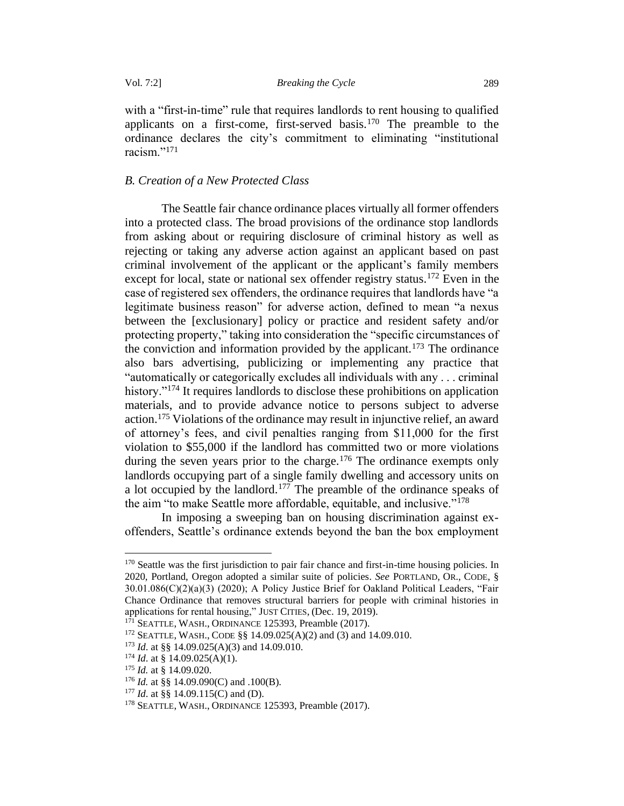with a "first-in-time" rule that requires landlords to rent housing to qualified applicants on a first-come, first-served basis.<sup>170</sup> The preamble to the ordinance declares the city's commitment to eliminating "institutional racism."<sup>171</sup>

### <span id="page-32-0"></span>*B. Creation of a New Protected Class*

The Seattle fair chance ordinance places virtually all former offenders into a protected class. The broad provisions of the ordinance stop landlords from asking about or requiring disclosure of criminal history as well as rejecting or taking any adverse action against an applicant based on past criminal involvement of the applicant or the applicant's family members except for local, state or national sex offender registry status.<sup>172</sup> Even in the case of registered sex offenders, the ordinance requires that landlords have "a legitimate business reason" for adverse action, defined to mean "a nexus between the [exclusionary] policy or practice and resident safety and/or protecting property," taking into consideration the "specific circumstances of the conviction and information provided by the applicant.<sup>173</sup> The ordinance also bars advertising, publicizing or implementing any practice that "automatically or categorically excludes all individuals with any . . . criminal history."<sup>174</sup> It requires landlords to disclose these prohibitions on application materials, and to provide advance notice to persons subject to adverse action.<sup>175</sup> Violations of the ordinance may result in injunctive relief, an award of attorney's fees, and civil penalties ranging from \$11,000 for the first violation to \$55,000 if the landlord has committed two or more violations during the seven years prior to the charge.<sup>176</sup> The ordinance exempts only landlords occupying part of a single family dwelling and accessory units on a lot occupied by the landlord.<sup>177</sup> The preamble of the ordinance speaks of the aim "to make Seattle more affordable, equitable, and inclusive."<sup>178</sup>

In imposing a sweeping ban on housing discrimination against exoffenders, Seattle's ordinance extends beyond the ban the box employment

<sup>&</sup>lt;sup>170</sup> Seattle was the first jurisdiction to pair fair chance and first-in-time housing policies. In 2020, Portland, Oregon adopted a similar suite of policies. *See* PORTLAND, OR., CODE, § 30.01.086(C)(2)(a)(3) (2020); A Policy Justice Brief for Oakland Political Leaders, "Fair Chance Ordinance that removes structural barriers for people with criminal histories in applications for rental housing," JUST CITIES, (Dec. 19, 2019).

 $1^{71}$  SEATTLE, WASH., ORDINANCE 125393, Preamble (2017).

<sup>172</sup> SEATTLE, WASH., CODE §§ 14.09.025(A)(2) and (3) and 14.09.010.

<sup>173</sup> *Id*. at §§ 14.09.025(A)(3) and 14.09.010.

<sup>&</sup>lt;sup>174</sup> *Id.* at § 14.09.025(A)(1).

<sup>175</sup> *Id.* at § 14.09.020.

<sup>176</sup> *Id.* at §§ 14.09.090(C) and .100(B).

<sup>&</sup>lt;sup>177</sup> *Id.* at §§ 14.09.115(C) and (D).

<sup>178</sup> SEATTLE, WASH., ORDINANCE 125393, Preamble (2017).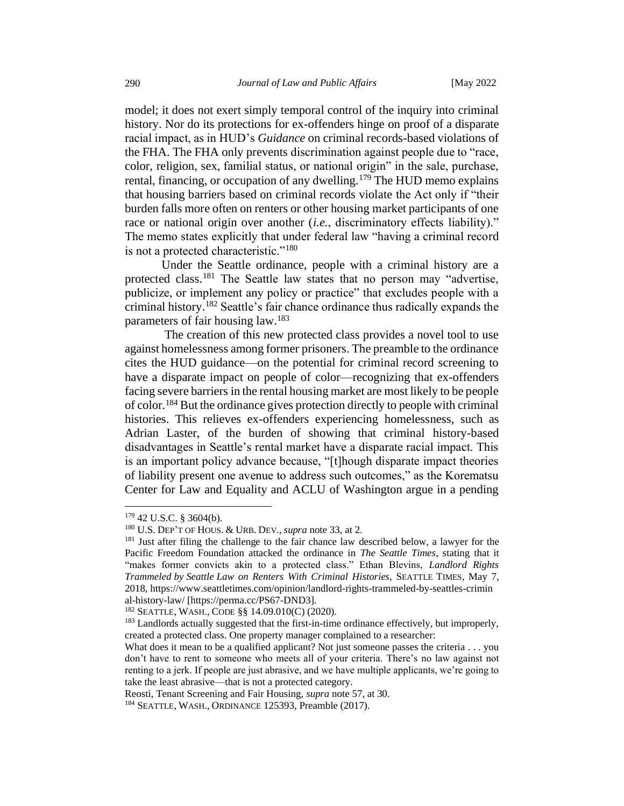model; it does not exert simply temporal control of the inquiry into criminal history. Nor do its protections for ex-offenders hinge on proof of a disparate racial impact, as in HUD's *Guidance* on criminal records-based violations of the FHA. The FHA only prevents discrimination against people due to "race, color, religion, sex, familial status, or national origin" in the sale, purchase, rental, financing, or occupation of any dwelling.<sup>179</sup> The HUD memo explains that housing barriers based on criminal records violate the Act only if "their burden falls more often on renters or other housing market participants of one race or national origin over another (*i.e.*, discriminatory effects liability)." The memo states explicitly that under federal law "having a criminal record is not a protected characteristic."<sup>180</sup>

Under the Seattle ordinance, people with a criminal history are a protected class.<sup>181</sup> The Seattle law states that no person may "advertise, publicize, or implement any policy or practice" that excludes people with a criminal history.<sup>182</sup> Seattle's fair chance ordinance thus radically expands the parameters of fair housing law.<sup>183</sup>

The creation of this new protected class provides a novel tool to use against homelessness among former prisoners. The preamble to the ordinance cites the HUD guidance—on the potential for criminal record screening to have a disparate impact on people of color—recognizing that ex-offenders facing severe barriers in the rental housing market are most likely to be people of color.<sup>184</sup> But the ordinance gives protection directly to people with criminal histories. This relieves ex-offenders experiencing homelessness, such as Adrian Laster, of the burden of showing that criminal history-based disadvantages in Seattle's rental market have a disparate racial impact. This is an important policy advance because, "[t]hough disparate impact theories of liability present one avenue to address such outcomes," as the Korematsu Center for Law and Equality and ACLU of Washington argue in a pending

<sup>179</sup> 42 U.S.C. § 3604(b).

<sup>180</sup> U.S. DEP'T OF HOUS. & URB. DEV., *supra* note 33, at 2.

<sup>&</sup>lt;sup>181</sup> Just after filing the challenge to the fair chance law described below, a lawyer for the Pacific Freedom Foundation attacked the ordinance in *The Seattle Times*, stating that it "makes former convicts akin to a protected class." Ethan Blevins, *Landlord Rights Trammeled by Seattle Law on Renters With Criminal Histories*, SEATTLE TIMES, May 7, 2018, https://www.seattletimes.com/opinion/landlord-rights-trammeled-by-seattles-crimin al-history-law/ [https://perma.cc/PS67-DND3].

<sup>182</sup> SEATTLE, WASH., CODE §§ 14.09.010(C) (2020).

<sup>&</sup>lt;sup>183</sup> Landlords actually suggested that the first-in-time ordinance effectively, but improperly, created a protected class. One property manager complained to a researcher:

What does it mean to be a qualified applicant? Not just someone passes the criteria . . . you don't have to rent to someone who meets all of your criteria. There's no law against not renting to a jerk. If people are just abrasive, and we have multiple applicants, we're going to take the least abrasive—that is not a protected category.

Reosti, Tenant Screening and Fair Housing, *supra* note 57, at 30.

<sup>&</sup>lt;sup>184</sup> SEATTLE, WASH., ORDINANCE 125393, Preamble (2017).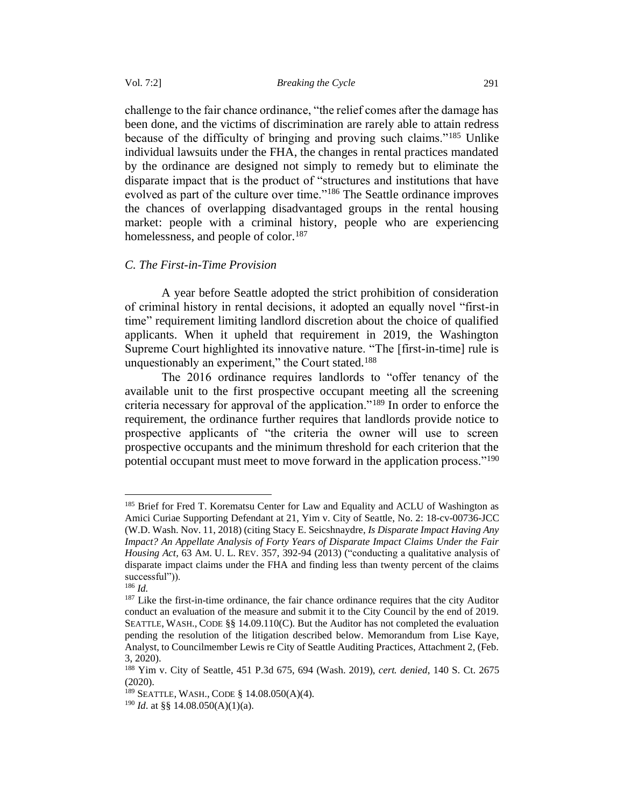challenge to the fair chance ordinance, "the relief comes after the damage has been done, and the victims of discrimination are rarely able to attain redress because of the difficulty of bringing and proving such claims."<sup>185</sup> Unlike individual lawsuits under the FHA, the changes in rental practices mandated by the ordinance are designed not simply to remedy but to eliminate the disparate impact that is the product of "structures and institutions that have evolved as part of the culture over time."<sup>186</sup> The Seattle ordinance improves the chances of overlapping disadvantaged groups in the rental housing market: people with a criminal history, people who are experiencing homelessness, and people of color.<sup>187</sup>

### <span id="page-34-0"></span>*C. The First-in-Time Provision*

A year before Seattle adopted the strict prohibition of consideration of criminal history in rental decisions, it adopted an equally novel "first-in time" requirement limiting landlord discretion about the choice of qualified applicants. When it upheld that requirement in 2019, the Washington Supreme Court highlighted its innovative nature. "The [first-in-time] rule is unquestionably an experiment," the Court stated.<sup>188</sup>

The 2016 ordinance requires landlords to "offer tenancy of the available unit to the first prospective occupant meeting all the screening criteria necessary for approval of the application."<sup>189</sup> In order to enforce the requirement, the ordinance further requires that landlords provide notice to prospective applicants of "the criteria the owner will use to screen prospective occupants and the minimum threshold for each criterion that the potential occupant must meet to move forward in the application process."<sup>190</sup>

<sup>&</sup>lt;sup>185</sup> Brief for Fred T. Korematsu Center for Law and Equality and ACLU of Washington as Amici Curiae Supporting Defendant at 21, Yim v. City of Seattle, No. 2: 18-cv-00736-JCC (W.D. Wash. Nov. 11, 2018) (citing Stacy E. Seicshnaydre, *Is Disparate Impact Having Any Impact? An Appellate Analysis of Forty Years of Disparate Impact Claims Under the Fair Housing Act,* 63 AM. U. L. REV. 357, 392-94 (2013) ("conducting a qualitative analysis of disparate impact claims under the FHA and finding less than twenty percent of the claims successful")).

<sup>186</sup> *Id.*

<sup>&</sup>lt;sup>187</sup> Like the first-in-time ordinance, the fair chance ordinance requires that the city Auditor conduct an evaluation of the measure and submit it to the City Council by the end of 2019. SEATTLE, WASH., CODE §§ 14.09.110(C). But the Auditor has not completed the evaluation pending the resolution of the litigation described below. Memorandum from Lise Kaye, Analyst, to Councilmember Lewis re City of Seattle Auditing Practices, Attachment 2, (Feb. 3, 2020).

<sup>188</sup> Yim v. City of Seattle, 451 P.3d 675, 694 (Wash. 2019), *cert. denied*, 140 S. Ct. 2675 (2020).

<sup>189</sup> SEATTLE, WASH., CODE § 14.08.050(A)(4).

<sup>190</sup> *Id*. at §§ 14.08.050(A)(1)(a).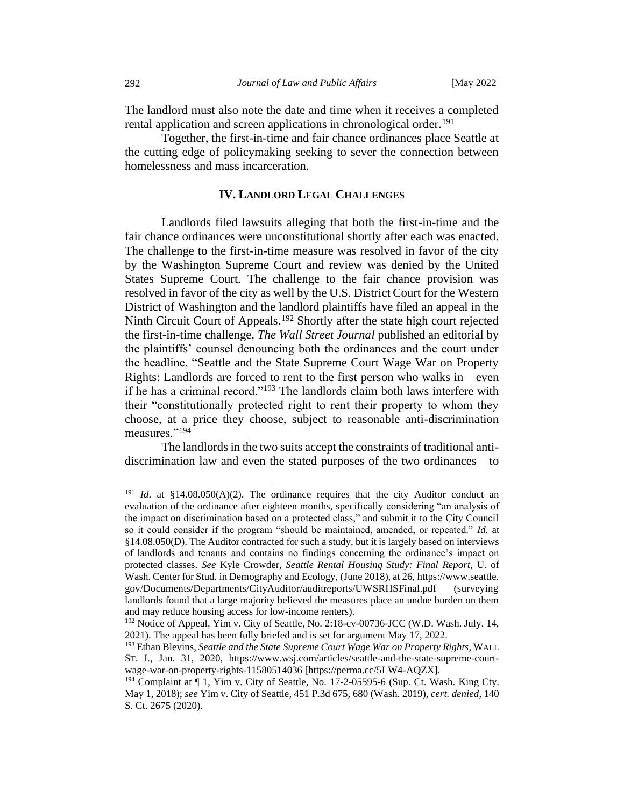The landlord must also note the date and time when it receives a completed rental application and screen applications in chronological order.<sup>191</sup>

Together, the first-in-time and fair chance ordinances place Seattle at the cutting edge of policymaking seeking to sever the connection between homelessness and mass incarceration.

### **IV. LANDLORD LEGAL CHALLENGES**

<span id="page-35-0"></span>Landlords filed lawsuits alleging that both the first-in-time and the fair chance ordinances were unconstitutional shortly after each was enacted. The challenge to the first-in-time measure was resolved in favor of the city by the Washington Supreme Court and review was denied by the United States Supreme Court. The challenge to the fair chance provision was resolved in favor of the city as well by the U.S. District Court for the Western District of Washington and the landlord plaintiffs have filed an appeal in the Ninth Circuit Court of Appeals.<sup>192</sup> Shortly after the state high court rejected the first-in-time challenge, *The Wall Street Journal* published an editorial by the plaintiffs' counsel denouncing both the ordinances and the court under the headline, "Seattle and the State Supreme Court Wage War on Property Rights: Landlords are forced to rent to the first person who walks in—even if he has a criminal record."<sup>193</sup> The landlords claim both laws interfere with their "constitutionally protected right to rent their property to whom they choose, at a price they choose, subject to reasonable anti-discrimination measures."<sup>194</sup>

The landlords in the two suits accept the constraints of traditional antidiscrimination law and even the stated purposes of the two ordinances—to

<sup>&</sup>lt;sup>191</sup> *Id.* at  $$14.08.050(A)(2)$ . The ordinance requires that the city Auditor conduct an evaluation of the ordinance after eighteen months, specifically considering "an analysis of the impact on discrimination based on a protected class," and submit it to the City Council so it could consider if the program "should be maintained, amended, or repeated." *Id.* at §14.08.050(D). The Auditor contracted for such a study, but it is largely based on interviews of landlords and tenants and contains no findings concerning the ordinance's impact on protected classes. *See* Kyle Crowder, *Seattle Rental Housing Study: Final Report*, U. of Wash. Center for Stud. in Demography and Ecology, (June 2018), at 26, https://www.seattle. gov/Documents/Departments/CityAuditor/auditreports/UWSRHSFinal.pdf (surveying landlords found that a large majority believed the measures place an undue burden on them and may reduce housing access for low-income renters).

<sup>192</sup> Notice of Appeal, Yim v. City of Seattle*,* No. 2:18-cv-00736-JCC (W.D. Wash. July. 14, 2021). The appeal has been fully briefed and is set for argument May 17, 2022.

<sup>193</sup> Ethan Blevins, *Seattle and the State Supreme Court Wage War on Property Rights*, WALL ST. J., Jan. 31, 2020, https://www.wsj.com/articles/seattle-and-the-state-supreme-courtwage-war-on-property-rights-11580514036 [https://perma.cc/5LW4-AQZX].

<sup>&</sup>lt;sup>194</sup> Complaint at  $\P$  1, Yim v. City of Seattle, No. 17-2-05595-6 (Sup. Ct. Wash. King Cty. May 1, 2018); *see* Yim v. City of Seattle, 451 P.3d 675, 680 (Wash. 2019), *cert. denied*, 140 S. Ct. 2675 (2020).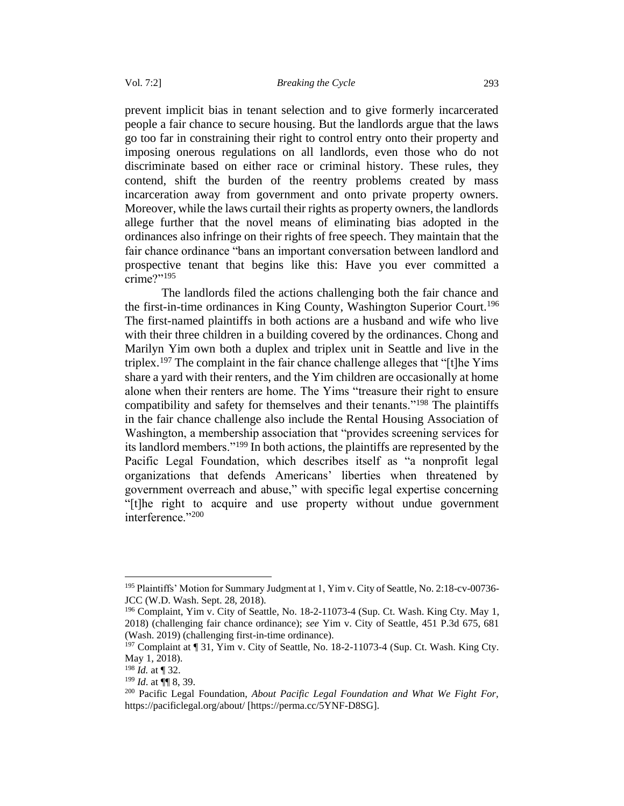prevent implicit bias in tenant selection and to give formerly incarcerated people a fair chance to secure housing. But the landlords argue that the laws go too far in constraining their right to control entry onto their property and imposing onerous regulations on all landlords, even those who do not discriminate based on either race or criminal history. These rules, they contend, shift the burden of the reentry problems created by mass incarceration away from government and onto private property owners. Moreover, while the laws curtail their rights as property owners, the landlords allege further that the novel means of eliminating bias adopted in the ordinances also infringe on their rights of free speech. They maintain that the fair chance ordinance "bans an important conversation between landlord and prospective tenant that begins like this: Have you ever committed a crime?"<sup>195</sup>

The landlords filed the actions challenging both the fair chance and the first-in-time ordinances in King County, Washington Superior Court.<sup>196</sup> The first-named plaintiffs in both actions are a husband and wife who live with their three children in a building covered by the ordinances. Chong and Marilyn Yim own both a duplex and triplex unit in Seattle and live in the triplex.<sup>197</sup> The complaint in the fair chance challenge alleges that "[t]he Yims share a yard with their renters, and the Yim children are occasionally at home alone when their renters are home. The Yims "treasure their right to ensure compatibility and safety for themselves and their tenants."<sup>198</sup> The plaintiffs in the fair chance challenge also include the Rental Housing Association of Washington, a membership association that "provides screening services for its landlord members."<sup>199</sup> In both actions, the plaintiffs are represented by the Pacific Legal Foundation, which describes itself as "a nonprofit legal organizations that defends Americans' liberties when threatened by government overreach and abuse," with specific legal expertise concerning "[t]he right to acquire and use property without undue government interference."<sup>200</sup>

<sup>&</sup>lt;sup>195</sup> Plaintiffs' Motion for Summary Judgment at 1, Yim v. City of Seattle, No. 2:18-cv-00736-JCC (W.D. Wash. Sept. 28, 2018).

<sup>&</sup>lt;sup>196</sup> Complaint, Yim v. City of Seattle, No. 18-2-11073-4 (Sup. Ct. Wash. King Cty. May 1, 2018) (challenging fair chance ordinance); *see* Yim v. City of Seattle, 451 P.3d 675, 681 (Wash. 2019) (challenging first-in-time ordinance).

<sup>&</sup>lt;sup>197</sup> Complaint at ¶ 31, Yim v. City of Seattle, No. 18-2-11073-4 (Sup. Ct. Wash. King Cty. May 1, 2018).

<sup>198</sup> *Id.* at ¶ 32.

<sup>199</sup> *Id*. at ¶¶ 8, 39.

<sup>200</sup> Pacific Legal Foundation, *About Pacific Legal Foundation and What We Fight For,* https://pacificlegal.org/about/ [https://perma.cc/5YNF-D8SG].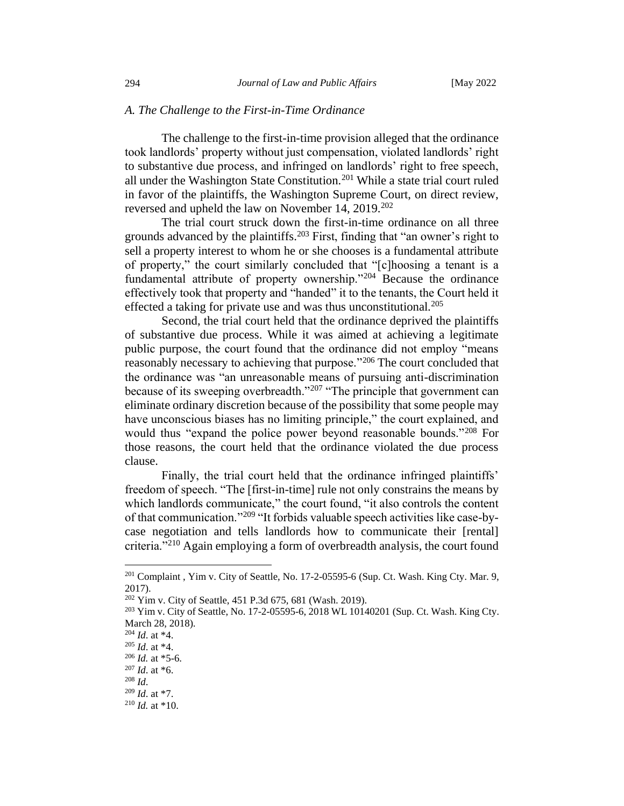### <span id="page-37-0"></span>*A. The Challenge to the First-in-Time Ordinance*

The challenge to the first-in-time provision alleged that the ordinance took landlords' property without just compensation, violated landlords' right to substantive due process, and infringed on landlords' right to free speech, all under the Washington State Constitution.<sup>201</sup> While a state trial court ruled in favor of the plaintiffs, the Washington Supreme Court, on direct review, reversed and upheld the law on November 14, 2019.<sup>202</sup>

The trial court struck down the first-in-time ordinance on all three grounds advanced by the plaintiffs.<sup>203</sup> First, finding that "an owner's right to sell a property interest to whom he or she chooses is a fundamental attribute of property," the court similarly concluded that "[c]hoosing a tenant is a fundamental attribute of property ownership."<sup>204</sup> Because the ordinance effectively took that property and "handed" it to the tenants, the Court held it effected a taking for private use and was thus unconstitutional.<sup>205</sup>

Second, the trial court held that the ordinance deprived the plaintiffs of substantive due process. While it was aimed at achieving a legitimate public purpose, the court found that the ordinance did not employ "means reasonably necessary to achieving that purpose."<sup>206</sup> The court concluded that the ordinance was "an unreasonable means of pursuing anti-discrimination because of its sweeping overbreadth."<sup>207</sup> "The principle that government can eliminate ordinary discretion because of the possibility that some people may have unconscious biases has no limiting principle," the court explained, and would thus "expand the police power beyond reasonable bounds."<sup>208</sup> For those reasons, the court held that the ordinance violated the due process clause.

Finally, the trial court held that the ordinance infringed plaintiffs' freedom of speech. "The [first-in-time] rule not only constrains the means by which landlords communicate," the court found, "it also controls the content of that communication."<sup>209</sup> "It forbids valuable speech activities like case-bycase negotiation and tells landlords how to communicate their [rental] criteria."<sup>210</sup> Again employing a form of overbreadth analysis, the court found

<sup>&</sup>lt;sup>201</sup> Complaint, Yim v. City of Seattle, No. 17-2-05595-6 (Sup. Ct. Wash. King Cty. Mar. 9, 2017).

<sup>202</sup> Yim v. City of Seattle, 451 P.3d 675, 681 (Wash. 2019).

<sup>203</sup> Yim v. City of Seattle, No. 17-2-05595-6, 2018 WL 10140201 (Sup. Ct. Wash. King Cty. March 28, 2018).

<sup>204</sup> *Id*. at \*4.

<sup>205</sup> *Id*. at \*4.

 $206$  *Id.* at  $*5-6$ .

<sup>207</sup> *Id*. at \*6.

<sup>208</sup> *Id*.

<sup>209</sup> *Id*. at \*7.

<sup>210</sup> *Id.* at \*10.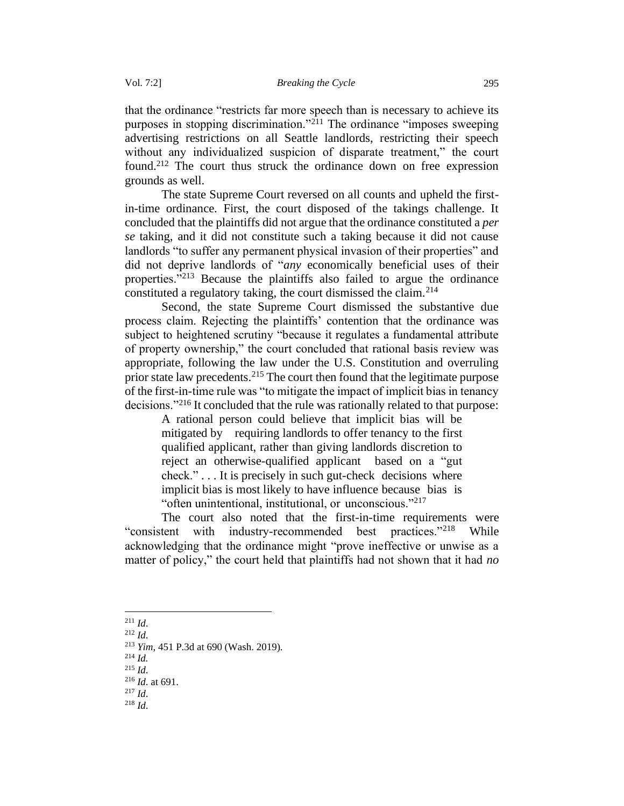that the ordinance "restricts far more speech than is necessary to achieve its purposes in stopping discrimination."<sup>211</sup> The ordinance "imposes sweeping advertising restrictions on all Seattle landlords, restricting their speech without any individualized suspicion of disparate treatment," the court found.<sup>212</sup> The court thus struck the ordinance down on free expression grounds as well.

The state Supreme Court reversed on all counts and upheld the firstin-time ordinance. First, the court disposed of the takings challenge. It concluded that the plaintiffs did not argue that the ordinance constituted a *per se* taking, and it did not constitute such a taking because it did not cause landlords "to suffer any permanent physical invasion of their properties" and did not deprive landlords of "*any* economically beneficial uses of their properties."<sup>213</sup> Because the plaintiffs also failed to argue the ordinance constituted a regulatory taking, the court dismissed the claim.  $2^{14}$ 

Second, the state Supreme Court dismissed the substantive due process claim. Rejecting the plaintiffs' contention that the ordinance was subject to heightened scrutiny "because it regulates a fundamental attribute of property ownership," the court concluded that rational basis review was appropriate, following the law under the U.S. Constitution and overruling prior state law precedents.<sup>215</sup> The court then found that the legitimate purpose of the first-in-time rule was "to mitigate the impact of implicit bias in tenancy decisions."<sup>216</sup> It concluded that the rule was rationally related to that purpose:

A rational person could believe that implicit bias will be mitigated by requiring landlords to offer tenancy to the first qualified applicant, rather than giving landlords discretion to reject an otherwise-qualified applicant based on a "gut check." . . . It is precisely in such gut-check decisions where implicit bias is most likely to have influence because bias is "often unintentional, institutional, or unconscious."<sup>217</sup>

The court also noted that the first-in-time requirements were "consistent with industry-recommended best practices."<sup>218</sup> While acknowledging that the ordinance might "prove ineffective or unwise as a matter of policy," the court held that plaintiffs had not shown that it had *no*

<sup>211</sup> *Id*.

<sup>212</sup> *Id*.

<sup>214</sup> *Id.*

 $^{215}$  *Id.* 

- <sup>217</sup> *Id*.
- <sup>218</sup> *Id*.

<sup>213</sup> *Yim*, 451 P.3d at 690 (Wash. 2019).

<sup>216</sup> *Id*. at 691.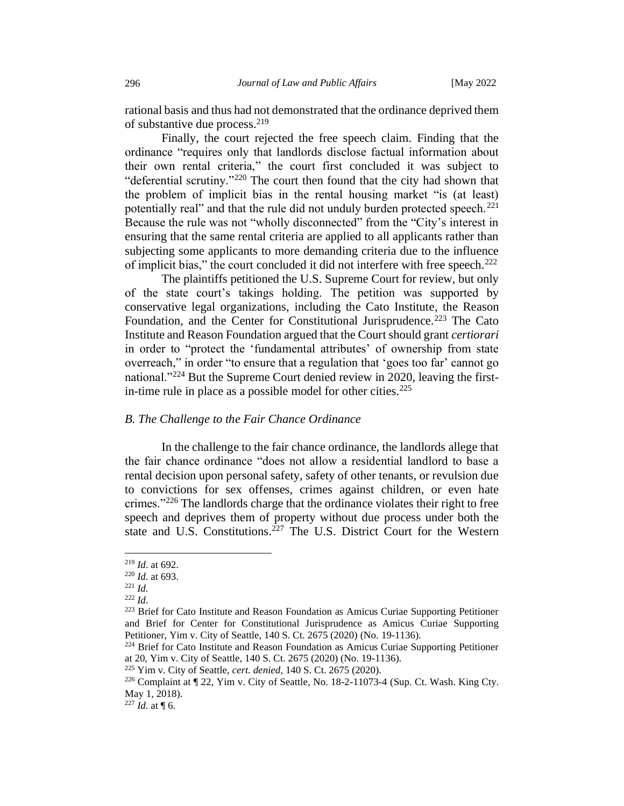rational basis and thus had not demonstrated that the ordinance deprived them of substantive due process.<sup>219</sup>

Finally, the court rejected the free speech claim. Finding that the ordinance "requires only that landlords disclose factual information about their own rental criteria," the court first concluded it was subject to "deferential scrutiny."<sup>220</sup> The court then found that the city had shown that the problem of implicit bias in the rental housing market "is (at least) potentially real" and that the rule did not unduly burden protected speech.<sup>221</sup> Because the rule was not "wholly disconnected" from the "City's interest in ensuring that the same rental criteria are applied to all applicants rather than subjecting some applicants to more demanding criteria due to the influence of implicit bias," the court concluded it did not interfere with free speech.<sup>222</sup>

The plaintiffs petitioned the U.S. Supreme Court for review, but only of the state court's takings holding. The petition was supported by conservative legal organizations, including the Cato Institute, the Reason Foundation, and the Center for Constitutional Jurisprudence.<sup>223</sup> The Cato Institute and Reason Foundation argued that the Court should grant *certiorari* in order to "protect the 'fundamental attributes' of ownership from state overreach," in order "to ensure that a regulation that 'goes too far' cannot go national."<sup>224</sup> But the Supreme Court denied review in 2020, leaving the firstin-time rule in place as a possible model for other cities. $225$ 

### <span id="page-39-0"></span>*B. The Challenge to the Fair Chance Ordinance*

In the challenge to the fair chance ordinance, the landlords allege that the fair chance ordinance "does not allow a residential landlord to base a rental decision upon personal safety, safety of other tenants, or revulsion due to convictions for sex offenses, crimes against children, or even hate crimes."<sup>226</sup> The landlords charge that the ordinance violates their right to free speech and deprives them of property without due process under both the state and U.S. Constitutions.<sup>227</sup> The U.S. District Court for the Western

<sup>219</sup> *Id*. at 692.

<sup>220</sup> *Id*. at 693.

<sup>221</sup> *Id.*

<sup>222</sup> *Id*.

<sup>223</sup> Brief for Cato Institute and Reason Foundation as Amicus Curiae Supporting Petitioner and Brief for Center for Constitutional Jurisprudence as Amicus Curiae Supporting Petitioner, Yim v. City of Seattle, 140 S. Ct. 2675 (2020) (No. 19-1136).

<sup>224</sup> Brief for Cato Institute and Reason Foundation as Amicus Curiae Supporting Petitioner at 20, Yim v. City of Seattle, 140 S. Ct. 2675 (2020) (No. 19-1136).

<sup>225</sup> Yim v. City of Seattle, *cert. denied,* 140 S. Ct. 2675 (2020).

<sup>226</sup> Complaint at ¶ 22, Yim v. City of Seattle, No. 18-2-11073-4 (Sup. Ct. Wash. King Cty. May 1, 2018).

 $^{227}$  *Id.* at ¶ 6.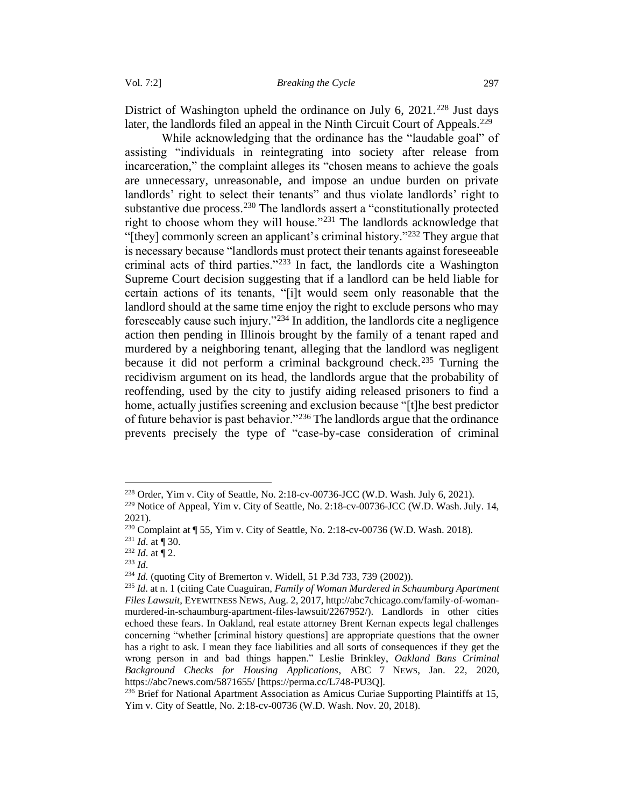District of Washington upheld the ordinance on July 6, 2021.<sup>228</sup> Just days later, the landlords filed an appeal in the Ninth Circuit Court of Appeals.<sup>229</sup>

While acknowledging that the ordinance has the "laudable goal" of assisting "individuals in reintegrating into society after release from incarceration," the complaint alleges its "chosen means to achieve the goals are unnecessary, unreasonable, and impose an undue burden on private landlords' right to select their tenants" and thus violate landlords' right to substantive due process.<sup>230</sup> The landlords assert a "constitutionally protected right to choose whom they will house."<sup>231</sup> The landlords acknowledge that "[they] commonly screen an applicant's criminal history."<sup>232</sup> They argue that is necessary because "landlords must protect their tenants against foreseeable criminal acts of third parties."<sup>233</sup> In fact, the landlords cite a Washington Supreme Court decision suggesting that if a landlord can be held liable for certain actions of its tenants, "[i]t would seem only reasonable that the landlord should at the same time enjoy the right to exclude persons who may foreseeably cause such injury."<sup>234</sup> In addition, the landlords cite a negligence action then pending in Illinois brought by the family of a tenant raped and murdered by a neighboring tenant, alleging that the landlord was negligent because it did not perform a criminal background check.<sup>235</sup> Turning the recidivism argument on its head, the landlords argue that the probability of reoffending, used by the city to justify aiding released prisoners to find a home, actually justifies screening and exclusion because "[t]he best predictor of future behavior is past behavior."<sup>236</sup> The landlords argue that the ordinance prevents precisely the type of "case-by-case consideration of criminal

<sup>234</sup> *Id.* (quoting City of Bremerton v. Widell, 51 P.3d 733, 739 (2002)).

<sup>228</sup> Order, Yim v. City of Seattle*,* No. 2:18-cv-00736-JCC (W.D. Wash. July 6, 2021).

<sup>229</sup> Notice of Appeal, Yim v. City of Seattle*,* No. 2:18-cv-00736-JCC (W.D. Wash. July. 14, 2021).

<sup>230</sup> Complaint at ¶ 55, Yim v. City of Seattle, No. 2:18-cv-00736 (W.D. Wash. 2018).

<sup>231</sup> *Id*. at ¶ 30.

 $232$  *Id.* at  $\frac{1}{2}$ .

<sup>233</sup> *Id*.

<sup>235</sup> *Id*. at n. 1 (citing Cate Cuaguiran, *Family of Woman Murdered in Schaumburg Apartment Files Lawsuit*, EYEWITNESS NEWS, Aug. 2, 2017, http://abc7chicago.com/family-of-womanmurdered-in-schaumburg-apartment-files-lawsuit/2267952/). Landlords in other cities echoed these fears. In Oakland, real estate attorney Brent Kernan expects legal challenges concerning "whether [criminal history questions] are appropriate questions that the owner has a right to ask. I mean they face liabilities and all sorts of consequences if they get the wrong person in and bad things happen." Leslie Brinkley, *Oakland Bans Criminal Background Checks for Housing Applications*, ABC 7 NEWS, Jan. 22, 2020, https://abc7news.com/5871655/ [https://perma.cc/L748-PU3Q].

<sup>&</sup>lt;sup>236</sup> Brief for National Apartment Association as Amicus Curiae Supporting Plaintiffs at 15, Yim v. City of Seattle, No. 2:18-cv-00736 (W.D. Wash. Nov. 20, 2018).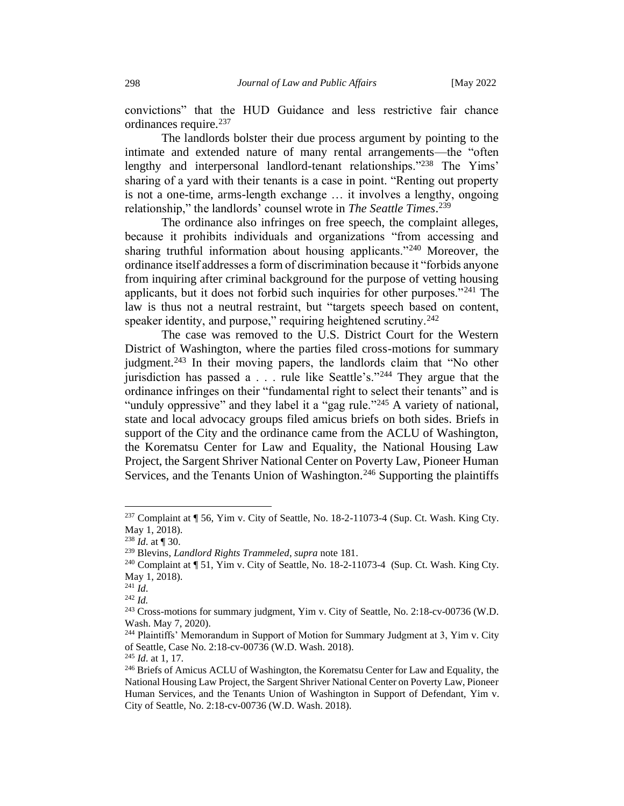convictions" that the HUD Guidance and less restrictive fair chance ordinances require.<sup>237</sup>

The landlords bolster their due process argument by pointing to the intimate and extended nature of many rental arrangements—the "often lengthy and interpersonal landlord-tenant relationships."<sup>238</sup> The Yims' sharing of a yard with their tenants is a case in point. "Renting out property is not a one-time, arms-length exchange … it involves a lengthy, ongoing relationship," the landlords' counsel wrote in *The Seattle Times*. 239

The ordinance also infringes on free speech, the complaint alleges, because it prohibits individuals and organizations "from accessing and sharing truthful information about housing applicants."<sup>240</sup> Moreover, the ordinance itself addresses a form of discrimination because it "forbids anyone from inquiring after criminal background for the purpose of vetting housing applicants, but it does not forbid such inquiries for other purposes."<sup>241</sup> The law is thus not a neutral restraint, but "targets speech based on content, speaker identity, and purpose," requiring heightened scrutiny.<sup>242</sup>

The case was removed to the U.S. District Court for the Western District of Washington, where the parties filed cross-motions for summary judgment.<sup>243</sup> In their moving papers, the landlords claim that "No other jurisdiction has passed a . . . rule like Seattle's."<sup>244</sup> They argue that the ordinance infringes on their "fundamental right to select their tenants" and is "unduly oppressive" and they label it a "gag rule."<sup>245</sup> A variety of national, state and local advocacy groups filed amicus briefs on both sides. Briefs in support of the City and the ordinance came from the ACLU of Washington, the Korematsu Center for Law and Equality, the National Housing Law Project, the Sargent Shriver National Center on Poverty Law, Pioneer Human Services, and the Tenants Union of Washington.<sup>246</sup> Supporting the plaintiffs

 $237$  Complaint at  $\P$  56, Yim v. City of Seattle, No. 18-2-11073-4 (Sup. Ct. Wash. King Cty. May 1, 2018).

 $^{238}$  *Id.* at ¶ 30.

<sup>239</sup> Blevins, *Landlord Rights Trammeled*, *supra* note 181.

<sup>&</sup>lt;sup>240</sup> Complaint at ¶ 51, Yim v. City of Seattle, No. 18-2-11073-4 (Sup. Ct. Wash. King Cty. May 1, 2018).

<sup>241</sup> *Id*.

<sup>242</sup> *Id.*

<sup>&</sup>lt;sup>243</sup> Cross-motions for summary judgment, Yim v. City of Seattle, No. 2:18-cv-00736 (W.D. Wash. May 7, 2020).

<sup>&</sup>lt;sup>244</sup> Plaintiffs' Memorandum in Support of Motion for Summary Judgment at 3, Yim v. City of Seattle, Case No. 2:18-cv-00736 (W.D. Wash. 2018).

<sup>245</sup> *Id*. at 1, 17.

<sup>&</sup>lt;sup>246</sup> Briefs of Amicus ACLU of Washington, the Korematsu Center for Law and Equality, the National Housing Law Project, the Sargent Shriver National Center on Poverty Law, Pioneer Human Services, and the Tenants Union of Washington in Support of Defendant, Yim v. City of Seattle, No. 2:18-cv-00736 (W.D. Wash. 2018).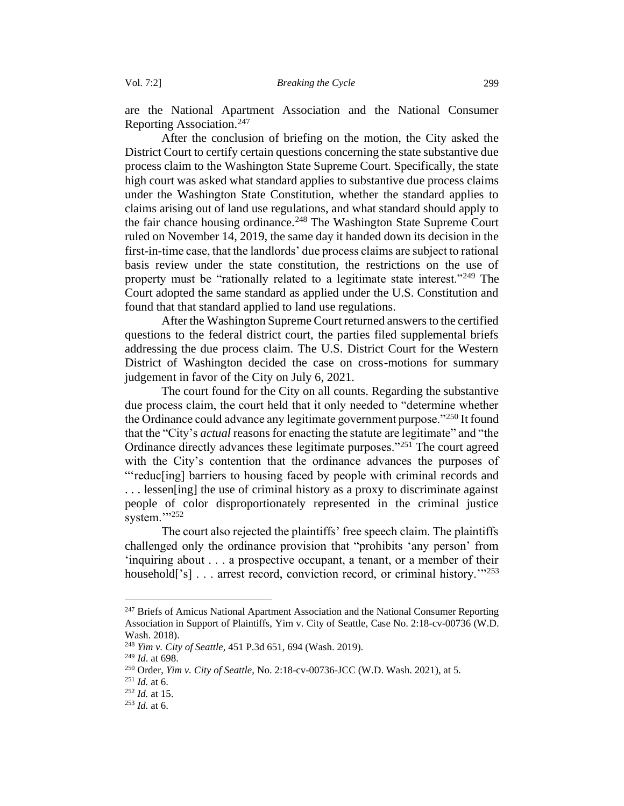are the National Apartment Association and the National Consumer Reporting Association.<sup>247</sup>

After the conclusion of briefing on the motion, the City asked the District Court to certify certain questions concerning the state substantive due process claim to the Washington State Supreme Court. Specifically, the state high court was asked what standard applies to substantive due process claims under the Washington State Constitution, whether the standard applies to claims arising out of land use regulations, and what standard should apply to the fair chance housing ordinance.<sup>248</sup> The Washington State Supreme Court ruled on November 14, 2019, the same day it handed down its decision in the first-in-time case, that the landlords' due process claims are subject to rational basis review under the state constitution, the restrictions on the use of property must be "rationally related to a legitimate state interest."<sup>249</sup> The Court adopted the same standard as applied under the U.S. Constitution and found that that standard applied to land use regulations.

After the Washington Supreme Court returned answers to the certified questions to the federal district court, the parties filed supplemental briefs addressing the due process claim. The U.S. District Court for the Western District of Washington decided the case on cross-motions for summary judgement in favor of the City on July 6, 2021.

The court found for the City on all counts. Regarding the substantive due process claim, the court held that it only needed to "determine whether the Ordinance could advance any legitimate government purpose."<sup>250</sup> It found that the "City's *actual* reasons for enacting the statute are legitimate" and "the Ordinance directly advances these legitimate purposes."<sup>251</sup> The court agreed with the City's contention that the ordinance advances the purposes of "'reduc[ing] barriers to housing faced by people with criminal records and . . . lessen[ing] the use of criminal history as a proxy to discriminate against people of color disproportionately represented in the criminal justice system."<sup>252</sup>

The court also rejected the plaintiffs' free speech claim. The plaintiffs challenged only the ordinance provision that "prohibits 'any person' from 'inquiring about . . . a prospective occupant, a tenant, or a member of their household<sup>['s]</sup> . . . arrest record, conviction record, or criminal history.<sup>'"253</sup>

<sup>&</sup>lt;sup>247</sup> Briefs of Amicus National Apartment Association and the National Consumer Reporting Association in Support of Plaintiffs, Yim v. City of Seattle, Case No. 2:18-cv-00736 (W.D. Wash. 2018).

<sup>248</sup> *Yim v. City of Seattle*, 451 P.3d 651, 694 (Wash. 2019).

<sup>249</sup> *Id*. at 698.

<sup>250</sup> Order, *Yim v. City of Seattle*, No. 2:18-cv-00736-JCC (W.D. Wash. 2021), at 5.

<sup>251</sup> *Id.* at 6.

<sup>252</sup> *Id.* at 15.

<sup>253</sup> *Id.* at 6.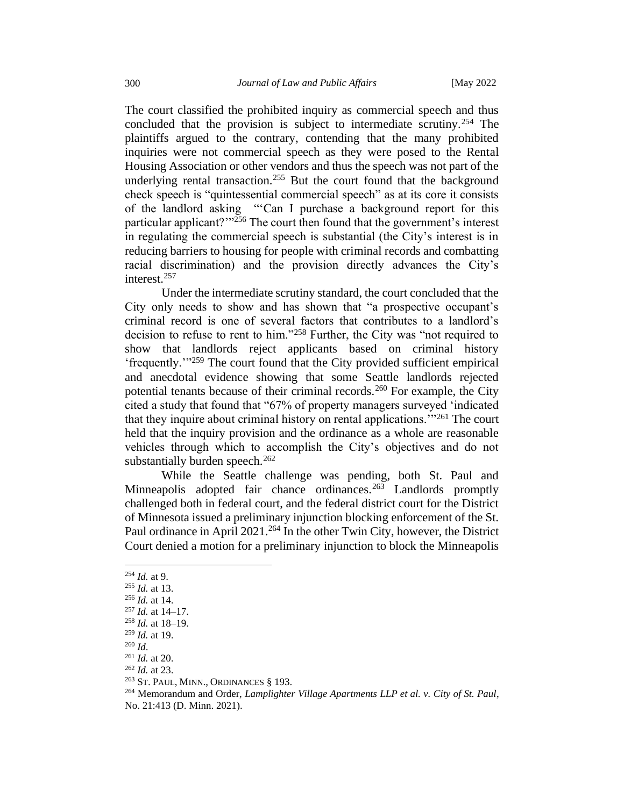The court classified the prohibited inquiry as commercial speech and thus concluded that the provision is subject to intermediate scrutiny.<sup>254</sup> The plaintiffs argued to the contrary, contending that the many prohibited inquiries were not commercial speech as they were posed to the Rental Housing Association or other vendors and thus the speech was not part of the underlying rental transaction.<sup>255</sup> But the court found that the background check speech is "quintessential commercial speech" as at its core it consists of the landlord asking "'Can I purchase a background report for this particular applicant?'"<sup>256</sup> The court then found that the government's interest in regulating the commercial speech is substantial (the City's interest is in reducing barriers to housing for people with criminal records and combatting racial discrimination) and the provision directly advances the City's interest.<sup>257</sup>

Under the intermediate scrutiny standard, the court concluded that the City only needs to show and has shown that "a prospective occupant's criminal record is one of several factors that contributes to a landlord's decision to refuse to rent to him."<sup>258</sup> Further, the City was "not required to show that landlords reject applicants based on criminal history 'frequently.'"<sup>259</sup> The court found that the City provided sufficient empirical and anecdotal evidence showing that some Seattle landlords rejected potential tenants because of their criminal records.<sup>260</sup> For example, the City cited a study that found that "67% of property managers surveyed 'indicated that they inquire about criminal history on rental applications.'"<sup>261</sup> The court held that the inquiry provision and the ordinance as a whole are reasonable vehicles through which to accomplish the City's objectives and do not substantially burden speech. $262$ 

While the Seattle challenge was pending, both St. Paul and Minneapolis adopted fair chance ordinances.<sup>263</sup> Landlords promptly challenged both in federal court, and the federal district court for the District of Minnesota issued a preliminary injunction blocking enforcement of the St. Paul ordinance in April 2021.<sup>264</sup> In the other Twin City, however, the District Court denied a motion for a preliminary injunction to block the Minneapolis

<sup>254</sup> *Id.* at 9.

<sup>255</sup> *Id.* at 13.

<sup>256</sup> *Id.* at 14.

<sup>257</sup> *Id.* at 14–17.

<sup>258</sup> *Id.* at 18–19.

<sup>259</sup> *Id.* at 19.

<sup>260</sup> *Id*.

<sup>261</sup> *Id.* at 20.

<sup>262</sup> *Id.* at 23.

<sup>&</sup>lt;sup>263</sup> St. PAUL, MINN., ORDINANCES § 193.

<sup>264</sup> Memorandum and Order, *Lamplighter Village Apartments LLP et al. v. City of St. Paul*,

No. 21:413 (D. Minn. 2021).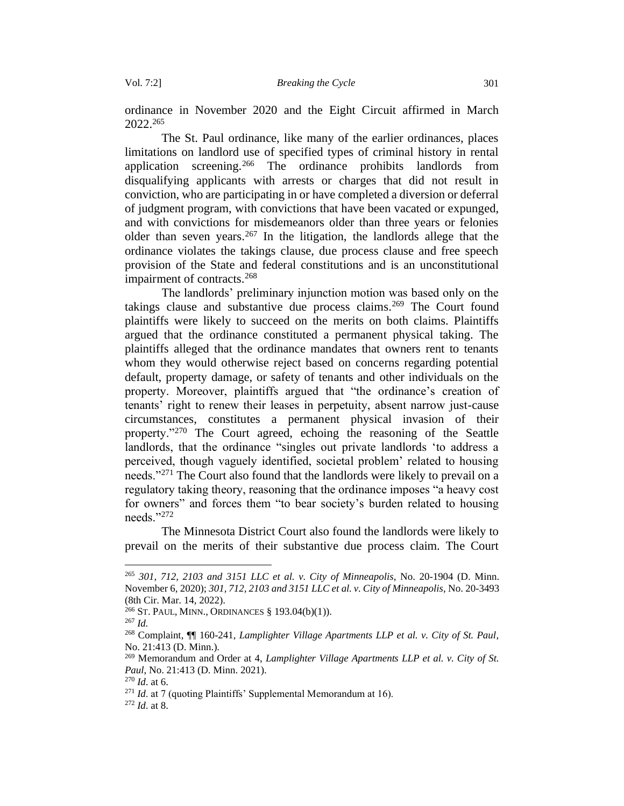ordinance in November 2020 and the Eight Circuit affirmed in March 2022.<sup>265</sup>

The St. Paul ordinance, like many of the earlier ordinances, places limitations on landlord use of specified types of criminal history in rental application screening.<sup>266</sup> The ordinance prohibits landlords from disqualifying applicants with arrests or charges that did not result in conviction, who are participating in or have completed a diversion or deferral of judgment program, with convictions that have been vacated or expunged, and with convictions for misdemeanors older than three years or felonies older than seven years.<sup>267</sup> In the litigation, the landlords allege that the ordinance violates the takings clause, due process clause and free speech provision of the State and federal constitutions and is an unconstitutional impairment of contracts.<sup>268</sup>

The landlords' preliminary injunction motion was based only on the takings clause and substantive due process claims.<sup>269</sup> The Court found plaintiffs were likely to succeed on the merits on both claims. Plaintiffs argued that the ordinance constituted a permanent physical taking. The plaintiffs alleged that the ordinance mandates that owners rent to tenants whom they would otherwise reject based on concerns regarding potential default, property damage, or safety of tenants and other individuals on the property. Moreover, plaintiffs argued that "the ordinance's creation of tenants' right to renew their leases in perpetuity, absent narrow just-cause circumstances, constitutes a permanent physical invasion of their property."<sup>270</sup> The Court agreed, echoing the reasoning of the Seattle landlords, that the ordinance "singles out private landlords 'to address a perceived, though vaguely identified, societal problem' related to housing needs."<sup>271</sup> The Court also found that the landlords were likely to prevail on a regulatory taking theory, reasoning that the ordinance imposes "a heavy cost for owners" and forces them "to bear society's burden related to housing needs."<sup>272</sup>

The Minnesota District Court also found the landlords were likely to prevail on the merits of their substantive due process claim. The Court

<sup>265</sup> *301, 712, 2103 and 3151 LLC et al. v. City of Minneapolis*, No. 20-1904 (D. Minn. November 6, 2020); *301, 712, 2103 and 3151 LLC et al. v. City of Minneapolis,* No. 20-3493 (8th Cir. Mar. 14, 2022).

<sup>266</sup> ST.PAUL, MINN., ORDINANCES § 193.04(b)(1)).

<sup>267</sup> *Id.*

<sup>268</sup> Complaint, ¶¶ 160-241, *Lamplighter Village Apartments LLP et al. v. City of St. Paul*, No. 21:413 (D. Minn.).

<sup>269</sup> Memorandum and Order at 4, *Lamplighter Village Apartments LLP et al. v. City of St. Paul*, No. 21:413 (D. Minn. 2021).

<sup>270</sup> *Id*. at 6.

<sup>&</sup>lt;sup>271</sup> *Id.* at 7 (quoting Plaintiffs' Supplemental Memorandum at 16).

<sup>272</sup> *Id*. at 8.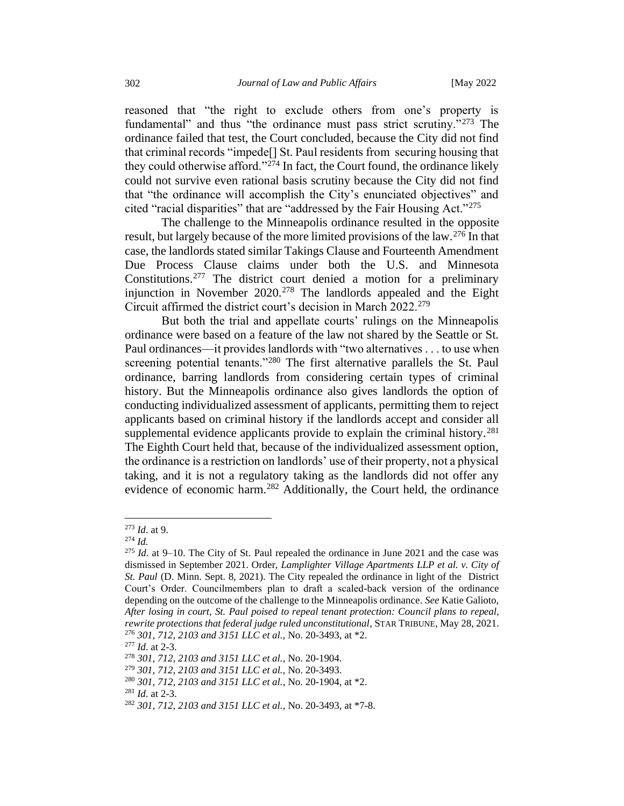reasoned that "the right to exclude others from one's property is fundamental" and thus "the ordinance must pass strict scrutiny."<sup>273</sup> The ordinance failed that test, the Court concluded, because the City did not find that criminal records "impede[] St. Paul residents from securing housing that they could otherwise afford."<sup>274</sup> In fact, the Court found, the ordinance likely could not survive even rational basis scrutiny because the City did not find that "the ordinance will accomplish the City's enunciated objectives" and cited "racial disparities" that are "addressed by the Fair Housing Act."<sup>275</sup>

The challenge to the Minneapolis ordinance resulted in the opposite result, but largely because of the more limited provisions of the law.<sup>276</sup> In that case, the landlords stated similar Takings Clause and Fourteenth Amendment Due Process Clause claims under both the U.S. and Minnesota Constitutions.<sup>277</sup> The district court denied a motion for a preliminary injunction in November  $2020$ <sup>278</sup> The landlords appealed and the Eight Circuit affirmed the district court's decision in March 2022.<sup>279</sup>

But both the trial and appellate courts' rulings on the Minneapolis ordinance were based on a feature of the law not shared by the Seattle or St. Paul ordinances—it provides landlords with "two alternatives . . . to use when screening potential tenants."<sup>280</sup> The first alternative parallels the St. Paul ordinance, barring landlords from considering certain types of criminal history. But the Minneapolis ordinance also gives landlords the option of conducting individualized assessment of applicants, permitting them to reject applicants based on criminal history if the landlords accept and consider all supplemental evidence applicants provide to explain the criminal history.<sup>281</sup> The Eighth Court held that, because of the individualized assessment option, the ordinance is a restriction on landlords' use of their property, not a physical taking, and it is not a regulatory taking as the landlords did not offer any evidence of economic harm.<sup>282</sup> Additionally, the Court held, the ordinance

<sup>281</sup> *Id*. at 2-3.

<sup>273</sup> *Id*. at 9.

<sup>274</sup> *Id.*

<sup>275</sup> *Id*. at 9–10. The City of St. Paul repealed the ordinance in June 2021 and the case was dismissed in September 2021. Order, *Lamplighter Village Apartments LLP et al. v. City of St. Paul* (D. Minn. Sept. 8, 2021). The City repealed the ordinance in light of the District Court's Order. Councilmembers plan to draft a scaled-back version of the ordinance depending on the outcome of the challenge to the Minneapolis ordinance. *See* Katie Galioto, *After losing in court, St. Paul poised to repeal tenant protection: Council plans to repeal, rewrite protections that federal judge ruled unconstitutional*, STAR TRIBUNE, May 28, 2021. <sup>276</sup> *301, 712, 2103 and 3151 LLC et al.,* No. 20-3493, at \*2.

<sup>277</sup> *Id*. at 2-3.

<sup>278</sup> *301, 712, 2103 and 3151 LLC et al.*, No. 20-1904.

<sup>279</sup> *301, 712, 2103 and 3151 LLC et al.,* No. 20-3493.

<sup>280</sup> *301, 712, 2103 and 3151 LLC et al.*, No. 20-1904, at \*2.

<sup>282</sup> *301, 712, 2103 and 3151 LLC et al.,* No. 20-3493, at \*7-8.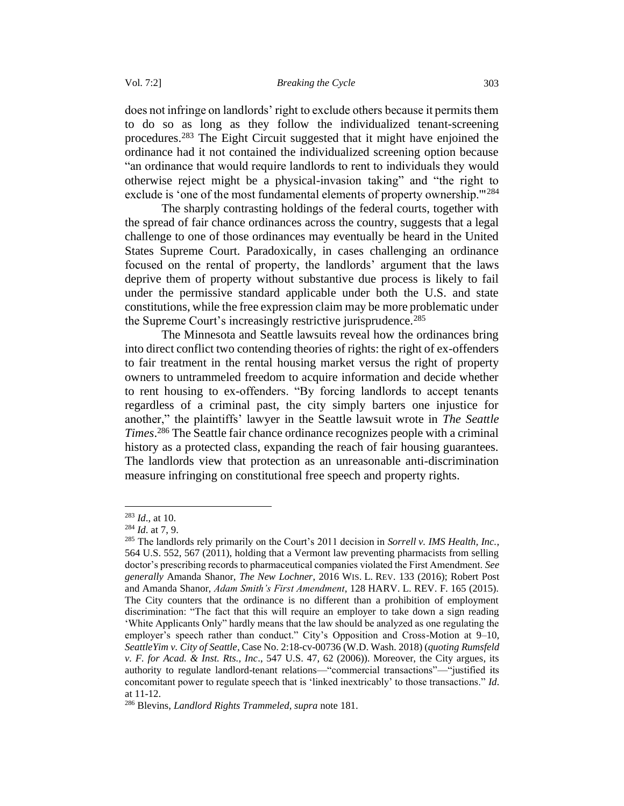does not infringe on landlords' right to exclude others because it permits them to do so as long as they follow the individualized tenant-screening procedures.<sup>283</sup> The Eight Circuit suggested that it might have enjoined the ordinance had it not contained the individualized screening option because "an ordinance that would require landlords to rent to individuals they would otherwise reject might be a physical-invasion taking" and "the right to exclude is 'one of the most fundamental elements of property ownership.<sup>"1284</sup>

The sharply contrasting holdings of the federal courts, together with the spread of fair chance ordinances across the country, suggests that a legal challenge to one of those ordinances may eventually be heard in the United States Supreme Court. Paradoxically, in cases challenging an ordinance focused on the rental of property, the landlords' argument that the laws deprive them of property without substantive due process is likely to fail under the permissive standard applicable under both the U.S. and state constitutions, while the free expression claim may be more problematic under the Supreme Court's increasingly restrictive jurisprudence.<sup>285</sup>

The Minnesota and Seattle lawsuits reveal how the ordinances bring into direct conflict two contending theories of rights: the right of ex-offenders to fair treatment in the rental housing market versus the right of property owners to untrammeled freedom to acquire information and decide whether to rent housing to ex-offenders. "By forcing landlords to accept tenants regardless of a criminal past, the city simply barters one injustice for another," the plaintiffs' lawyer in the Seattle lawsuit wrote in *The Seattle Times*. <sup>286</sup> The Seattle fair chance ordinance recognizes people with a criminal history as a protected class, expanding the reach of fair housing guarantees. The landlords view that protection as an unreasonable anti-discrimination measure infringing on constitutional free speech and property rights.

<sup>283</sup> *Id*., at 10.

<sup>284</sup> *Id*. at 7, 9.

<sup>285</sup> The landlords rely primarily on the Court's 2011 decision in *Sorrell v. IMS Health, Inc.*, 564 U.S. 552, 567 (2011), holding that a Vermont law preventing pharmacists from selling doctor's prescribing records to pharmaceutical companies violated the First Amendment. *See generally* Amanda Shanor, *The New Lochner*, 2016 WIS. L. REV. 133 (2016); Robert Post and Amanda Shanor, *Adam Smith's First Amendment*, 128 HARV. L. REV. F. 165 (2015). The City counters that the ordinance is no different than a prohibition of employment discrimination: "The fact that this will require an employer to take down a sign reading 'White Applicants Only" hardly means that the law should be analyzed as one regulating the employer's speech rather than conduct." City's Opposition and Cross-Motion at 9–10, *SeattleYim v. City of Seattle*, Case No. 2:18-cv-00736 (W.D. Wash. 2018) (*quoting Rumsfeld v. F. for Acad. & Inst. Rts., Inc*., 547 U.S. 47, 62 (2006)). Moreover, the City argues, its authority to regulate landlord-tenant relations—"commercial transactions"—"justified its concomitant power to regulate speech that is 'linked inextricably' to those transactions." *Id*. at 11-12.

<sup>286</sup> Blevins, *Landlord Rights Trammeled, supra* note 181.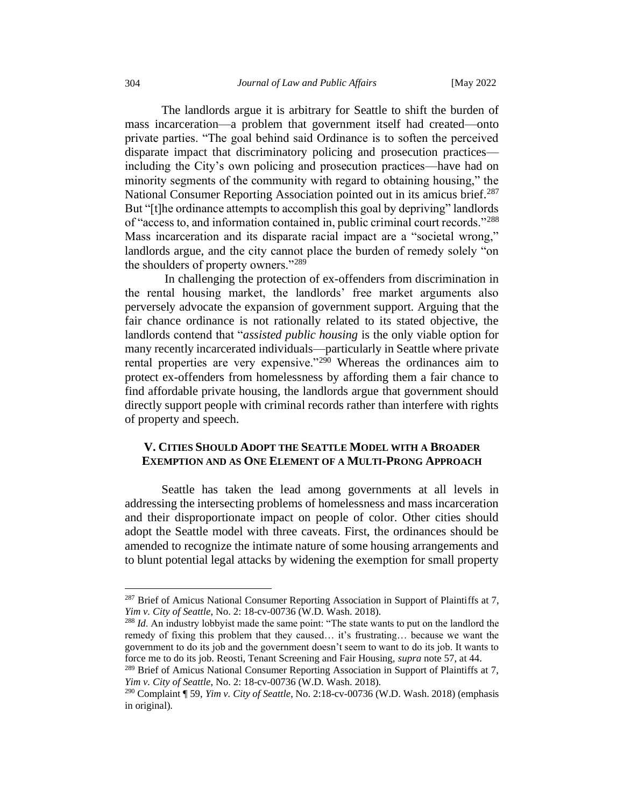The landlords argue it is arbitrary for Seattle to shift the burden of mass incarceration—a problem that government itself had created—onto private parties. "The goal behind said Ordinance is to soften the perceived disparate impact that discriminatory policing and prosecution practices including the City's own policing and prosecution practices—have had on minority segments of the community with regard to obtaining housing," the National Consumer Reporting Association pointed out in its amicus brief.<sup>287</sup> But "[t]he ordinance attempts to accomplish this goal by depriving" landlords of "access to, and information contained in, public criminal court records."<sup>288</sup> Mass incarceration and its disparate racial impact are a "societal wrong," landlords argue, and the city cannot place the burden of remedy solely "on the shoulders of property owners."<sup>289</sup>

In challenging the protection of ex-offenders from discrimination in the rental housing market, the landlords' free market arguments also perversely advocate the expansion of government support. Arguing that the fair chance ordinance is not rationally related to its stated objective, the landlords contend that "*assisted public housing* is the only viable option for many recently incarcerated individuals—particularly in Seattle where private rental properties are very expensive."<sup>290</sup> Whereas the ordinances aim to protect ex-offenders from homelessness by affording them a fair chance to find affordable private housing, the landlords argue that government should directly support people with criminal records rather than interfere with rights of property and speech.

### <span id="page-47-0"></span>**V. CITIES SHOULD ADOPT THE SEATTLE MODEL WITH A BROADER EXEMPTION AND AS ONE ELEMENT OF A MULTI-PRONG APPROACH**

Seattle has taken the lead among governments at all levels in addressing the intersecting problems of homelessness and mass incarceration and their disproportionate impact on people of color. Other cities should adopt the Seattle model with three caveats. First, the ordinances should be amended to recognize the intimate nature of some housing arrangements and to blunt potential legal attacks by widening the exemption for small property

<sup>&</sup>lt;sup>287</sup> Brief of Amicus National Consumer Reporting Association in Support of Plaintiffs at 7, *Yim v. City of Seattle*, No. 2: 18-cv-00736 (W.D. Wash. 2018).

<sup>288</sup> *Id*. An industry lobbyist made the same point: "The state wants to put on the landlord the remedy of fixing this problem that they caused… it's frustrating… because we want the government to do its job and the government doesn't seem to want to do its job. It wants to force me to do its job. Reosti, Tenant Screening and Fair Housing, *supra* note 57, at 44.

<sup>&</sup>lt;sup>289</sup> Brief of Amicus National Consumer Reporting Association in Support of Plaintiffs at 7, *Yim v. City of Seattle*, No. 2: 18-cv-00736 (W.D. Wash. 2018).

<sup>290</sup> Complaint ¶ 59, *Yim v. City of Seattle*, No. 2:18-cv-00736 (W.D. Wash. 2018) (emphasis in original).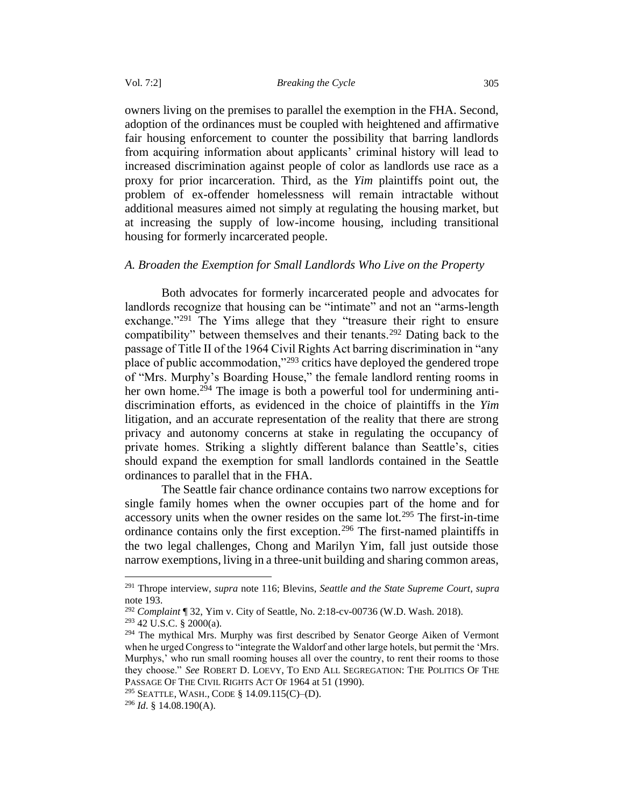owners living on the premises to parallel the exemption in the FHA. Second, adoption of the ordinances must be coupled with heightened and affirmative fair housing enforcement to counter the possibility that barring landlords from acquiring information about applicants' criminal history will lead to increased discrimination against people of color as landlords use race as a proxy for prior incarceration. Third, as the *Yim* plaintiffs point out, the problem of ex-offender homelessness will remain intractable without additional measures aimed not simply at regulating the housing market, but at increasing the supply of low-income housing, including transitional housing for formerly incarcerated people.

### <span id="page-48-0"></span>*A. Broaden the Exemption for Small Landlords Who Live on the Property*

Both advocates for formerly incarcerated people and advocates for landlords recognize that housing can be "intimate" and not an "arms-length exchange."<sup>291</sup> The Yims allege that they "treasure their right to ensure compatibility" between themselves and their tenants.<sup>292</sup> Dating back to the passage of Title II of the 1964 Civil Rights Act barring discrimination in "any place of public accommodation,"<sup>293</sup> critics have deployed the gendered trope of "Mrs. Murphy's Boarding House," the female landlord renting rooms in her own home.<sup>294</sup> The image is both a powerful tool for undermining antidiscrimination efforts, as evidenced in the choice of plaintiffs in the *Yim* litigation, and an accurate representation of the reality that there are strong privacy and autonomy concerns at stake in regulating the occupancy of private homes. Striking a slightly different balance than Seattle's, cities should expand the exemption for small landlords contained in the Seattle ordinances to parallel that in the FHA.

The Seattle fair chance ordinance contains two narrow exceptions for single family homes when the owner occupies part of the home and for accessory units when the owner resides on the same lot.<sup>295</sup> The first-in-time ordinance contains only the first exception.<sup>296</sup> The first-named plaintiffs in the two legal challenges, Chong and Marilyn Yim, fall just outside those narrow exemptions, living in a three-unit building and sharing common areas,

<sup>291</sup> Thrope interview, *supra* note 116; Blevins, *Seattle and the State Supreme Court*, *supra* note 193.

<sup>292</sup> *Complaint* ¶ 32, Yim v. City of Seattle, No. 2:18-cv-00736 (W.D. Wash. 2018).

 $293$  42 U.S.C. § 2000(a).

<sup>&</sup>lt;sup>294</sup> The mythical Mrs. Murphy was first described by Senator George Aiken of Vermont when he urged Congress to "integrate the Waldorf and other large hotels, but permit the 'Mrs. Murphys,' who run small rooming houses all over the country, to rent their rooms to those they choose." *See* ROBERT D. LOEVY, TO END ALL SEGREGATION: THE POLITICS OF THE PASSAGE OF THE CIVIL RIGHTS ACT OF 1964 at 51 (1990).

<sup>&</sup>lt;sup>295</sup> SEATTLE, WASH., CODE § 14.09.115(C)–(D).

<sup>296</sup> *Id*. § 14.08.190(A).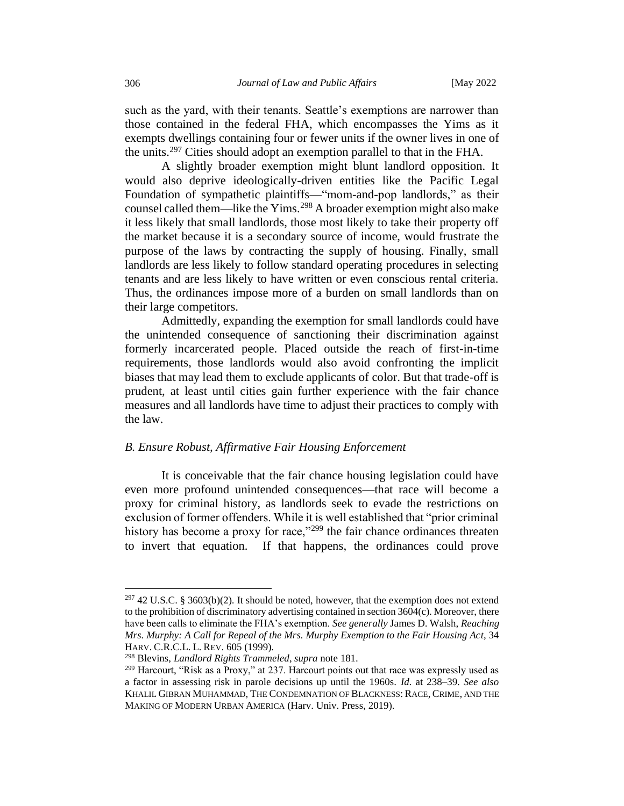such as the yard, with their tenants. Seattle's exemptions are narrower than those contained in the federal FHA, which encompasses the Yims as it exempts dwellings containing four or fewer units if the owner lives in one of the units.<sup>297</sup> Cities should adopt an exemption parallel to that in the FHA.

A slightly broader exemption might blunt landlord opposition. It would also deprive ideologically-driven entities like the Pacific Legal Foundation of sympathetic plaintiffs—"mom-and-pop landlords," as their counsel called them—like the Yims.<sup>298</sup> A broader exemption might also make it less likely that small landlords, those most likely to take their property off the market because it is a secondary source of income, would frustrate the purpose of the laws by contracting the supply of housing. Finally, small landlords are less likely to follow standard operating procedures in selecting tenants and are less likely to have written or even conscious rental criteria. Thus, the ordinances impose more of a burden on small landlords than on their large competitors.

Admittedly, expanding the exemption for small landlords could have the unintended consequence of sanctioning their discrimination against formerly incarcerated people. Placed outside the reach of first-in-time requirements, those landlords would also avoid confronting the implicit biases that may lead them to exclude applicants of color. But that trade-off is prudent, at least until cities gain further experience with the fair chance measures and all landlords have time to adjust their practices to comply with the law.

### <span id="page-49-0"></span>*B. Ensure Robust, Affirmative Fair Housing Enforcement*

It is conceivable that the fair chance housing legislation could have even more profound unintended consequences—that race will become a proxy for criminal history, as landlords seek to evade the restrictions on exclusion of former offenders. While it is well established that "prior criminal history has become a proxy for race,"<sup>299</sup> the fair chance ordinances threaten to invert that equation. If that happens, the ordinances could prove

 $297$  42 U.S.C. § 3603(b)(2). It should be noted, however, that the exemption does not extend to the prohibition of discriminatory advertising contained in section 3604(c). Moreover, there have been calls to eliminate the FHA's exemption. *See generally* James D. Walsh, *Reaching Mrs. Murphy: A Call for Repeal of the Mrs. Murphy Exemption to the Fair Housing Act*, 34 HARV. C.R.C.L. L. REV. 605 (1999).

<sup>298</sup> Blevins, *Landlord Rights Trammeled*, *supra* note 181.

<sup>299</sup> Harcourt, "Risk as a Proxy," at 237. Harcourt points out that race was expressly used as a factor in assessing risk in parole decisions up until the 1960s. *Id*. at 238–39. *See also* KHALIL GIBRAN MUHAMMAD, THE CONDEMNATION OF BLACKNESS: RACE, CRIME, AND THE MAKING OF MODERN URBAN AMERICA (Harv. Univ. Press, 2019).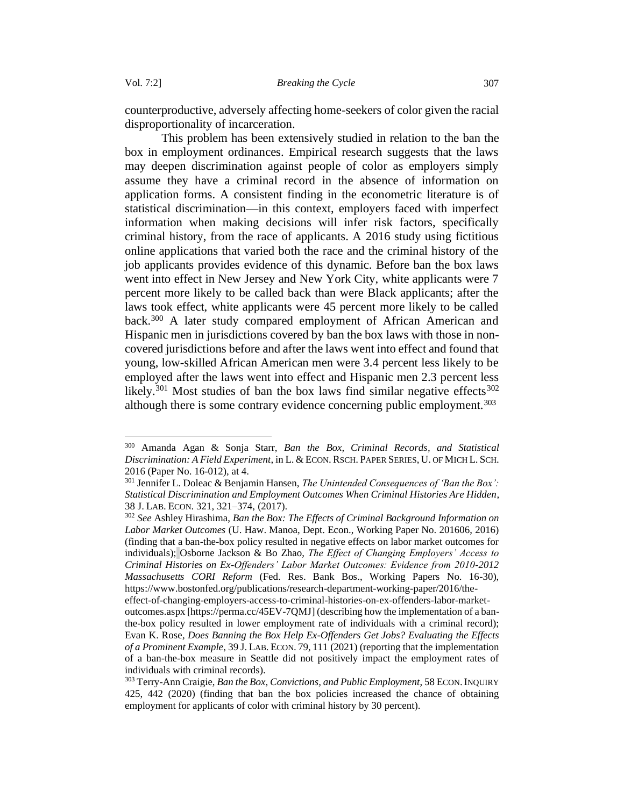counterproductive, adversely affecting home-seekers of color given the racial disproportionality of incarceration.

This problem has been extensively studied in relation to the ban the box in employment ordinances. Empirical research suggests that the laws may deepen discrimination against people of color as employers simply assume they have a criminal record in the absence of information on application forms. A consistent finding in the econometric literature is of statistical discrimination—in this context, employers faced with imperfect information when making decisions will infer risk factors, specifically criminal history, from the race of applicants. A 2016 study using fictitious online applications that varied both the race and the criminal history of the job applicants provides evidence of this dynamic. Before ban the box laws went into effect in New Jersey and New York City, white applicants were 7 percent more likely to be called back than were Black applicants; after the laws took effect, white applicants were 45 percent more likely to be called back.<sup>300</sup> A later study compared employment of African American and Hispanic men in jurisdictions covered by ban the box laws with those in noncovered jurisdictions before and after the laws went into effect and found that young, low-skilled African American men were 3.4 percent less likely to be employed after the laws went into effect and Hispanic men 2.3 percent less likely.<sup>301</sup> Most studies of ban the box laws find similar negative effects<sup>302</sup> although there is some contrary evidence concerning public employment.<sup>303</sup>

<sup>300</sup> Amanda Agan & Sonja Starr, *Ban the Box, Criminal Records, and Statistical Discrimination: A Field Experiment*, in L. & ECON. RSCH.PAPER SERIES, U. OF MICH L.SCH. 2016 (Paper No. 16-012), at 4.

<sup>301</sup> Jennifer L. Doleac & Benjamin Hansen, *The Unintended Consequences of 'Ban the Box': Statistical Discrimination and Employment Outcomes When Criminal Histories Are Hidden*, 38 J. LAB. ECON. 321, 321–374, (2017).

<sup>302</sup> *See* Ashley Hirashima, *Ban the Box: The Effects of Criminal Background Information on Labor Market Outcomes* (U. Haw. Manoa, Dept. Econ., Working Paper No. 201606, 2016) (finding that a ban-the-box policy resulted in negative effects on labor market outcomes for individuals); Osborne Jackson & Bo Zhao, *The Effect of Changing Employers' Access to Criminal Histories on Ex-Offenders' Labor Market Outcomes: Evidence from 2010-2012 Massachusetts CORI Reform* (Fed. Res. Bank Bos., Working Papers No. 16-30), https://www.bostonfed.org/publications/research-department-working-paper/2016/the-

effect-of-changing-employers-access-to-criminal-histories-on-ex-offenders-labor-marketoutcomes.aspx [https://perma.cc/45EV-7QMJ] (describing how the implementation of a banthe-box policy resulted in lower employment rate of individuals with a criminal record); Evan K. Rose*, Does Banning the Box Help Ex-Offenders Get Jobs? Evaluating the Effects of a Prominent Example*, 39 J. LAB. ECON. 79, 111 (2021) (reporting that the implementation of a ban-the-box measure in Seattle did not positively impact the employment rates of individuals with criminal records).

<sup>&</sup>lt;sup>303</sup> Terry-Ann Craigie, *Ban the Box, Convictions, and Public Employment*, 58 ECON. INQUIRY 425, 442 (2020) (finding that ban the box policies increased the chance of obtaining employment for applicants of color with criminal history by 30 percent).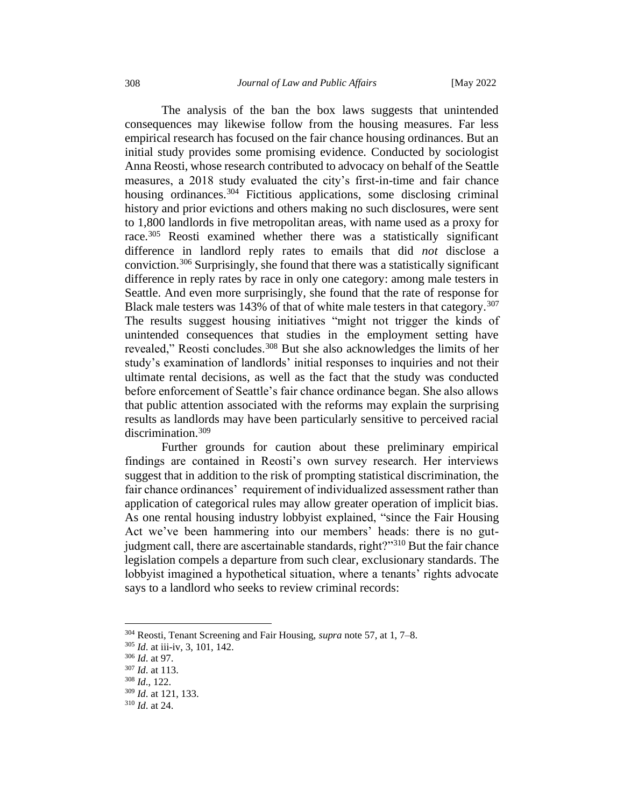The analysis of the ban the box laws suggests that unintended consequences may likewise follow from the housing measures. Far less empirical research has focused on the fair chance housing ordinances. But an initial study provides some promising evidence. Conducted by sociologist Anna Reosti, whose research contributed to advocacy on behalf of the Seattle measures, a 2018 study evaluated the city's first-in-time and fair chance housing ordinances.<sup>304</sup> Fictitious applications, some disclosing criminal history and prior evictions and others making no such disclosures, were sent to 1,800 landlords in five metropolitan areas, with name used as a proxy for race.<sup>305</sup> Reosti examined whether there was a statistically significant difference in landlord reply rates to emails that did *not* disclose a conviction.<sup>306</sup> Surprisingly, she found that there was a statistically significant difference in reply rates by race in only one category: among male testers in Seattle. And even more surprisingly, she found that the rate of response for Black male testers was 143% of that of white male testers in that category.<sup>307</sup> The results suggest housing initiatives "might not trigger the kinds of unintended consequences that studies in the employment setting have revealed," Reosti concludes.<sup>308</sup> But she also acknowledges the limits of her study's examination of landlords' initial responses to inquiries and not their ultimate rental decisions, as well as the fact that the study was conducted before enforcement of Seattle's fair chance ordinance began. She also allows that public attention associated with the reforms may explain the surprising results as landlords may have been particularly sensitive to perceived racial discrimination.<sup>309</sup>

Further grounds for caution about these preliminary empirical findings are contained in Reosti's own survey research. Her interviews suggest that in addition to the risk of prompting statistical discrimination, the fair chance ordinances' requirement of individualized assessment rather than application of categorical rules may allow greater operation of implicit bias. As one rental housing industry lobbyist explained, "since the Fair Housing Act we've been hammering into our members' heads: there is no gutjudgment call, there are ascertainable standards, right?"<sup>310</sup> But the fair chance legislation compels a departure from such clear, exclusionary standards. The lobbyist imagined a hypothetical situation, where a tenants' rights advocate says to a landlord who seeks to review criminal records:

<sup>304</sup> Reosti, Tenant Screening and Fair Housing, *supra* note 57, at 1, 7–8.

<sup>305</sup> *Id*. at iii-iv, 3, 101, 142.

<sup>306</sup> *Id*. at 97.

<sup>307</sup> *Id*. at 113.

<sup>308</sup> *Id*., 122.

<sup>309</sup> *Id*. at 121, 133.

<sup>310</sup> *Id*. at 24.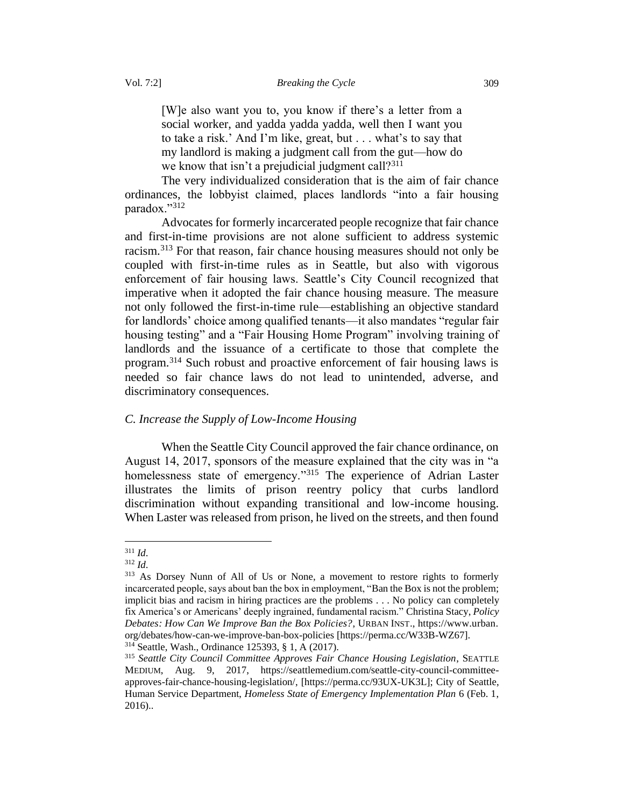[W]e also want you to, you know if there's a letter from a social worker, and yadda yadda yadda, well then I want you to take a risk.' And I'm like, great, but . . . what's to say that my landlord is making a judgment call from the gut—how do we know that isn't a prejudicial judgment call? $311$ 

The very individualized consideration that is the aim of fair chance ordinances, the lobbyist claimed, places landlords "into a fair housing paradox."<sup>312</sup>

Advocates for formerly incarcerated people recognize that fair chance and first-in-time provisions are not alone sufficient to address systemic racism.<sup>313</sup> For that reason, fair chance housing measures should not only be coupled with first-in-time rules as in Seattle, but also with vigorous enforcement of fair housing laws. Seattle's City Council recognized that imperative when it adopted the fair chance housing measure. The measure not only followed the first-in-time rule—establishing an objective standard for landlords' choice among qualified tenants—it also mandates "regular fair housing testing" and a "Fair Housing Home Program" involving training of landlords and the issuance of a certificate to those that complete the program.<sup>314</sup> Such robust and proactive enforcement of fair housing laws is needed so fair chance laws do not lead to unintended, adverse, and discriminatory consequences.

### <span id="page-52-0"></span>*C. Increase the Supply of Low-Income Housing*

When the Seattle City Council approved the fair chance ordinance, on August 14, 2017, sponsors of the measure explained that the city was in "a homelessness state of emergency."<sup>315</sup> The experience of Adrian Laster illustrates the limits of prison reentry policy that curbs landlord discrimination without expanding transitional and low-income housing. When Laster was released from prison, he lived on the streets, and then found

<sup>311</sup> *Id*.

<sup>312</sup> *Id*.

<sup>&</sup>lt;sup>313</sup> As Dorsey Nunn of All of Us or None, a movement to restore rights to formerly incarcerated people, says about ban the box in employment, "Ban the Box is not the problem; implicit bias and racism in hiring practices are the problems . . . No policy can completely fix America's or Americans' deeply ingrained, fundamental racism." Christina Stacy, *Policy Debates: How Can We Improve Ban the Box Policies?*, URBAN INST., https://www.urban. org/debates/how-can-we-improve-ban-box-policies [https://perma.cc/W33B-WZ67]. <sup>314</sup> Seattle, Wash., Ordinance 125393, § 1, A (2017).

<sup>315</sup> *Seattle City Council Committee Approves Fair Chance Housing Legislation*, SEATTLE MEDIUM, Aug. 9, 2017, https://seattlemedium.com/seattle-city-council-committeeapproves-fair-chance-housing-legislation/, [https://perma.cc/93UX-UK3L]; City of Seattle, Human Service Department, *Homeless State of Emergency Implementation Plan* 6 (Feb. 1, 2016)..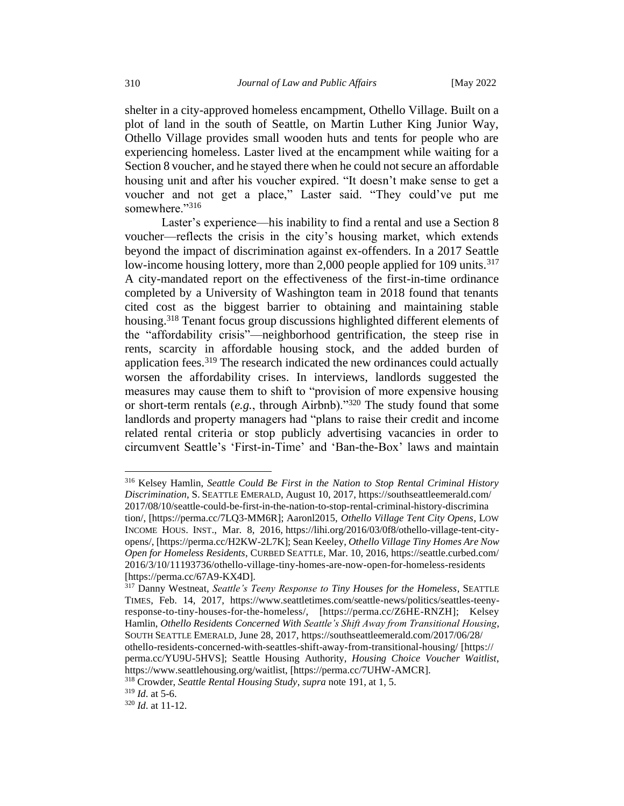shelter in a city-approved homeless encampment, Othello Village. Built on a plot of land in the south of Seattle, on Martin Luther King Junior Way, Othello Village provides small wooden huts and tents for people who are experiencing homeless. Laster lived at the encampment while waiting for a Section 8 voucher, and he stayed there when he could not secure an affordable housing unit and after his voucher expired. "It doesn't make sense to get a voucher and not get a place," Laster said. "They could've put me somewhere."316

Laster's experience—his inability to find a rental and use a Section 8 voucher—reflects the crisis in the city's housing market, which extends beyond the impact of discrimination against ex-offenders. In a 2017 Seattle low-income housing lottery, more than 2,000 people applied for 109 units.<sup>317</sup> A city-mandated report on the effectiveness of the first-in-time ordinance completed by a University of Washington team in 2018 found that tenants cited cost as the biggest barrier to obtaining and maintaining stable housing.<sup>318</sup> Tenant focus group discussions highlighted different elements of the "affordability crisis"—neighborhood gentrification, the steep rise in rents, scarcity in affordable housing stock, and the added burden of application fees.<sup>319</sup> The research indicated the new ordinances could actually worsen the affordability crises. In interviews, landlords suggested the measures may cause them to shift to "provision of more expensive housing or short-term rentals (*e.g.*, through Airbnb)."<sup>320</sup> The study found that some landlords and property managers had "plans to raise their credit and income related rental criteria or stop publicly advertising vacancies in order to circumvent Seattle's 'First-in-Time' and 'Ban-the-Box' laws and maintain

<sup>316</sup> Kelsey Hamlin, *Seattle Could Be First in the Nation to Stop Rental Criminal History Discrimination*, S.SEATTLE EMERALD, August 10, 2017, https://southseattleemerald.com/ 2017/08/10/seattle-could-be-first-in-the-nation-to-stop-rental-criminal-history-discrimina tion/, [https://perma.cc/7LQ3-MM6R]; Aaronl2015, *Othello Village Tent City Opens*, LOW INCOME HOUS. INST., Mar. 8, 2016, https://lihi.org/2016/03/0f8/othello-village-tent-cityopens/, [https://perma.cc/H2KW-2L7K]; Sean Keeley, *Othello Village Tiny Homes Are Now Open for Homeless Residents*, CURBED SEATTLE, Mar. 10, 2016, https://seattle.curbed.com/ 2016/3/10/11193736/othello-village-tiny-homes-are-now-open-for-homeless-residents [https://perma.cc/67A9-KX4D].

<sup>317</sup> Danny Westneat, *Seattle's Teeny Response to Tiny Houses for the Homeless*, SEATTLE TIMES, Feb. 14, 2017, https://www.seattletimes.com/seattle-news/politics/seattles-teenyresponse-to-tiny-houses-for-the-homeless/, [https://perma.cc/Z6HE-RNZH]; Kelsey Hamlin, *Othello Residents Concerned With Seattle's Shift Away from Transitional Housing*, SOUTH SEATTLE EMERALD, June 28, 2017, https://southseattleemerald.com/2017/06/28/ othello-residents-concerned-with-seattles-shift-away-from-transitional-housing/ [https:// perma.cc/YU9U-5HVS]; Seattle Housing Authority, *Housing Choice Voucher Waitlist*, https://www.seattlehousing.org/waitlist, [https://perma.cc/7UHW-AMCR].

<sup>318</sup> Crowder, *Seattle Rental Housing Study*, *supra* note 191, at 1, 5.

 $319$  *Id.* at 5-6.

<sup>320</sup> *Id*. at 11-12.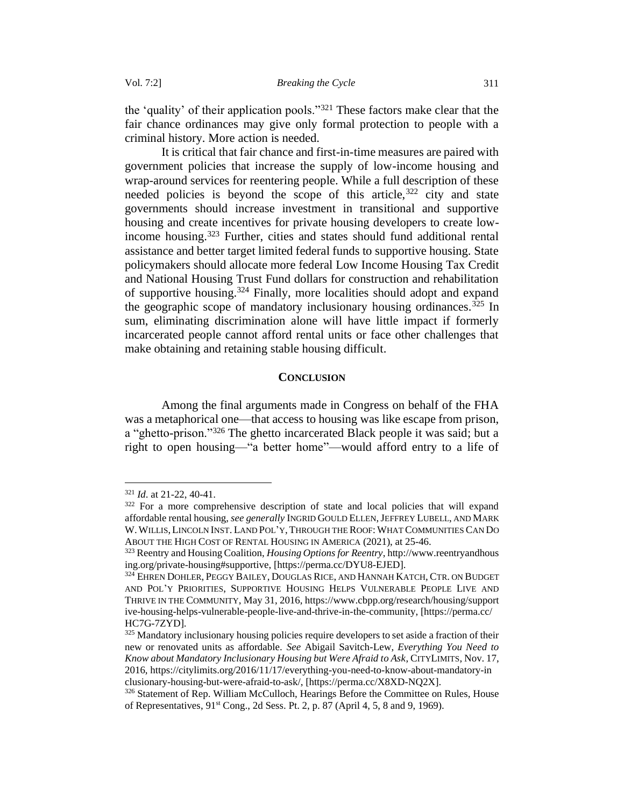the 'quality' of their application pools."<sup>321</sup> These factors make clear that the fair chance ordinances may give only formal protection to people with a criminal history. More action is needed.

It is critical that fair chance and first-in-time measures are paired with government policies that increase the supply of low-income housing and wrap-around services for reentering people. While a full description of these needed policies is beyond the scope of this article,  $322$  city and state governments should increase investment in transitional and supportive housing and create incentives for private housing developers to create lowincome housing.<sup>323</sup> Further, cities and states should fund additional rental assistance and better target limited federal funds to supportive housing. State policymakers should allocate more federal Low Income Housing Tax Credit and National Housing Trust Fund dollars for construction and rehabilitation of supportive housing.<sup>324</sup> Finally, more localities should adopt and expand the geographic scope of mandatory inclusionary housing ordinances.<sup>325</sup> In sum, eliminating discrimination alone will have little impact if formerly incarcerated people cannot afford rental units or face other challenges that make obtaining and retaining stable housing difficult.

### **CONCLUSION**

<span id="page-54-0"></span>Among the final arguments made in Congress on behalf of the FHA was a metaphorical one—that access to housing was like escape from prison, a "ghetto-prison."<sup>326</sup> The ghetto incarcerated Black people it was said; but a right to open housing—"a better home"—would afford entry to a life of

<sup>321</sup> *Id*. at 21-22, 40-41.

<sup>&</sup>lt;sup>322</sup> For a more comprehensive description of state and local policies that will expand affordable rental housing, *see generally* INGRID GOULD ELLEN,JEFFREY LUBELL, AND MARK W.WILLIS,LINCOLN INST. LAND POL'Y,THROUGH THE ROOF:WHAT COMMUNITIES CAN DO ABOUT THE HIGH COST OF RENTAL HOUSING IN AMERICA (2021), at 25-46.

<sup>323</sup> Reentry and Housing Coalition, *Housing Options for Reentry*, http://www.reentryandhous ing.org/private-housing#supportive, [https://perma.cc/DYU8-EJED].

<sup>&</sup>lt;sup>324</sup> EHREN DOHLER, PEGGY BAILEY, DOUGLAS RICE, AND HANNAH KATCH, CTR. ON BUDGET AND POL'Y PRIORITIES, SUPPORTIVE HOUSING HELPS VULNERABLE PEOPLE LIVE AND THRIVE IN THE COMMUNITY, May 31, 2016, https://www.cbpp.org/research/housing/support ive-housing-helps-vulnerable-people-live-and-thrive-in-the-community, [https://perma.cc/ HC7G-7ZYD].

<sup>&</sup>lt;sup>325</sup> Mandatory inclusionary housing policies require developers to set aside a fraction of their new or renovated units as affordable. *See* Abigail Savitch-Lew, *Everything You Need to Know about Mandatory Inclusionary Housing but Were Afraid to Ask*, CITYLIMITS, Nov. 17, 2016, https://citylimits.org/2016/11/17/everything-you-need-to-know-about-mandatory-in clusionary-housing-but-were-afraid-to-ask/, [https://perma.cc/X8XD-NQ2X].

<sup>&</sup>lt;sup>326</sup> Statement of Rep. William McCulloch, Hearings Before the Committee on Rules, House of Representatives, 91st Cong., 2d Sess. Pt. 2, p. 87 (April 4, 5, 8 and 9, 1969).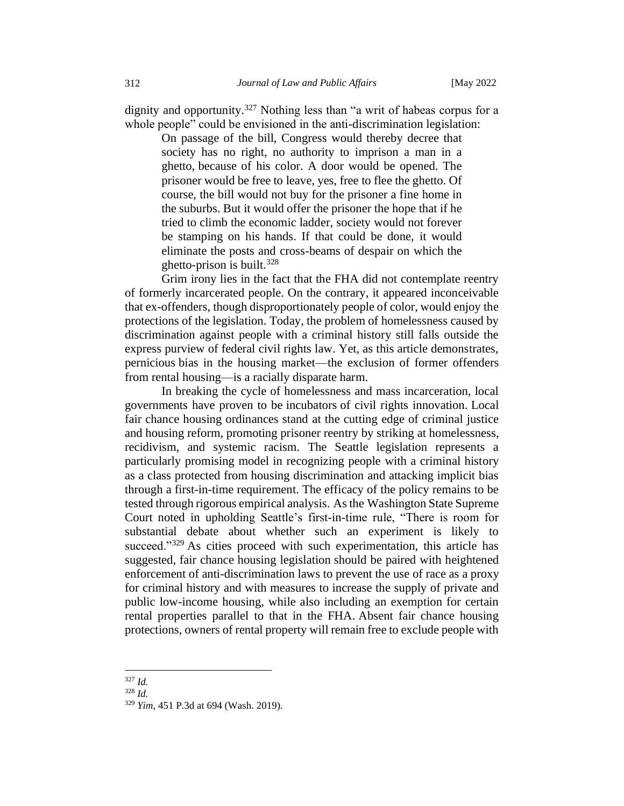dignity and opportunity.<sup>327</sup> Nothing less than "a writ of habeas corpus for a whole people" could be envisioned in the anti-discrimination legislation:

On passage of the bill, Congress would thereby decree that society has no right, no authority to imprison a man in a ghetto, because of his color. A door would be opened. The prisoner would be free to leave, yes, free to flee the ghetto. Of course, the bill would not buy for the prisoner a fine home in the suburbs. But it would offer the prisoner the hope that if he tried to climb the economic ladder, society would not forever be stamping on his hands. If that could be done, it would eliminate the posts and cross-beams of despair on which the ghetto-prison is built.<sup>328</sup>

Grim irony lies in the fact that the FHA did not contemplate reentry of formerly incarcerated people. On the contrary, it appeared inconceivable that ex-offenders, though disproportionately people of color, would enjoy the protections of the legislation. Today, the problem of homelessness caused by discrimination against people with a criminal history still falls outside the express purview of federal civil rights law. Yet, as this article demonstrates, pernicious bias in the housing market—the exclusion of former offenders from rental housing—is a racially disparate harm.

In breaking the cycle of homelessness and mass incarceration, local governments have proven to be incubators of civil rights innovation. Local fair chance housing ordinances stand at the cutting edge of criminal justice and housing reform, promoting prisoner reentry by striking at homelessness, recidivism, and systemic racism. The Seattle legislation represents a particularly promising model in recognizing people with a criminal history as a class protected from housing discrimination and attacking implicit bias through a first-in-time requirement. The efficacy of the policy remains to be tested through rigorous empirical analysis. As the Washington State Supreme Court noted in upholding Seattle's first-in-time rule, "There is room for substantial debate about whether such an experiment is likely to succeed."<sup>329</sup> As cities proceed with such experimentation, this article has suggested, fair chance housing legislation should be paired with heightened enforcement of anti-discrimination laws to prevent the use of race as a proxy for criminal history and with measures to increase the supply of private and public low-income housing, while also including an exemption for certain rental properties parallel to that in the FHA. Absent fair chance housing protections, owners of rental property will remain free to exclude people with

<sup>327</sup> *Id.*

<sup>328</sup> *Id.*

<sup>329</sup> *Yim*, 451 P.3d at 694 (Wash. 2019).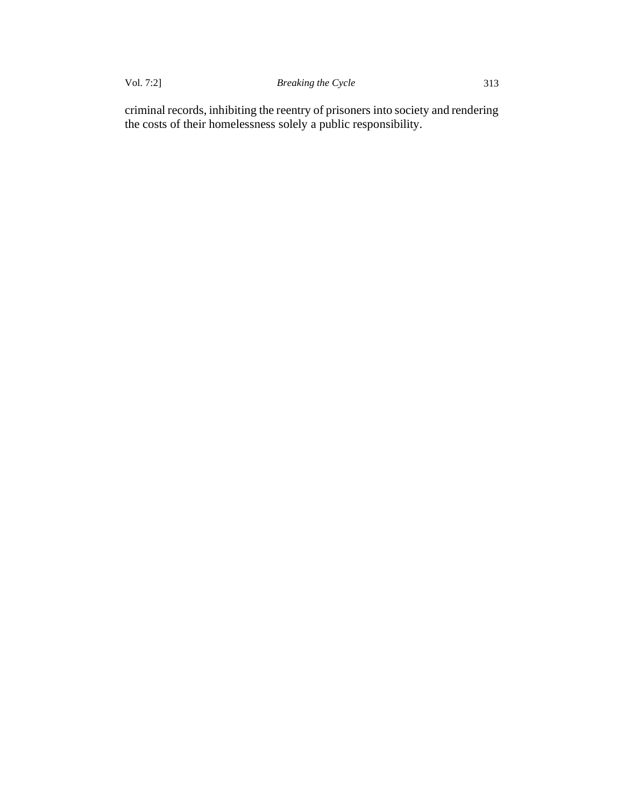criminal records, inhibiting the reentry of prisoners into society and rendering the costs of their homelessness solely a public responsibility.